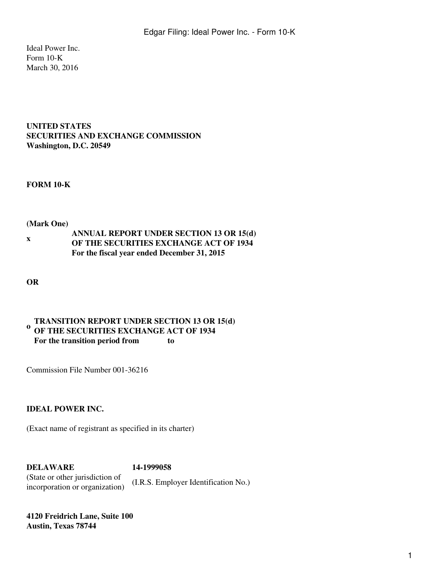Ideal Power Inc. Form 10-K March 30, 2016

## **UNITED STATES SECURITIES AND EXCHANGE COMMISSION Washington, D.C. 20549**

#### **FORM 10-K**

#### **(Mark One)**

**x ANNUAL REPORT UNDER SECTION 13 OR 15(d) OF THE SECURITIES EXCHANGE ACT OF 1934 For the fiscal year ended December 31, 2015**

**OR**

#### **o TRANSITION REPORT UNDER SECTION 13 OR 15(d) OF THE SECURITIES EXCHANGE ACT OF 1934 For the transition period from to**

Commission File Number 001-36216

## **IDEAL POWER INC.**

(Exact name of registrant as specified in its charter)

**DELAWARE 14-1999058** (State or other jurisdiction of incorporation or organization) (I.R.S. Employer Identification No.)

**4120 Freidrich Lane, Suite 100 Austin, Texas 78744**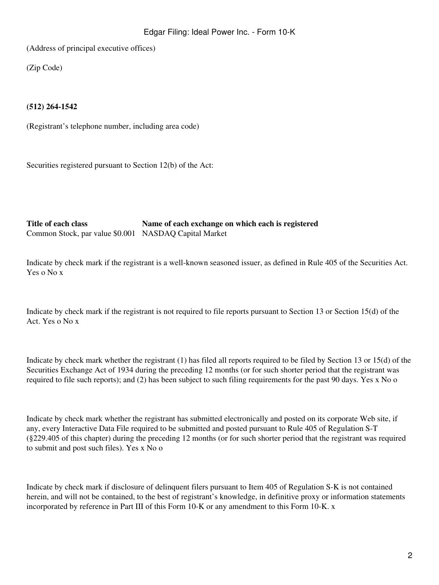(Address of principal executive offices)

(Zip Code)

## **(512) 264-1542**

(Registrant's telephone number, including area code)

Securities registered pursuant to Section 12(b) of the Act:

**Title of each class Name of each exchange on which each is registered** Common Stock, par value \$0.001 NASDAQ Capital Market

Indicate by check mark if the registrant is a well-known seasoned issuer, as defined in Rule 405 of the Securities Act. Yes o No x

Indicate by check mark if the registrant is not required to file reports pursuant to Section 13 or Section 15(d) of the Act. Yes o No x

Indicate by check mark whether the registrant (1) has filed all reports required to be filed by Section 13 or 15(d) of the Securities Exchange Act of 1934 during the preceding 12 months (or for such shorter period that the registrant was required to file such reports); and (2) has been subject to such filing requirements for the past 90 days. Yes x No o

Indicate by check mark whether the registrant has submitted electronically and posted on its corporate Web site, if any, every Interactive Data File required to be submitted and posted pursuant to Rule 405 of Regulation S-T (§229.405 of this chapter) during the preceding 12 months (or for such shorter period that the registrant was required to submit and post such files). Yes x No o

Indicate by check mark if disclosure of delinquent filers pursuant to Item 405 of Regulation S-K is not contained herein, and will not be contained, to the best of registrant's knowledge, in definitive proxy or information statements incorporated by reference in Part III of this Form 10-K or any amendment to this Form 10-K. x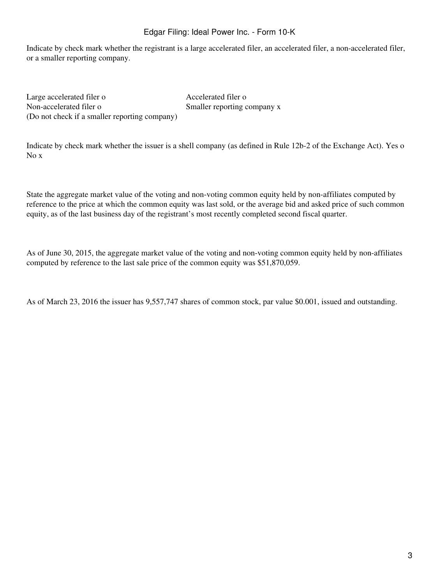Indicate by check mark whether the registrant is a large accelerated filer, an accelerated filer, a non-accelerated filer, or a smaller reporting company.

Large accelerated filer o Accelerated filer o Non-accelerated filer o Smaller reporting company x (Do not check if a smaller reporting company)

Indicate by check mark whether the issuer is a shell company (as defined in Rule 12b-2 of the Exchange Act). Yes o No x

State the aggregate market value of the voting and non-voting common equity held by non-affiliates computed by reference to the price at which the common equity was last sold, or the average bid and asked price of such common equity, as of the last business day of the registrant's most recently completed second fiscal quarter.

As of June 30, 2015, the aggregate market value of the voting and non-voting common equity held by non-affiliates computed by reference to the last sale price of the common equity was \$51,870,059.

As of March 23, 2016 the issuer has 9,557,747 shares of common stock, par value \$0.001, issued and outstanding.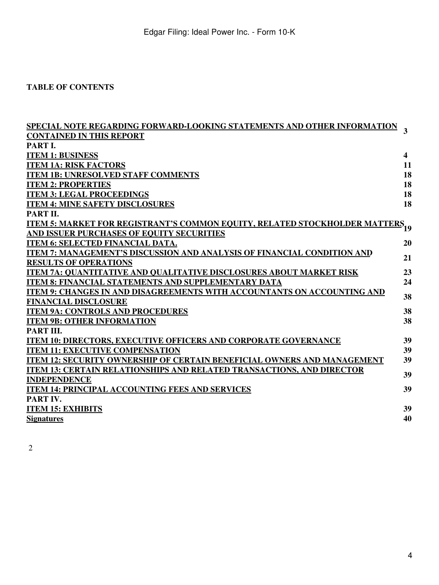# **TABLE OF CONTENTS**

| <u>SPECIAL NOTE REGARDING FORWARD-LOOKING STATEMENTS AND OTHER INFORMATION</u>                 | 3                       |
|------------------------------------------------------------------------------------------------|-------------------------|
| <b>CONTAINED IN THIS REPORT</b>                                                                |                         |
| PART I.                                                                                        |                         |
| <b>ITEM 1: BUSINESS</b>                                                                        | $\overline{\mathbf{4}}$ |
| <b>ITEM 1A: RISK FACTORS</b>                                                                   | 11                      |
| <b>ITEM 1B: UNRESOLVED STAFF COMMENTS</b>                                                      | 18                      |
| <b>ITEM 2: PROPERTIES</b>                                                                      | 18                      |
| <b>ITEM 3: LEGAL PROCEEDINGS</b>                                                               | 18                      |
| <b>ITEM 4: MINE SAFETY DISCLOSURES</b>                                                         | 18                      |
| PART II.                                                                                       |                         |
| <u>ITEM 5: MARKET FOR REGISTRANT'S COMMON EQUITY, RELATED STOCKHOLDER MATTERS<sub>19</sub></u> |                         |
| AND ISSUER PURCHASES OF EQUITY SECURITIES                                                      |                         |
| <b>ITEM 6: SELECTED FINANCIAL DATA.</b>                                                        | 20                      |
| ITEM 7: MANAGEMENT'S DISCUSSION AND ANALYSIS OF FINANCIAL CONDITION AND                        | 21                      |
| <b>RESULTS OF OPERATIONS</b>                                                                   |                         |
| <b>ITEM 7A: OUANTITATIVE AND OUALITATIVE DISCLOSURES ABOUT MARKET RISK</b>                     | 23                      |
| <b>ITEM 8: FINANCIAL STATEMENTS AND SUPPLEMENTARY DATA</b>                                     | 24                      |
| ITEM 9: CHANGES IN AND DISAGREEMENTS WITH ACCOUNTANTS ON ACCOUNTING AND                        | 38                      |
| <b>FINANCIAL DISCLOSURE</b>                                                                    |                         |
| <b>ITEM 9A: CONTROLS AND PROCEDURES</b>                                                        | 38                      |
| <b>ITEM 9B: OTHER INFORMATION</b>                                                              | 38                      |
| PART III.                                                                                      |                         |
| <b>ITEM 10: DIRECTORS, EXECUTIVE OFFICERS AND CORPORATE GOVERNANCE</b>                         | 39                      |
| <b>ITEM 11: EXECUTIVE COMPENSATION</b>                                                         | 39                      |
| <b>ITEM 12: SECURITY OWNERSHIP OF CERTAIN BENEFICIAL OWNERS AND MANAGEMENT</b>                 | 39                      |
| <b>ITEM 13: CERTAIN RELATIONSHIPS AND RELATED TRANSACTIONS, AND DIRECTOR</b>                   | 39                      |
| <b>INDEPENDENCE</b>                                                                            |                         |
| <b>ITEM 14: PRINCIPAL ACCOUNTING FEES AND SERVICES</b>                                         | 39                      |
| PART IV.                                                                                       |                         |
| <b>ITEM 15: EXHIBITS</b>                                                                       | 39                      |
| <b>Signatures</b>                                                                              | 40                      |
|                                                                                                |                         |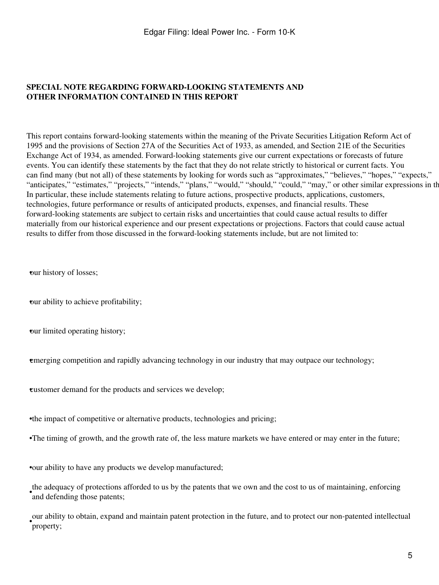## <span id="page-4-0"></span>**SPECIAL NOTE REGARDING FORWARD-LOOKING STATEMENTS AND OTHER INFORMATION CONTAINED IN THIS REPORT**

This report contains forward-looking statements within the meaning of the Private Securities Litigation Reform Act of 1995 and the provisions of Section 27A of the Securities Act of 1933, as amended, and Section 21E of the Securities Exchange Act of 1934, as amended. Forward-looking statements give our current expectations or forecasts of future events. You can identify these statements by the fact that they do not relate strictly to historical or current facts. You can find many (but not all) of these statements by looking for words such as "approximates," "believes," "hopes," "expects," "anticipates," "estimates," "projects," "intends," "plans," "would," "should," "could," "may," or other similar expressions in th In particular, these include statements relating to future actions, prospective products, applications, customers, technologies, future performance or results of anticipated products, expenses, and financial results. These forward-looking statements are subject to certain risks and uncertainties that could cause actual results to differ materially from our historical experience and our present expectations or projections. Factors that could cause actual results to differ from those discussed in the forward-looking statements include, but are not limited to:

•our history of losses;

•our ability to achieve profitability;

•our limited operating history;

•emerging competition and rapidly advancing technology in our industry that may outpace our technology;

•customer demand for the products and services we develop;

•the impact of competitive or alternative products, technologies and pricing;

•The timing of growth, and the growth rate of, the less mature markets we have entered or may enter in the future;

•our ability to have any products we develop manufactured;

and defending those patents; the adequacy of protections afforded to us by the patents that we own and the cost to us of maintaining, enforcing

• our ability to obtain, expand and maintain patent protection in the future, and to protect our non-patented intellectual property;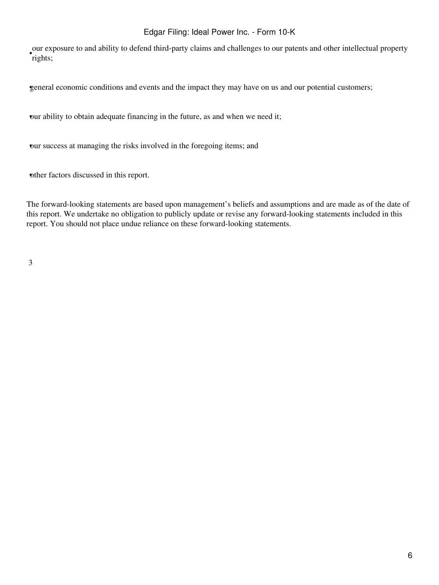our exposure to and ability to defend third-party claims and challenges to our patents and other intellectual property rights;

•general economic conditions and events and the impact they may have on us and our potential customers;

•our ability to obtain adequate financing in the future, as and when we need it;

•our success at managing the risks involved in the foregoing items; and

•other factors discussed in this report.

The forward-looking statements are based upon management's beliefs and assumptions and are made as of the date of this report. We undertake no obligation to publicly update or revise any forward-looking statements included in this report. You should not place undue reliance on these forward-looking statements.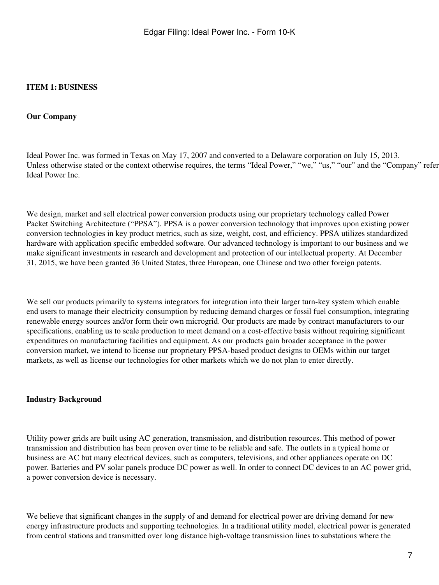## <span id="page-6-0"></span>**ITEM 1: BUSINESS**

#### **Our Company**

Ideal Power Inc. was formed in Texas on May 17, 2007 and converted to a Delaware corporation on July 15, 2013. Unless otherwise stated or the context otherwise requires, the terms "Ideal Power," "we," "us," "our" and the "Company" refer Ideal Power Inc.

We design, market and sell electrical power conversion products using our proprietary technology called Power Packet Switching Architecture ("PPSA"). PPSA is a power conversion technology that improves upon existing power conversion technologies in key product metrics, such as size, weight, cost, and efficiency. PPSA utilizes standardized hardware with application specific embedded software. Our advanced technology is important to our business and we make significant investments in research and development and protection of our intellectual property. At December 31, 2015, we have been granted 36 United States, three European, one Chinese and two other foreign patents.

We sell our products primarily to systems integrators for integration into their larger turn-key system which enable end users to manage their electricity consumption by reducing demand charges or fossil fuel consumption, integrating renewable energy sources and/or form their own microgrid. Our products are made by contract manufacturers to our specifications, enabling us to scale production to meet demand on a cost-effective basis without requiring significant expenditures on manufacturing facilities and equipment. As our products gain broader acceptance in the power conversion market, we intend to license our proprietary PPSA-based product designs to OEMs within our target markets, as well as license our technologies for other markets which we do not plan to enter directly.

#### **Industry Background**

Utility power grids are built using AC generation, transmission, and distribution resources. This method of power transmission and distribution has been proven over time to be reliable and safe. The outlets in a typical home or business are AC but many electrical devices, such as computers, televisions, and other appliances operate on DC power. Batteries and PV solar panels produce DC power as well. In order to connect DC devices to an AC power grid, a power conversion device is necessary.

We believe that significant changes in the supply of and demand for electrical power are driving demand for new energy infrastructure products and supporting technologies. In a traditional utility model, electrical power is generated from central stations and transmitted over long distance high-voltage transmission lines to substations where the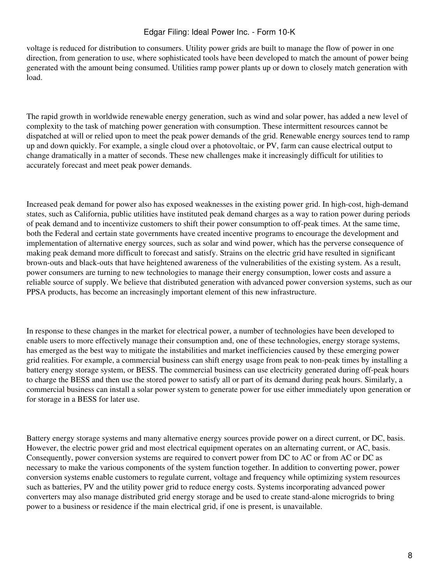voltage is reduced for distribution to consumers. Utility power grids are built to manage the flow of power in one direction, from generation to use, where sophisticated tools have been developed to match the amount of power being generated with the amount being consumed. Utilities ramp power plants up or down to closely match generation with load.

The rapid growth in worldwide renewable energy generation, such as wind and solar power, has added a new level of complexity to the task of matching power generation with consumption. These intermittent resources cannot be dispatched at will or relied upon to meet the peak power demands of the grid. Renewable energy sources tend to ramp up and down quickly. For example, a single cloud over a photovoltaic, or PV, farm can cause electrical output to change dramatically in a matter of seconds. These new challenges make it increasingly difficult for utilities to accurately forecast and meet peak power demands.

Increased peak demand for power also has exposed weaknesses in the existing power grid. In high-cost, high-demand states, such as California, public utilities have instituted peak demand charges as a way to ration power during periods of peak demand and to incentivize customers to shift their power consumption to off-peak times. At the same time, both the Federal and certain state governments have created incentive programs to encourage the development and implementation of alternative energy sources, such as solar and wind power, which has the perverse consequence of making peak demand more difficult to forecast and satisfy. Strains on the electric grid have resulted in significant brown-outs and black-outs that have heightened awareness of the vulnerabilities of the existing system. As a result, power consumers are turning to new technologies to manage their energy consumption, lower costs and assure a reliable source of supply. We believe that distributed generation with advanced power conversion systems, such as our PPSA products, has become an increasingly important element of this new infrastructure.

In response to these changes in the market for electrical power, a number of technologies have been developed to enable users to more effectively manage their consumption and, one of these technologies, energy storage systems, has emerged as the best way to mitigate the instabilities and market inefficiencies caused by these emerging power grid realities. For example, a commercial business can shift energy usage from peak to non-peak times by installing a battery energy storage system, or BESS. The commercial business can use electricity generated during off-peak hours to charge the BESS and then use the stored power to satisfy all or part of its demand during peak hours. Similarly, a commercial business can install a solar power system to generate power for use either immediately upon generation or for storage in a BESS for later use.

Battery energy storage systems and many alternative energy sources provide power on a direct current, or DC, basis. However, the electric power grid and most electrical equipment operates on an alternating current, or AC, basis. Consequently, power conversion systems are required to convert power from DC to AC or from AC or DC as necessary to make the various components of the system function together. In addition to converting power, power conversion systems enable customers to regulate current, voltage and frequency while optimizing system resources such as batteries, PV and the utility power grid to reduce energy costs. Systems incorporating advanced power converters may also manage distributed grid energy storage and be used to create stand-alone microgrids to bring power to a business or residence if the main electrical grid, if one is present, is unavailable.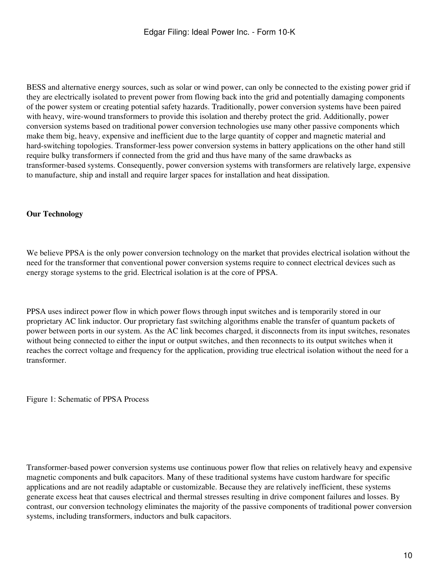BESS and alternative energy sources, such as solar or wind power, can only be connected to the existing power grid if they are electrically isolated to prevent power from flowing back into the grid and potentially damaging components of the power system or creating potential safety hazards. Traditionally, power conversion systems have been paired with heavy, wire-wound transformers to provide this isolation and thereby protect the grid. Additionally, power conversion systems based on traditional power conversion technologies use many other passive components which make them big, heavy, expensive and inefficient due to the large quantity of copper and magnetic material and hard-switching topologies. Transformer-less power conversion systems in battery applications on the other hand still require bulky transformers if connected from the grid and thus have many of the same drawbacks as transformer-based systems. Consequently, power conversion systems with transformers are relatively large, expensive to manufacture, ship and install and require larger spaces for installation and heat dissipation.

## **Our Technology**

We believe PPSA is the only power conversion technology on the market that provides electrical isolation without the need for the transformer that conventional power conversion systems require to connect electrical devices such as energy storage systems to the grid. Electrical isolation is at the core of PPSA.

PPSA uses indirect power flow in which power flows through input switches and is temporarily stored in our proprietary AC link inductor. Our proprietary fast switching algorithms enable the transfer of quantum packets of power between ports in our system. As the AC link becomes charged, it disconnects from its input switches, resonates without being connected to either the input or output switches, and then reconnects to its output switches when it reaches the correct voltage and frequency for the application, providing true electrical isolation without the need for a transformer.

Figure 1: Schematic of PPSA Process

Transformer-based power conversion systems use continuous power flow that relies on relatively heavy and expensive magnetic components and bulk capacitors. Many of these traditional systems have custom hardware for specific applications and are not readily adaptable or customizable. Because they are relatively inefficient, these systems generate excess heat that causes electrical and thermal stresses resulting in drive component failures and losses. By contrast, our conversion technology eliminates the majority of the passive components of traditional power conversion systems, including transformers, inductors and bulk capacitors.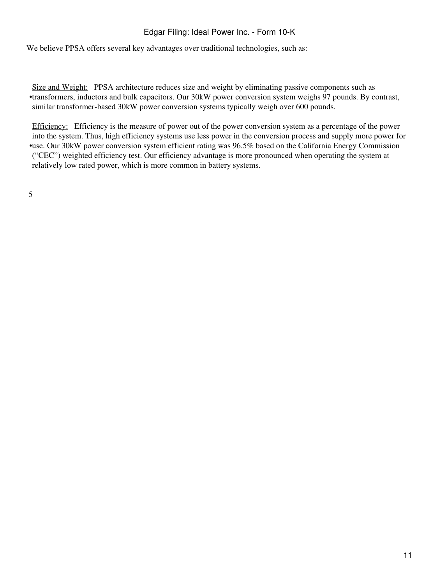We believe PPSA offers several key advantages over traditional technologies, such as:

• transformers, inductors and bulk capacitors. Our 30kW power conversion system weighs 97 pounds. By contrast, Size and Weight: PPSA architecture reduces size and weight by eliminating passive components such as similar transformer-based 30kW power conversion systems typically weigh over 600 pounds.

• use. Our 30kW power conversion system efficient rating was 96.5% based on the California Energy Commission Efficiency: Efficiency is the measure of power out of the power conversion system as a percentage of the power into the system. Thus, high efficiency systems use less power in the conversion process and supply more power for ("CEC") weighted efficiency test. Our efficiency advantage is more pronounced when operating the system at relatively low rated power, which is more common in battery systems.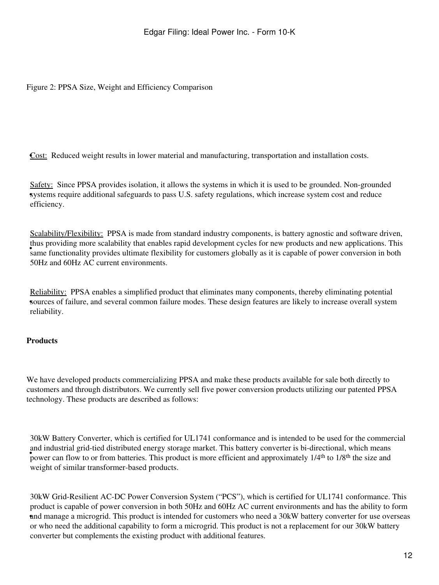Figure 2: PPSA Size, Weight and Efficiency Comparison

**Cost:** Reduced weight results in lower material and manufacturing, transportation and installation costs.

systems require additional safeguards to pass U.S. safety regulations, which increase system cost and reduce Safety: Since PPSA provides isolation, it allows the systems in which it is used to be grounded. Non-grounded efficiency.

and providing more scalability that entores rapid development eyeres for hew products and new applications. This Scalability/Flexibility: PPSA is made from standard industry components, is battery agnostic and software driven, thus providing more scalability that enables rapid development cycles for new products and new applications. This 50Hz and 60Hz AC current environments.

• sources of failure, and several common failure modes. These design features are likely to increase overall system Reliability: PPSA enables a simplified product that eliminates many components, thereby eliminating potential reliability.

## **Products**

We have developed products commercializing PPSA and make these products available for sale both directly to customers and through distributors. We currently sell five power conversion products utilizing our patented PPSA technology. These products are described as follows:

which measured greated energy storage market. This battery converter is or directional, which means<br>power can flow to or from batteries. This product is more efficient and approximately 1/4<sup>th</sup> to 1/8<sup>th</sup> the size and 30kW Battery Converter, which is certified for UL1741 conformance and is intended to be used for the commercial and industrial grid-tied distributed energy storage market. This battery converter is bi-directional, which means weight of similar transformer-based products.

• and manage a microgrid. This product is intended for customers who need a 30kW battery converter for use overseas 30kW Grid-Resilient AC-DC Power Conversion System ("PCS"), which is certified for UL1741 conformance. This product is capable of power conversion in both 50Hz and 60Hz AC current environments and has the ability to form or who need the additional capability to form a microgrid. This product is not a replacement for our 30kW battery converter but complements the existing product with additional features.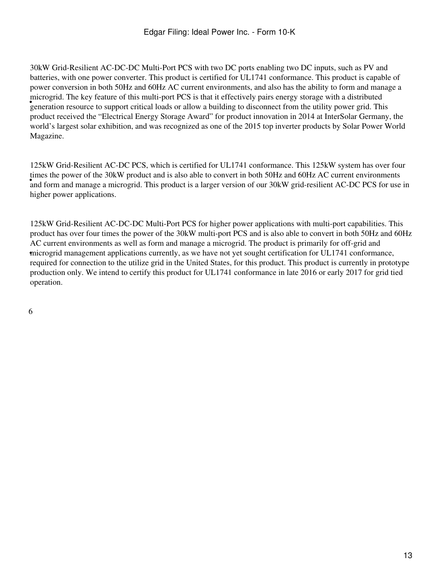eneration resource to support critical loads or allow a building to disconnect from the utility power grid. This generation resource to support critical loads or allow a building to disconnect from the utility power grid. 30kW Grid-Resilient AC-DC-DC Multi-Port PCS with two DC ports enabling two DC inputs, such as PV and batteries, with one power converter. This product is certified for UL1741 conformance. This product is capable of power conversion in both 50Hz and 60Hz AC current environments, and also has the ability to form and manage a microgrid. The key feature of this multi-port PCS is that it effectively pairs energy storage with a distributed product received the "Electrical Energy Storage Award" for product innovation in 2014 at InterSolar Germany, the world's largest solar exhibition, and was recognized as one of the 2015 top inverter products by Solar Power World Magazine.

and form and manage a microgrid. This product is a larger version of our 30kW grid-resilient AC-DC PCS for use in 125kW Grid-Resilient AC-DC PCS, which is certified for UL1741 conformance. This 125kW system has over four times the power of the 30kW product and is also able to convert in both 50Hz and 60Hz AC current environments higher power applications.

• microgrid management applications currently, as we have not yet sought certification for UL1741 conformance, 125kW Grid-Resilient AC-DC-DC Multi-Port PCS for higher power applications with multi-port capabilities. This product has over four times the power of the 30kW multi-port PCS and is also able to convert in both 50Hz and 60Hz AC current environments as well as form and manage a microgrid. The product is primarily for off-grid and required for connection to the utilize grid in the United States, for this product. This product is currently in prototype production only. We intend to certify this product for UL1741 conformance in late 2016 or early 2017 for grid tied operation.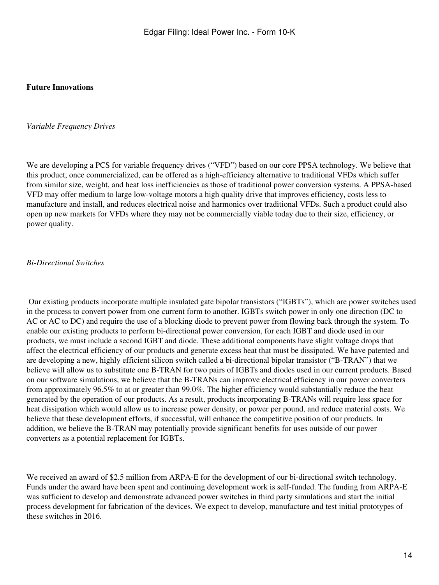#### **Future Innovations**

#### *Variable Frequency Drives*

We are developing a PCS for variable frequency drives ("VFD") based on our core PPSA technology. We believe that this product, once commercialized, can be offered as a high-efficiency alternative to traditional VFDs which suffer from similar size, weight, and heat loss inefficiencies as those of traditional power conversion systems. A PPSA-based VFD may offer medium to large low-voltage motors a high quality drive that improves efficiency, costs less to manufacture and install, and reduces electrical noise and harmonics over traditional VFDs. Such a product could also open up new markets for VFDs where they may not be commercially viable today due to their size, efficiency, or power quality.

#### *Bi-Directional Switches*

 Our existing products incorporate multiple insulated gate bipolar transistors ("IGBTs"), which are power switches used in the process to convert power from one current form to another. IGBTs switch power in only one direction (DC to AC or AC to DC) and require the use of a blocking diode to prevent power from flowing back through the system. To enable our existing products to perform bi-directional power conversion, for each IGBT and diode used in our products, we must include a second IGBT and diode. These additional components have slight voltage drops that affect the electrical efficiency of our products and generate excess heat that must be dissipated. We have patented and are developing a new, highly efficient silicon switch called a bi-directional bipolar transistor ("B-TRAN") that we believe will allow us to substitute one B-TRAN for two pairs of IGBTs and diodes used in our current products. Based on our software simulations, we believe that the B-TRANs can improve electrical efficiency in our power converters from approximately 96.5% to at or greater than 99.0%. The higher efficiency would substantially reduce the heat generated by the operation of our products. As a result, products incorporating B-TRANs will require less space for heat dissipation which would allow us to increase power density, or power per pound, and reduce material costs. We believe that these development efforts, if successful, will enhance the competitive position of our products. In addition, we believe the B-TRAN may potentially provide significant benefits for uses outside of our power converters as a potential replacement for IGBTs.

We received an award of \$2.5 million from ARPA-E for the development of our bi-directional switch technology. Funds under the award have been spent and continuing development work is self-funded. The funding from ARPA-E was sufficient to develop and demonstrate advanced power switches in third party simulations and start the initial process development for fabrication of the devices. We expect to develop, manufacture and test initial prototypes of these switches in 2016.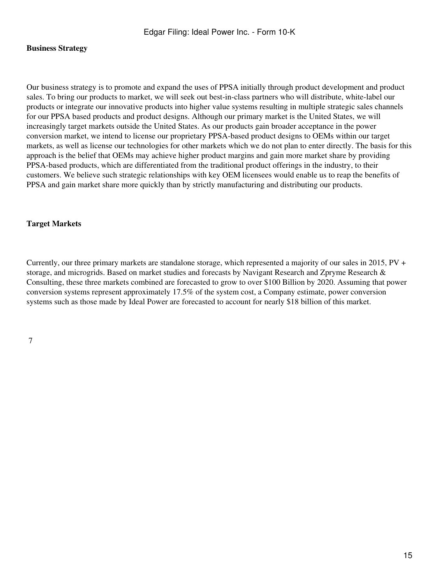### **Business Strategy**

Our business strategy is to promote and expand the uses of PPSA initially through product development and product sales. To bring our products to market, we will seek out best-in-class partners who will distribute, white-label our products or integrate our innovative products into higher value systems resulting in multiple strategic sales channels for our PPSA based products and product designs. Although our primary market is the United States, we will increasingly target markets outside the United States. As our products gain broader acceptance in the power conversion market, we intend to license our proprietary PPSA-based product designs to OEMs within our target markets, as well as license our technologies for other markets which we do not plan to enter directly. The basis for this approach is the belief that OEMs may achieve higher product margins and gain more market share by providing PPSA-based products, which are differentiated from the traditional product offerings in the industry, to their customers. We believe such strategic relationships with key OEM licensees would enable us to reap the benefits of PPSA and gain market share more quickly than by strictly manufacturing and distributing our products.

#### **Target Markets**

Currently, our three primary markets are standalone storage, which represented a majority of our sales in 2015, PV + storage, and microgrids. Based on market studies and forecasts by Navigant Research and Zpryme Research & Consulting, these three markets combined are forecasted to grow to over \$100 Billion by 2020. Assuming that power conversion systems represent approximately 17.5% of the system cost, a Company estimate, power conversion systems such as those made by Ideal Power are forecasted to account for nearly \$18 billion of this market.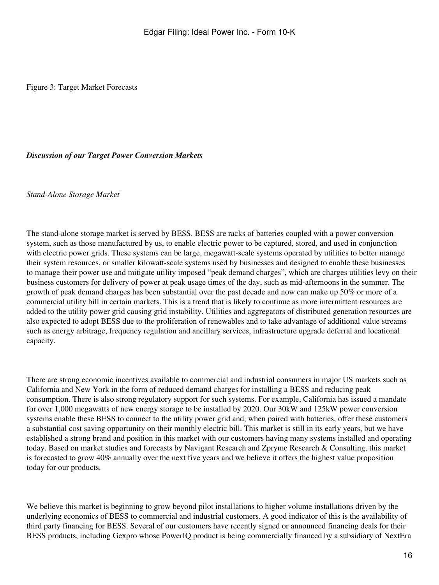Figure 3: Target Market Forecasts

### *Discussion of our Target Power Conversion Markets*

*Stand-Alone Storage Market*

The stand-alone storage market is served by BESS. BESS are racks of batteries coupled with a power conversion system, such as those manufactured by us, to enable electric power to be captured, stored, and used in conjunction with electric power grids. These systems can be large, megawatt-scale systems operated by utilities to better manage their system resources, or smaller kilowatt-scale systems used by businesses and designed to enable these businesses to manage their power use and mitigate utility imposed "peak demand charges", which are charges utilities levy on their business customers for delivery of power at peak usage times of the day, such as mid-afternoons in the summer. The growth of peak demand charges has been substantial over the past decade and now can make up 50% or more of a commercial utility bill in certain markets. This is a trend that is likely to continue as more intermittent resources are added to the utility power grid causing grid instability. Utilities and aggregators of distributed generation resources are also expected to adopt BESS due to the proliferation of renewables and to take advantage of additional value streams such as energy arbitrage, frequency regulation and ancillary services, infrastructure upgrade deferral and locational capacity.

There are strong economic incentives available to commercial and industrial consumers in major US markets such as California and New York in the form of reduced demand charges for installing a BESS and reducing peak consumption. There is also strong regulatory support for such systems. For example, California has issued a mandate for over 1,000 megawatts of new energy storage to be installed by 2020. Our 30kW and 125kW power conversion systems enable these BESS to connect to the utility power grid and, when paired with batteries, offer these customers a substantial cost saving opportunity on their monthly electric bill. This market is still in its early years, but we have established a strong brand and position in this market with our customers having many systems installed and operating today. Based on market studies and forecasts by Navigant Research and Zpryme Research & Consulting, this market is forecasted to grow 40% annually over the next five years and we believe it offers the highest value proposition today for our products.

We believe this market is beginning to grow beyond pilot installations to higher volume installations driven by the underlying economics of BESS to commercial and industrial customers. A good indicator of this is the availability of third party financing for BESS. Several of our customers have recently signed or announced financing deals for their BESS products, including Gexpro whose PowerIQ product is being commercially financed by a subsidiary of NextEra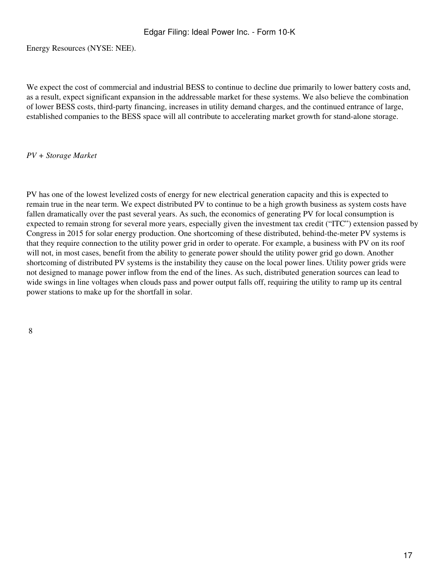Energy Resources (NYSE: NEE).

We expect the cost of commercial and industrial BESS to continue to decline due primarily to lower battery costs and, as a result, expect significant expansion in the addressable market for these systems. We also believe the combination of lower BESS costs, third-party financing, increases in utility demand charges, and the continued entrance of large, established companies to the BESS space will all contribute to accelerating market growth for stand-alone storage.

#### *PV + Storage Market*

PV has one of the lowest levelized costs of energy for new electrical generation capacity and this is expected to remain true in the near term. We expect distributed PV to continue to be a high growth business as system costs have fallen dramatically over the past several years. As such, the economics of generating PV for local consumption is expected to remain strong for several more years, especially given the investment tax credit ("ITC") extension passed by Congress in 2015 for solar energy production. One shortcoming of these distributed, behind-the-meter PV systems is that they require connection to the utility power grid in order to operate. For example, a business with PV on its roof will not, in most cases, benefit from the ability to generate power should the utility power grid go down. Another shortcoming of distributed PV systems is the instability they cause on the local power lines. Utility power grids were not designed to manage power inflow from the end of the lines. As such, distributed generation sources can lead to wide swings in line voltages when clouds pass and power output falls off, requiring the utility to ramp up its central power stations to make up for the shortfall in solar.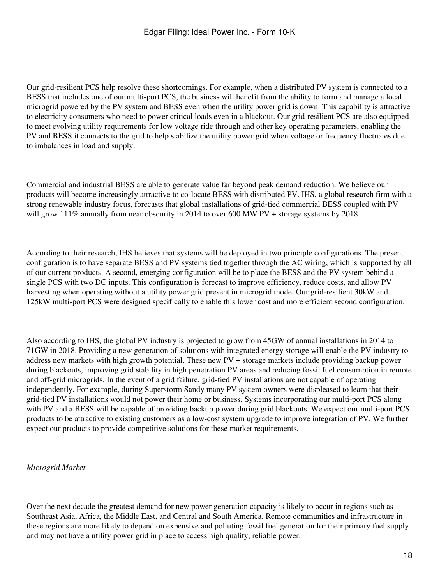Our grid-resilient PCS help resolve these shortcomings. For example, when a distributed PV system is connected to a BESS that includes one of our multi-port PCS, the business will benefit from the ability to form and manage a local microgrid powered by the PV system and BESS even when the utility power grid is down. This capability is attractive to electricity consumers who need to power critical loads even in a blackout. Our grid-resilient PCS are also equipped to meet evolving utility requirements for low voltage ride through and other key operating parameters, enabling the PV and BESS it connects to the grid to help stabilize the utility power grid when voltage or frequency fluctuates due to imbalances in load and supply.

Commercial and industrial BESS are able to generate value far beyond peak demand reduction. We believe our products will become increasingly attractive to co-locate BESS with distributed PV. IHS, a global research firm with a strong renewable industry focus, forecasts that global installations of grid-tied commercial BESS coupled with PV will grow 111% annually from near obscurity in 2014 to over 600 MW PV + storage systems by 2018.

According to their research, IHS believes that systems will be deployed in two principle configurations. The present configuration is to have separate BESS and PV systems tied together through the AC wiring, which is supported by all of our current products. A second, emerging configuration will be to place the BESS and the PV system behind a single PCS with two DC inputs. This configuration is forecast to improve efficiency, reduce costs, and allow PV harvesting when operating without a utility power grid present in microgrid mode. Our grid-resilient 30kW and 125kW multi-port PCS were designed specifically to enable this lower cost and more efficient second configuration.

Also according to IHS, the global PV industry is projected to grow from 45GW of annual installations in 2014 to 71GW in 2018. Providing a new generation of solutions with integrated energy storage will enable the PV industry to address new markets with high growth potential. These new PV + storage markets include providing backup power during blackouts, improving grid stability in high penetration PV areas and reducing fossil fuel consumption in remote and off-grid microgrids. In the event of a grid failure, grid-tied PV installations are not capable of operating independently. For example, during Superstorm Sandy many PV system owners were displeased to learn that their grid-tied PV installations would not power their home or business. Systems incorporating our multi-port PCS along with PV and a BESS will be capable of providing backup power during grid blackouts. We expect our multi-port PCS products to be attractive to existing customers as a low-cost system upgrade to improve integration of PV. We further expect our products to provide competitive solutions for these market requirements.

## *Microgrid Market*

Over the next decade the greatest demand for new power generation capacity is likely to occur in regions such as Southeast Asia, Africa, the Middle East, and Central and South America. Remote communities and infrastructure in these regions are more likely to depend on expensive and polluting fossil fuel generation for their primary fuel supply and may not have a utility power grid in place to access high quality, reliable power.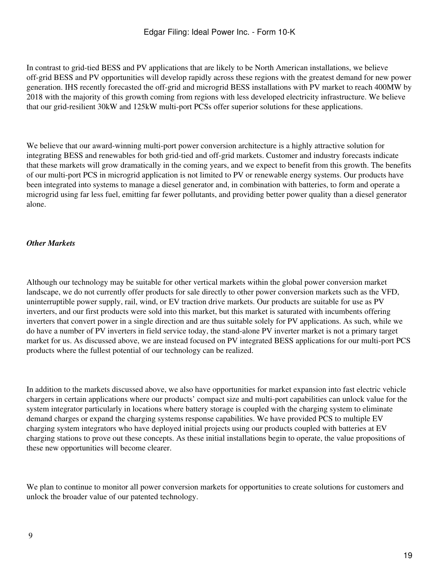In contrast to grid-tied BESS and PV applications that are likely to be North American installations, we believe off-grid BESS and PV opportunities will develop rapidly across these regions with the greatest demand for new power generation. IHS recently forecasted the off-grid and microgrid BESS installations with PV market to reach 400MW by 2018 with the majority of this growth coming from regions with less developed electricity infrastructure. We believe that our grid-resilient 30kW and 125kW multi-port PCSs offer superior solutions for these applications.

We believe that our award-winning multi-port power conversion architecture is a highly attractive solution for integrating BESS and renewables for both grid-tied and off-grid markets. Customer and industry forecasts indicate that these markets will grow dramatically in the coming years, and we expect to benefit from this growth. The benefits of our multi-port PCS in microgrid application is not limited to PV or renewable energy systems. Our products have been integrated into systems to manage a diesel generator and, in combination with batteries, to form and operate a microgrid using far less fuel, emitting far fewer pollutants, and providing better power quality than a diesel generator alone.

## *Other Markets*

Although our technology may be suitable for other vertical markets within the global power conversion market landscape, we do not currently offer products for sale directly to other power conversion markets such as the VFD, uninterruptible power supply, rail, wind, or EV traction drive markets. Our products are suitable for use as PV inverters, and our first products were sold into this market, but this market is saturated with incumbents offering inverters that convert power in a single direction and are thus suitable solely for PV applications. As such, while we do have a number of PV inverters in field service today, the stand-alone PV inverter market is not a primary target market for us. As discussed above, we are instead focused on PV integrated BESS applications for our multi-port PCS products where the fullest potential of our technology can be realized.

In addition to the markets discussed above, we also have opportunities for market expansion into fast electric vehicle chargers in certain applications where our products' compact size and multi-port capabilities can unlock value for the system integrator particularly in locations where battery storage is coupled with the charging system to eliminate demand charges or expand the charging systems response capabilities. We have provided PCS to multiple EV charging system integrators who have deployed initial projects using our products coupled with batteries at EV charging stations to prove out these concepts. As these initial installations begin to operate, the value propositions of these new opportunities will become clearer.

We plan to continue to monitor all power conversion markets for opportunities to create solutions for customers and unlock the broader value of our patented technology.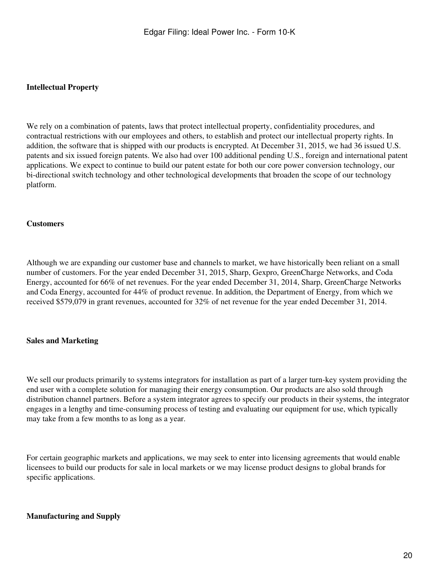### **Intellectual Property**

We rely on a combination of patents, laws that protect intellectual property, confidentiality procedures, and contractual restrictions with our employees and others, to establish and protect our intellectual property rights. In addition, the software that is shipped with our products is encrypted. At December 31, 2015, we had 36 issued U.S. patents and six issued foreign patents. We also had over 100 additional pending U.S., foreign and international patent applications. We expect to continue to build our patent estate for both our core power conversion technology, our bi-directional switch technology and other technological developments that broaden the scope of our technology platform.

#### **Customers**

Although we are expanding our customer base and channels to market, we have historically been reliant on a small number of customers. For the year ended December 31, 2015, Sharp, Gexpro, GreenCharge Networks, and Coda Energy, accounted for 66% of net revenues. For the year ended December 31, 2014, Sharp, GreenCharge Networks and Coda Energy, accounted for 44% of product revenue. In addition, the Department of Energy, from which we received \$579,079 in grant revenues, accounted for 32% of net revenue for the year ended December 31, 2014.

#### **Sales and Marketing**

We sell our products primarily to systems integrators for installation as part of a larger turn-key system providing the end user with a complete solution for managing their energy consumption. Our products are also sold through distribution channel partners. Before a system integrator agrees to specify our products in their systems, the integrator engages in a lengthy and time-consuming process of testing and evaluating our equipment for use, which typically may take from a few months to as long as a year.

For certain geographic markets and applications, we may seek to enter into licensing agreements that would enable licensees to build our products for sale in local markets or we may license product designs to global brands for specific applications.

#### **Manufacturing and Supply**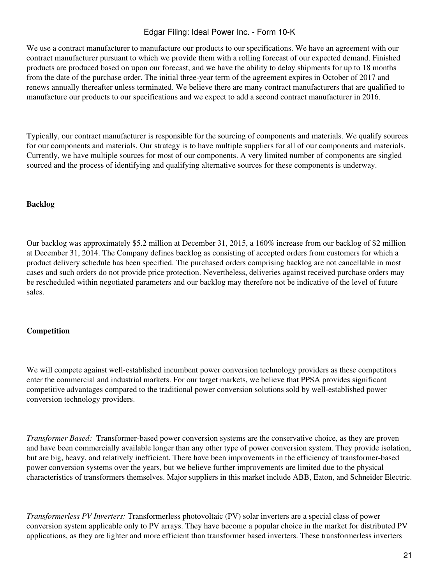We use a contract manufacturer to manufacture our products to our specifications. We have an agreement with our contract manufacturer pursuant to which we provide them with a rolling forecast of our expected demand. Finished products are produced based on upon our forecast, and we have the ability to delay shipments for up to 18 months from the date of the purchase order. The initial three-year term of the agreement expires in October of 2017 and renews annually thereafter unless terminated. We believe there are many contract manufacturers that are qualified to manufacture our products to our specifications and we expect to add a second contract manufacturer in 2016.

Typically, our contract manufacturer is responsible for the sourcing of components and materials. We qualify sources for our components and materials. Our strategy is to have multiple suppliers for all of our components and materials. Currently, we have multiple sources for most of our components. A very limited number of components are singled sourced and the process of identifying and qualifying alternative sources for these components is underway.

#### **Backlog**

Our backlog was approximately \$5.2 million at December 31, 2015, a 160% increase from our backlog of \$2 million at December 31, 2014. The Company defines backlog as consisting of accepted orders from customers for which a product delivery schedule has been specified. The purchased orders comprising backlog are not cancellable in most cases and such orders do not provide price protection. Nevertheless, deliveries against received purchase orders may be rescheduled within negotiated parameters and our backlog may therefore not be indicative of the level of future sales.

#### **Competition**

We will compete against well-established incumbent power conversion technology providers as these competitors enter the commercial and industrial markets. For our target markets, we believe that PPSA provides significant competitive advantages compared to the traditional power conversion solutions sold by well-established power conversion technology providers.

*Transformer Based:* Transformer-based power conversion systems are the conservative choice, as they are proven and have been commercially available longer than any other type of power conversion system. They provide isolation, but are big, heavy, and relatively inefficient. There have been improvements in the efficiency of transformer-based power conversion systems over the years, but we believe further improvements are limited due to the physical characteristics of transformers themselves. Major suppliers in this market include ABB, Eaton, and Schneider Electric.

*Transformerless PV Inverters:* Transformerless photovoltaic (PV) solar inverters are a special class of power conversion system applicable only to PV arrays. They have become a popular choice in the market for distributed PV applications, as they are lighter and more efficient than transformer based inverters. These transformerless inverters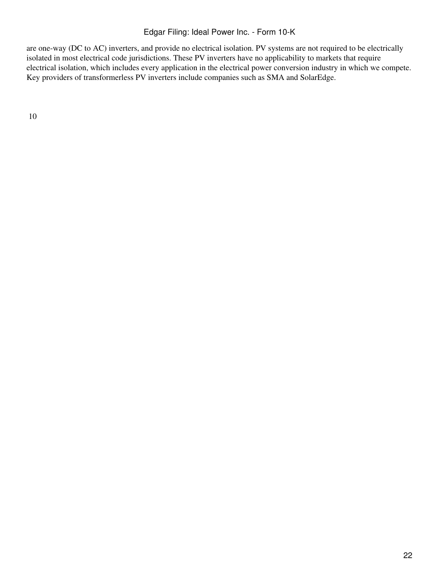are one-way (DC to AC) inverters, and provide no electrical isolation. PV systems are not required to be electrically isolated in most electrical code jurisdictions. These PV inverters have no applicability to markets that require electrical isolation, which includes every application in the electrical power conversion industry in which we compete. Key providers of transformerless PV inverters include companies such as SMA and SolarEdge.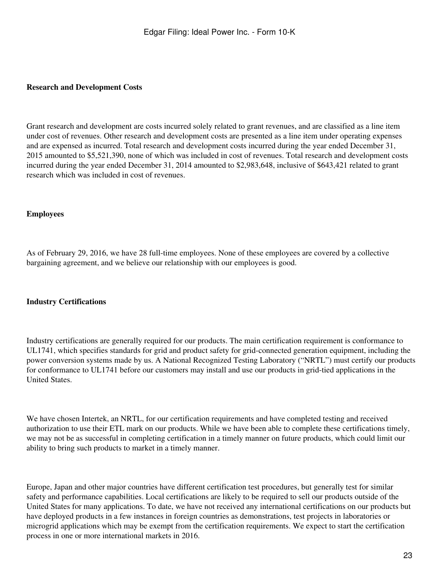#### **Research and Development Costs**

Grant research and development are costs incurred solely related to grant revenues, and are classified as a line item under cost of revenues. Other research and development costs are presented as a line item under operating expenses and are expensed as incurred. Total research and development costs incurred during the year ended December 31, 2015 amounted to \$5,521,390, none of which was included in cost of revenues. Total research and development costs incurred during the year ended December 31, 2014 amounted to \$2,983,648, inclusive of \$643,421 related to grant research which was included in cost of revenues.

### **Employees**

As of February 29, 2016, we have 28 full-time employees. None of these employees are covered by a collective bargaining agreement, and we believe our relationship with our employees is good.

#### **Industry Certifications**

Industry certifications are generally required for our products. The main certification requirement is conformance to UL1741, which specifies standards for grid and product safety for grid-connected generation equipment, including the power conversion systems made by us. A National Recognized Testing Laboratory ("NRTL") must certify our products for conformance to UL1741 before our customers may install and use our products in grid-tied applications in the United States.

We have chosen Intertek, an NRTL, for our certification requirements and have completed testing and received authorization to use their ETL mark on our products. While we have been able to complete these certifications timely, we may not be as successful in completing certification in a timely manner on future products, which could limit our ability to bring such products to market in a timely manner.

Europe, Japan and other major countries have different certification test procedures, but generally test for similar safety and performance capabilities. Local certifications are likely to be required to sell our products outside of the United States for many applications. To date, we have not received any international certifications on our products but have deployed products in a few instances in foreign countries as demonstrations, test projects in laboratories or microgrid applications which may be exempt from the certification requirements. We expect to start the certification process in one or more international markets in 2016.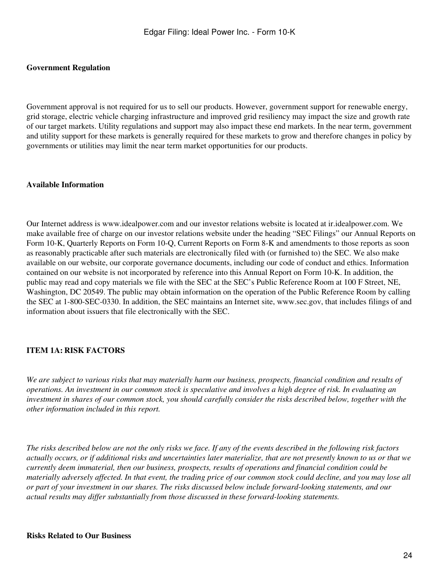#### **Government Regulation**

Government approval is not required for us to sell our products. However, government support for renewable energy, grid storage, electric vehicle charging infrastructure and improved grid resiliency may impact the size and growth rate of our target markets. Utility regulations and support may also impact these end markets. In the near term, government and utility support for these markets is generally required for these markets to grow and therefore changes in policy by governments or utilities may limit the near term market opportunities for our products.

#### **Available Information**

Our Internet address is www.idealpower.com and our investor relations website is located at ir.idealpower.com. We make available free of charge on our investor relations website under the heading "SEC Filings" our Annual Reports on Form 10-K, Quarterly Reports on Form 10-Q, Current Reports on Form 8-K and amendments to those reports as soon as reasonably practicable after such materials are electronically filed with (or furnished to) the SEC. We also make available on our website, our corporate governance documents, including our code of conduct and ethics. Information contained on our website is not incorporated by reference into this Annual Report on Form 10-K. In addition, the public may read and copy materials we file with the SEC at the SEC's Public Reference Room at 100 F Street, NE, Washington, DC 20549. The public may obtain information on the operation of the Public Reference Room by calling the SEC at 1-800-SEC-0330. In addition, the SEC maintains an Internet site, www.sec.gov, that includes filings of and information about issuers that file electronically with the SEC.

#### <span id="page-23-0"></span>**ITEM 1A: RISK FACTORS**

*We are subject to various risks that may materially harm our business, prospects, financial condition and results of operations. An investment in our common stock is speculative and involves a high degree of risk. In evaluating an investment in shares of our common stock, you should carefully consider the risks described below, together with the other information included in this report.*

*The risks described below are not the only risks we face. If any of the events described in the following risk factors actually occurs, or if additional risks and uncertainties later materialize, that are not presently known to us or that we currently deem immaterial, then our business, prospects, results of operations and financial condition could be materially adversely affected. In that event, the trading price of our common stock could decline, and you may lose all or part of your investment in our shares. The risks discussed below include forward-looking statements, and our actual results may differ substantially from those discussed in these forward-looking statements.*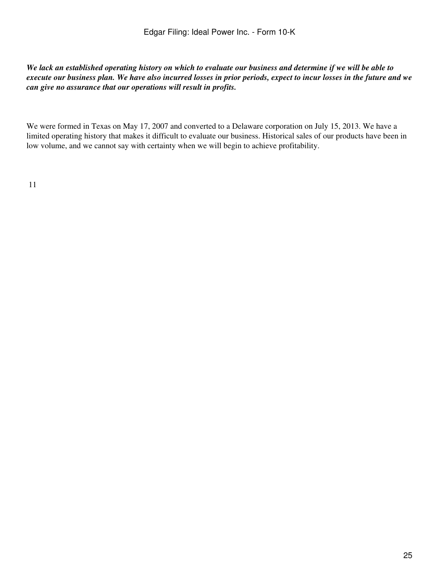*We lack an established operating history on which to evaluate our business and determine if we will be able to execute our business plan. We have also incurred losses in prior periods, expect to incur losses in the future and we can give no assurance that our operations will result in profits.*

We were formed in Texas on May 17, 2007 and converted to a Delaware corporation on July 15, 2013. We have a limited operating history that makes it difficult to evaluate our business. Historical sales of our products have been in low volume, and we cannot say with certainty when we will begin to achieve profitability.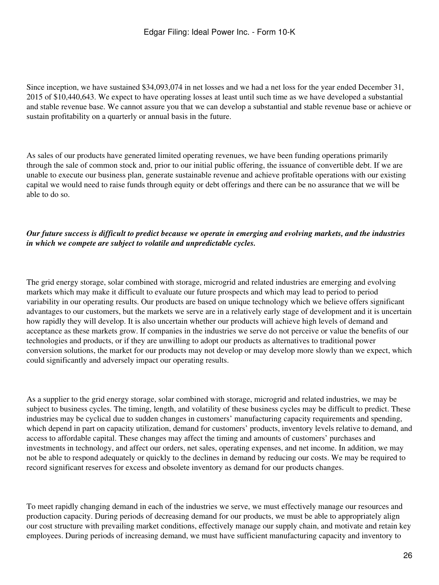Since inception, we have sustained \$34,093,074 in net losses and we had a net loss for the year ended December 31, 2015 of \$10,440,643. We expect to have operating losses at least until such time as we have developed a substantial and stable revenue base. We cannot assure you that we can develop a substantial and stable revenue base or achieve or sustain profitability on a quarterly or annual basis in the future.

As sales of our products have generated limited operating revenues, we have been funding operations primarily through the sale of common stock and, prior to our initial public offering, the issuance of convertible debt. If we are unable to execute our business plan, generate sustainable revenue and achieve profitable operations with our existing capital we would need to raise funds through equity or debt offerings and there can be no assurance that we will be able to do so.

## *Our future success is difficult to predict because we operate in emerging and evolving markets, and the industries in which we compete are subject to volatile and unpredictable cycles.*

The grid energy storage, solar combined with storage, microgrid and related industries are emerging and evolving markets which may make it difficult to evaluate our future prospects and which may lead to period to period variability in our operating results. Our products are based on unique technology which we believe offers significant advantages to our customers, but the markets we serve are in a relatively early stage of development and it is uncertain how rapidly they will develop. It is also uncertain whether our products will achieve high levels of demand and acceptance as these markets grow. If companies in the industries we serve do not perceive or value the benefits of our technologies and products, or if they are unwilling to adopt our products as alternatives to traditional power conversion solutions, the market for our products may not develop or may develop more slowly than we expect, which could significantly and adversely impact our operating results.

As a supplier to the grid energy storage, solar combined with storage, microgrid and related industries, we may be subject to business cycles. The timing, length, and volatility of these business cycles may be difficult to predict. These industries may be cyclical due to sudden changes in customers' manufacturing capacity requirements and spending, which depend in part on capacity utilization, demand for customers' products, inventory levels relative to demand, and access to affordable capital. These changes may affect the timing and amounts of customers' purchases and investments in technology, and affect our orders, net sales, operating expenses, and net income. In addition, we may not be able to respond adequately or quickly to the declines in demand by reducing our costs. We may be required to record significant reserves for excess and obsolete inventory as demand for our products changes.

To meet rapidly changing demand in each of the industries we serve, we must effectively manage our resources and production capacity. During periods of decreasing demand for our products, we must be able to appropriately align our cost structure with prevailing market conditions, effectively manage our supply chain, and motivate and retain key employees. During periods of increasing demand, we must have sufficient manufacturing capacity and inventory to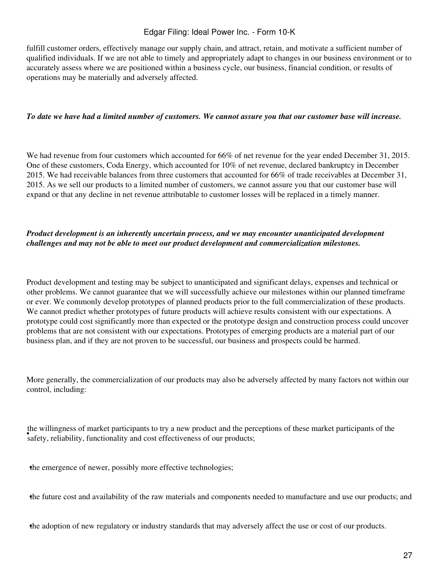fulfill customer orders, effectively manage our supply chain, and attract, retain, and motivate a sufficient number of qualified individuals. If we are not able to timely and appropriately adapt to changes in our business environment or to accurately assess where we are positioned within a business cycle, our business, financial condition, or results of operations may be materially and adversely affected.

#### *To date we have had a limited number of customers. We cannot assure you that our customer base will increase.*

We had revenue from four customers which accounted for 66% of net revenue for the year ended December 31, 2015. One of these customers, Coda Energy, which accounted for 10% of net revenue, declared bankruptcy in December 2015. We had receivable balances from three customers that accounted for 66% of trade receivables at December 31, 2015. As we sell our products to a limited number of customers, we cannot assure you that our customer base will expand or that any decline in net revenue attributable to customer losses will be replaced in a timely manner.

## *Product development is an inherently uncertain process, and we may encounter unanticipated development challenges and may not be able to meet our product development and commercialization milestones.*

Product development and testing may be subject to unanticipated and significant delays, expenses and technical or other problems. We cannot guarantee that we will successfully achieve our milestones within our planned timeframe or ever. We commonly develop prototypes of planned products prior to the full commercialization of these products. We cannot predict whether prototypes of future products will achieve results consistent with our expectations. A prototype could cost significantly more than expected or the prototype design and construction process could uncover problems that are not consistent with our expectations. Prototypes of emerging products are a material part of our business plan, and if they are not proven to be successful, our business and prospects could be harmed.

More generally, the commercialization of our products may also be adversely affected by many factors not within our control, including:

**EVALUATE:** while while the safety, reliability, functionality and cost effectiveness of our products; the willingness of market participants to try a new product and the perceptions of these market participants of the

the emergence of newer, possibly more effective technologies;

•the future cost and availability of the raw materials and components needed to manufacture and use our products; and

•the adoption of new regulatory or industry standards that may adversely affect the use or cost of our products.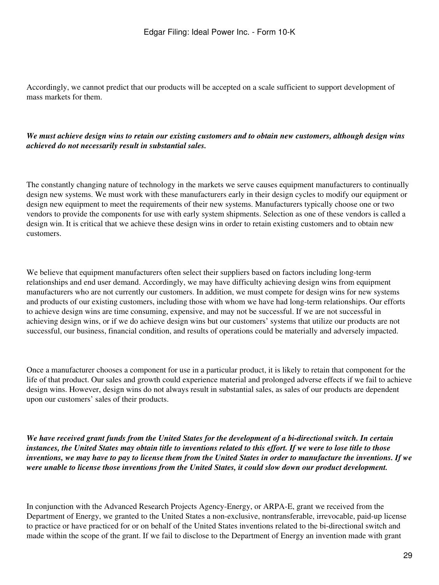Accordingly, we cannot predict that our products will be accepted on a scale sufficient to support development of mass markets for them.

## *We must achieve design wins to retain our existing customers and to obtain new customers, although design wins achieved do not necessarily result in substantial sales.*

The constantly changing nature of technology in the markets we serve causes equipment manufacturers to continually design new systems. We must work with these manufacturers early in their design cycles to modify our equipment or design new equipment to meet the requirements of their new systems. Manufacturers typically choose one or two vendors to provide the components for use with early system shipments. Selection as one of these vendors is called a design win. It is critical that we achieve these design wins in order to retain existing customers and to obtain new customers.

We believe that equipment manufacturers often select their suppliers based on factors including long-term relationships and end user demand. Accordingly, we may have difficulty achieving design wins from equipment manufacturers who are not currently our customers. In addition, we must compete for design wins for new systems and products of our existing customers, including those with whom we have had long-term relationships. Our efforts to achieve design wins are time consuming, expensive, and may not be successful. If we are not successful in achieving design wins, or if we do achieve design wins but our customers' systems that utilize our products are not successful, our business, financial condition, and results of operations could be materially and adversely impacted.

Once a manufacturer chooses a component for use in a particular product, it is likely to retain that component for the life of that product. Our sales and growth could experience material and prolonged adverse effects if we fail to achieve design wins. However, design wins do not always result in substantial sales, as sales of our products are dependent upon our customers' sales of their products.

*We have received grant funds from the United States for the development of a bi-directional switch. In certain instances, the United States may obtain title to inventions related to this effort. If we were to lose title to those inventions, we may have to pay to license them from the United States in order to manufacture the inventions. If we were unable to license those inventions from the United States, it could slow down our product development.*

In conjunction with the Advanced Research Projects Agency-Energy, or ARPA-E, grant we received from the Department of Energy, we granted to the United States a non-exclusive, nontransferable, irrevocable, paid-up license to practice or have practiced for or on behalf of the United States inventions related to the bi-directional switch and made within the scope of the grant. If we fail to disclose to the Department of Energy an invention made with grant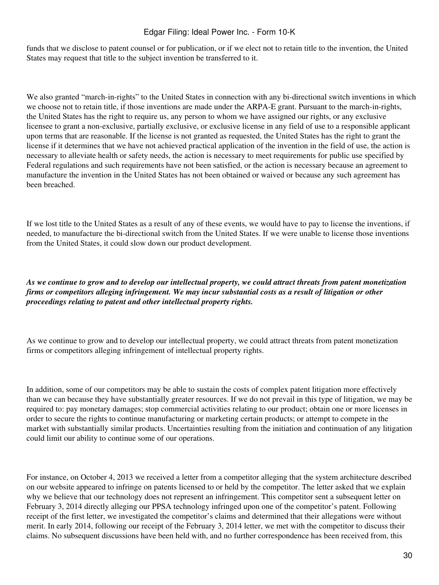funds that we disclose to patent counsel or for publication, or if we elect not to retain title to the invention, the United States may request that title to the subject invention be transferred to it.

We also granted "march-in-rights" to the United States in connection with any bi-directional switch inventions in which we choose not to retain title, if those inventions are made under the ARPA-E grant. Pursuant to the march-in-rights, the United States has the right to require us, any person to whom we have assigned our rights, or any exclusive licensee to grant a non-exclusive, partially exclusive, or exclusive license in any field of use to a responsible applicant upon terms that are reasonable. If the license is not granted as requested, the United States has the right to grant the license if it determines that we have not achieved practical application of the invention in the field of use, the action is necessary to alleviate health or safety needs, the action is necessary to meet requirements for public use specified by Federal regulations and such requirements have not been satisfied, or the action is necessary because an agreement to manufacture the invention in the United States has not been obtained or waived or because any such agreement has been breached.

If we lost title to the United States as a result of any of these events, we would have to pay to license the inventions, if needed, to manufacture the bi-directional switch from the United States. If we were unable to license those inventions from the United States, it could slow down our product development.

*As we continue to grow and to develop our intellectual property, we could attract threats from patent monetization firms or competitors alleging infringement. We may incur substantial costs as a result of litigation or other proceedings relating to patent and other intellectual property rights.*

As we continue to grow and to develop our intellectual property, we could attract threats from patent monetization firms or competitors alleging infringement of intellectual property rights.

In addition, some of our competitors may be able to sustain the costs of complex patent litigation more effectively than we can because they have substantially greater resources. If we do not prevail in this type of litigation, we may be required to: pay monetary damages; stop commercial activities relating to our product; obtain one or more licenses in order to secure the rights to continue manufacturing or marketing certain products; or attempt to compete in the market with substantially similar products. Uncertainties resulting from the initiation and continuation of any litigation could limit our ability to continue some of our operations.

For instance, on October 4, 2013 we received a letter from a competitor alleging that the system architecture described on our website appeared to infringe on patents licensed to or held by the competitor. The letter asked that we explain why we believe that our technology does not represent an infringement. This competitor sent a subsequent letter on February 3, 2014 directly alleging our PPSA technology infringed upon one of the competitor's patent. Following receipt of the first letter, we investigated the competitor's claims and determined that their allegations were without merit. In early 2014, following our receipt of the February 3, 2014 letter, we met with the competitor to discuss their claims. No subsequent discussions have been held with, and no further correspondence has been received from, this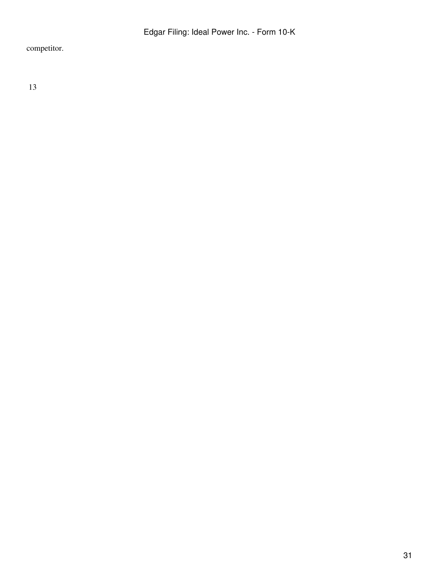competitor.

13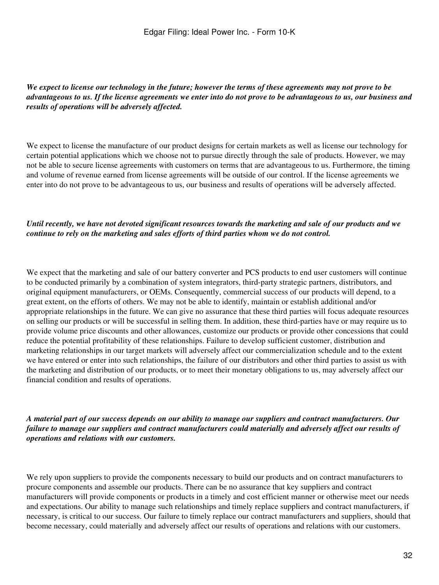*We expect to license our technology in the future; however the terms of these agreements may not prove to be advantageous to us. If the license agreements we enter into do not prove to be advantageous to us, our business and results of operations will be adversely affected.*

We expect to license the manufacture of our product designs for certain markets as well as license our technology for certain potential applications which we choose not to pursue directly through the sale of products. However, we may not be able to secure license agreements with customers on terms that are advantageous to us. Furthermore, the timing and volume of revenue earned from license agreements will be outside of our control. If the license agreements we enter into do not prove to be advantageous to us, our business and results of operations will be adversely affected.

### *Until recently, we have not devoted significant resources towards the marketing and sale of our products and we continue to rely on the marketing and sales efforts of third parties whom we do not control.*

We expect that the marketing and sale of our battery converter and PCS products to end user customers will continue to be conducted primarily by a combination of system integrators, third-party strategic partners, distributors, and original equipment manufacturers, or OEMs. Consequently, commercial success of our products will depend, to a great extent, on the efforts of others. We may not be able to identify, maintain or establish additional and/or appropriate relationships in the future. We can give no assurance that these third parties will focus adequate resources on selling our products or will be successful in selling them. In addition, these third-parties have or may require us to provide volume price discounts and other allowances, customize our products or provide other concessions that could reduce the potential profitability of these relationships. Failure to develop sufficient customer, distribution and marketing relationships in our target markets will adversely affect our commercialization schedule and to the extent we have entered or enter into such relationships, the failure of our distributors and other third parties to assist us with the marketing and distribution of our products, or to meet their monetary obligations to us, may adversely affect our financial condition and results of operations.

*A material part of our success depends on our ability to manage our suppliers and contract manufacturers. Our failure to manage our suppliers and contract manufacturers could materially and adversely affect our results of operations and relations with our customers.*

We rely upon suppliers to provide the components necessary to build our products and on contract manufacturers to procure components and assemble our products. There can be no assurance that key suppliers and contract manufacturers will provide components or products in a timely and cost efficient manner or otherwise meet our needs and expectations. Our ability to manage such relationships and timely replace suppliers and contract manufacturers, if necessary, is critical to our success. Our failure to timely replace our contract manufacturers and suppliers, should that become necessary, could materially and adversely affect our results of operations and relations with our customers.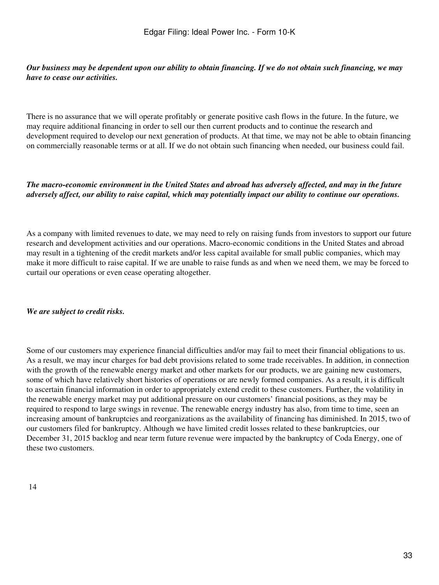## *Our business may be dependent upon our ability to obtain financing. If we do not obtain such financing, we may have to cease our activities.*

There is no assurance that we will operate profitably or generate positive cash flows in the future. In the future, we may require additional financing in order to sell our then current products and to continue the research and development required to develop our next generation of products. At that time, we may not be able to obtain financing on commercially reasonable terms or at all. If we do not obtain such financing when needed, our business could fail.

## *The macro-economic environment in the United States and abroad has adversely affected, and may in the future adversely affect, our ability to raise capital, which may potentially impact our ability to continue our operations.*

As a company with limited revenues to date, we may need to rely on raising funds from investors to support our future research and development activities and our operations. Macro-economic conditions in the United States and abroad may result in a tightening of the credit markets and/or less capital available for small public companies, which may make it more difficult to raise capital. If we are unable to raise funds as and when we need them, we may be forced to curtail our operations or even cease operating altogether.

## *We are subject to credit risks.*

Some of our customers may experience financial difficulties and/or may fail to meet their financial obligations to us. As a result, we may incur charges for bad debt provisions related to some trade receivables. In addition, in connection with the growth of the renewable energy market and other markets for our products, we are gaining new customers, some of which have relatively short histories of operations or are newly formed companies. As a result, it is difficult to ascertain financial information in order to appropriately extend credit to these customers. Further, the volatility in the renewable energy market may put additional pressure on our customers' financial positions, as they may be required to respond to large swings in revenue. The renewable energy industry has also, from time to time, seen an increasing amount of bankruptcies and reorganizations as the availability of financing has diminished. In 2015, two of our customers filed for bankruptcy. Although we have limited credit losses related to these bankruptcies, our December 31, 2015 backlog and near term future revenue were impacted by the bankruptcy of Coda Energy, one of these two customers.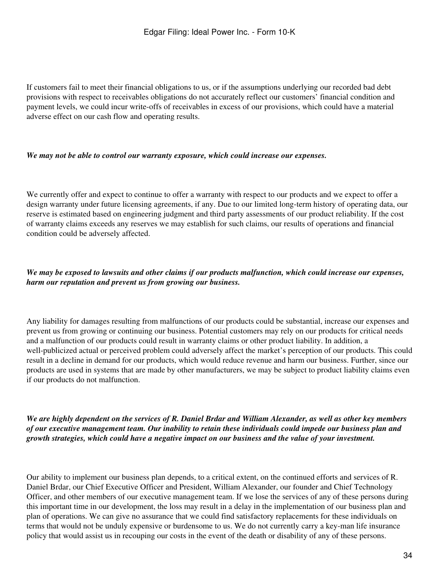If customers fail to meet their financial obligations to us, or if the assumptions underlying our recorded bad debt provisions with respect to receivables obligations do not accurately reflect our customers' financial condition and payment levels, we could incur write-offs of receivables in excess of our provisions, which could have a material adverse effect on our cash flow and operating results.

#### *We may not be able to control our warranty exposure, which could increase our expenses.*

We currently offer and expect to continue to offer a warranty with respect to our products and we expect to offer a design warranty under future licensing agreements, if any. Due to our limited long-term history of operating data, our reserve is estimated based on engineering judgment and third party assessments of our product reliability. If the cost of warranty claims exceeds any reserves we may establish for such claims, our results of operations and financial condition could be adversely affected.

## *We may be exposed to lawsuits and other claims if our products malfunction, which could increase our expenses, harm our reputation and prevent us from growing our business.*

Any liability for damages resulting from malfunctions of our products could be substantial, increase our expenses and prevent us from growing or continuing our business. Potential customers may rely on our products for critical needs and a malfunction of our products could result in warranty claims or other product liability. In addition, a well-publicized actual or perceived problem could adversely affect the market's perception of our products. This could result in a decline in demand for our products, which would reduce revenue and harm our business. Further, since our products are used in systems that are made by other manufacturers, we may be subject to product liability claims even if our products do not malfunction.

*We are highly dependent on the services of R. Daniel Brdar and William Alexander, as well as other key members of our executive management team. Our inability to retain these individuals could impede our business plan and growth strategies, which could have a negative impact on our business and the value of your investment.*

Our ability to implement our business plan depends, to a critical extent, on the continued efforts and services of R. Daniel Brdar, our Chief Executive Officer and President, William Alexander, our founder and Chief Technology Officer, and other members of our executive management team. If we lose the services of any of these persons during this important time in our development, the loss may result in a delay in the implementation of our business plan and plan of operations. We can give no assurance that we could find satisfactory replacements for these individuals on terms that would not be unduly expensive or burdensome to us. We do not currently carry a key-man life insurance policy that would assist us in recouping our costs in the event of the death or disability of any of these persons.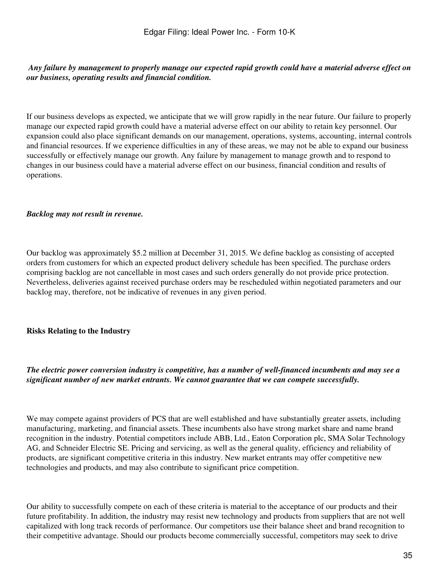## *Any failure by management to properly manage our expected rapid growth could have a material adverse effect on our business, operating results and financial condition.*

If our business develops as expected, we anticipate that we will grow rapidly in the near future. Our failure to properly manage our expected rapid growth could have a material adverse effect on our ability to retain key personnel. Our expansion could also place significant demands on our management, operations, systems, accounting, internal controls and financial resources. If we experience difficulties in any of these areas, we may not be able to expand our business successfully or effectively manage our growth. Any failure by management to manage growth and to respond to changes in our business could have a material adverse effect on our business, financial condition and results of operations.

### *Backlog may not result in revenue.*

Our backlog was approximately \$5.2 million at December 31, 2015. We define backlog as consisting of accepted orders from customers for which an expected product delivery schedule has been specified. The purchase orders comprising backlog are not cancellable in most cases and such orders generally do not provide price protection. Nevertheless, deliveries against received purchase orders may be rescheduled within negotiated parameters and our backlog may, therefore, not be indicative of revenues in any given period.

## **Risks Relating to the Industry**

## *The electric power conversion industry is competitive, has a number of well-financed incumbents and may see a significant number of new market entrants. We cannot guarantee that we can compete successfully.*

We may compete against providers of PCS that are well established and have substantially greater assets, including manufacturing, marketing, and financial assets. These incumbents also have strong market share and name brand recognition in the industry. Potential competitors include ABB, Ltd., Eaton Corporation plc, SMA Solar Technology AG, and Schneider Electric SE. Pricing and servicing, as well as the general quality, efficiency and reliability of products, are significant competitive criteria in this industry. New market entrants may offer competitive new technologies and products, and may also contribute to significant price competition.

Our ability to successfully compete on each of these criteria is material to the acceptance of our products and their future profitability. In addition, the industry may resist new technology and products from suppliers that are not well capitalized with long track records of performance. Our competitors use their balance sheet and brand recognition to their competitive advantage. Should our products become commercially successful, competitors may seek to drive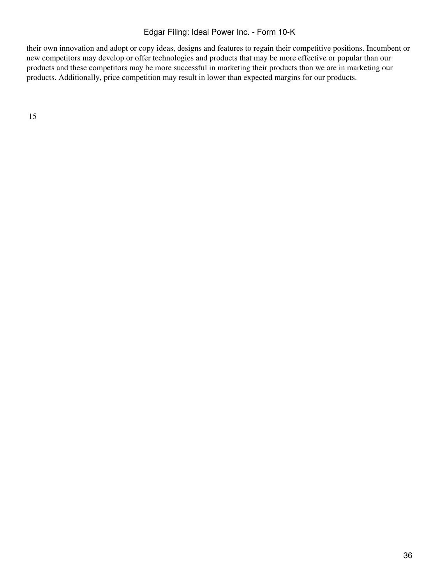their own innovation and adopt or copy ideas, designs and features to regain their competitive positions. Incumbent or new competitors may develop or offer technologies and products that may be more effective or popular than our products and these competitors may be more successful in marketing their products than we are in marketing our products. Additionally, price competition may result in lower than expected margins for our products.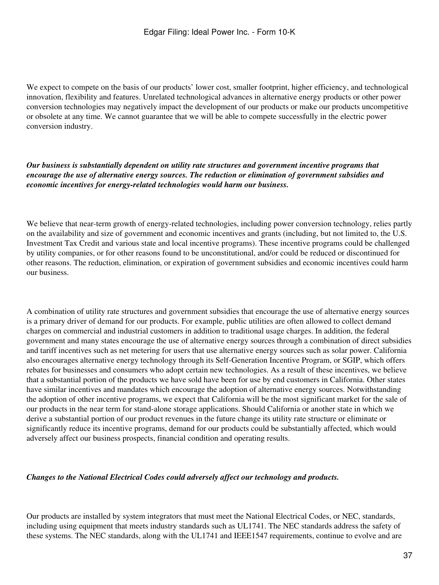We expect to compete on the basis of our products' lower cost, smaller footprint, higher efficiency, and technological innovation, flexibility and features. Unrelated technological advances in alternative energy products or other power conversion technologies may negatively impact the development of our products or make our products uncompetitive or obsolete at any time. We cannot guarantee that we will be able to compete successfully in the electric power conversion industry.

*Our business is substantially dependent on utility rate structures and government incentive programs that encourage the use of alternative energy sources. The reduction or elimination of government subsidies and economic incentives for energy-related technologies would harm our business.*

We believe that near-term growth of energy-related technologies, including power conversion technology, relies partly on the availability and size of government and economic incentives and grants (including, but not limited to, the U.S. Investment Tax Credit and various state and local incentive programs). These incentive programs could be challenged by utility companies, or for other reasons found to be unconstitutional, and/or could be reduced or discontinued for other reasons. The reduction, elimination, or expiration of government subsidies and economic incentives could harm our business.

A combination of utility rate structures and government subsidies that encourage the use of alternative energy sources is a primary driver of demand for our products. For example, public utilities are often allowed to collect demand charges on commercial and industrial customers in addition to traditional usage charges. In addition, the federal government and many states encourage the use of alternative energy sources through a combination of direct subsidies and tariff incentives such as net metering for users that use alternative energy sources such as solar power. California also encourages alternative energy technology through its Self-Generation Incentive Program, or SGIP, which offers rebates for businesses and consumers who adopt certain new technologies. As a result of these incentives, we believe that a substantial portion of the products we have sold have been for use by end customers in California. Other states have similar incentives and mandates which encourage the adoption of alternative energy sources. Notwithstanding the adoption of other incentive programs, we expect that California will be the most significant market for the sale of our products in the near term for stand-alone storage applications. Should California or another state in which we derive a substantial portion of our product revenues in the future change its utility rate structure or eliminate or significantly reduce its incentive programs, demand for our products could be substantially affected, which would adversely affect our business prospects, financial condition and operating results.

#### *Changes to the National Electrical Codes could adversely affect our technology and products.*

Our products are installed by system integrators that must meet the National Electrical Codes, or NEC, standards, including using equipment that meets industry standards such as UL1741. The NEC standards address the safety of these systems. The NEC standards, along with the UL1741 and IEEE1547 requirements, continue to evolve and are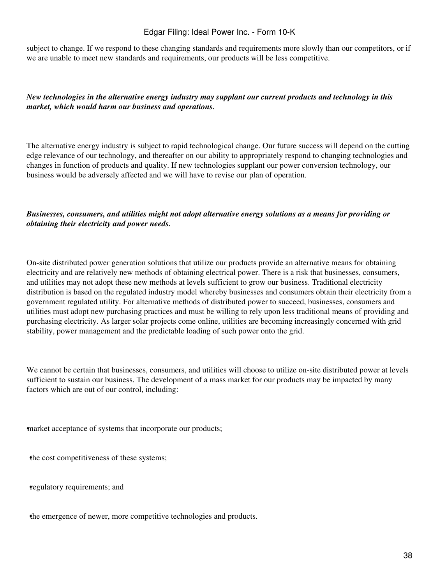subject to change. If we respond to these changing standards and requirements more slowly than our competitors, or if we are unable to meet new standards and requirements, our products will be less competitive.

## *New technologies in the alternative energy industry may supplant our current products and technology in this market, which would harm our business and operations.*

The alternative energy industry is subject to rapid technological change. Our future success will depend on the cutting edge relevance of our technology, and thereafter on our ability to appropriately respond to changing technologies and changes in function of products and quality. If new technologies supplant our power conversion technology, our business would be adversely affected and we will have to revise our plan of operation.

## *Businesses, consumers, and utilities might not adopt alternative energy solutions as a means for providing or obtaining their electricity and power needs.*

On-site distributed power generation solutions that utilize our products provide an alternative means for obtaining electricity and are relatively new methods of obtaining electrical power. There is a risk that businesses, consumers, and utilities may not adopt these new methods at levels sufficient to grow our business. Traditional electricity distribution is based on the regulated industry model whereby businesses and consumers obtain their electricity from a government regulated utility. For alternative methods of distributed power to succeed, businesses, consumers and utilities must adopt new purchasing practices and must be willing to rely upon less traditional means of providing and purchasing electricity. As larger solar projects come online, utilities are becoming increasingly concerned with grid stability, power management and the predictable loading of such power onto the grid.

We cannot be certain that businesses, consumers, and utilities will choose to utilize on-site distributed power at levels sufficient to sustain our business. The development of a mass market for our products may be impacted by many factors which are out of our control, including:

market acceptance of systems that incorporate our products;

the cost competitiveness of these systems;

•regulatory requirements; and

•the emergence of newer, more competitive technologies and products.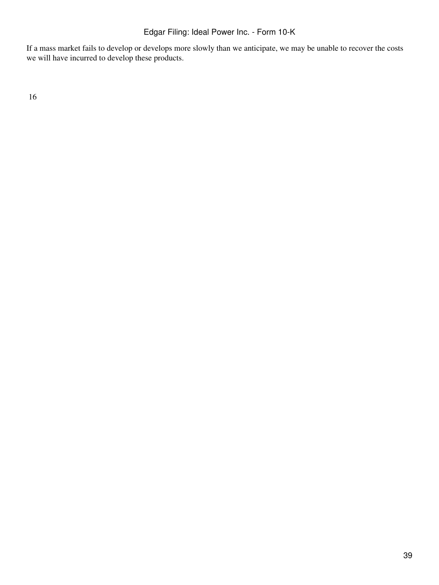If a mass market fails to develop or develops more slowly than we anticipate, we may be unable to recover the costs we will have incurred to develop these products.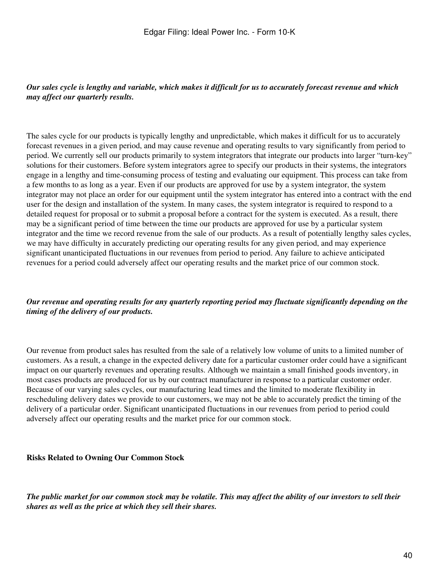## *Our sales cycle is lengthy and variable, which makes it difficult for us to accurately forecast revenue and which may affect our quarterly results.*

The sales cycle for our products is typically lengthy and unpredictable, which makes it difficult for us to accurately forecast revenues in a given period, and may cause revenue and operating results to vary significantly from period to period. We currently sell our products primarily to system integrators that integrate our products into larger "turn-key" solutions for their customers. Before system integrators agree to specify our products in their systems, the integrators engage in a lengthy and time-consuming process of testing and evaluating our equipment. This process can take from a few months to as long as a year. Even if our products are approved for use by a system integrator, the system integrator may not place an order for our equipment until the system integrator has entered into a contract with the end user for the design and installation of the system. In many cases, the system integrator is required to respond to a detailed request for proposal or to submit a proposal before a contract for the system is executed. As a result, there may be a significant period of time between the time our products are approved for use by a particular system integrator and the time we record revenue from the sale of our products. As a result of potentially lengthy sales cycles, we may have difficulty in accurately predicting our operating results for any given period, and may experience significant unanticipated fluctuations in our revenues from period to period. Any failure to achieve anticipated revenues for a period could adversely affect our operating results and the market price of our common stock.

## *Our revenue and operating results for any quarterly reporting period may fluctuate significantly depending on the timing of the delivery of our products.*

Our revenue from product sales has resulted from the sale of a relatively low volume of units to a limited number of customers. As a result, a change in the expected delivery date for a particular customer order could have a significant impact on our quarterly revenues and operating results. Although we maintain a small finished goods inventory, in most cases products are produced for us by our contract manufacturer in response to a particular customer order. Because of our varying sales cycles, our manufacturing lead times and the limited to moderate flexibility in rescheduling delivery dates we provide to our customers, we may not be able to accurately predict the timing of the delivery of a particular order. Significant unanticipated fluctuations in our revenues from period to period could adversely affect our operating results and the market price for our common stock.

#### **Risks Related to Owning Our Common Stock**

*The public market for our common stock may be volatile. This may affect the ability of our investors to sell their shares as well as the price at which they sell their shares.*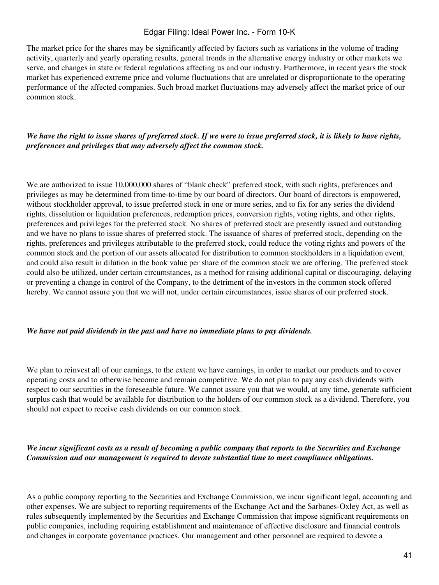The market price for the shares may be significantly affected by factors such as variations in the volume of trading activity, quarterly and yearly operating results, general trends in the alternative energy industry or other markets we serve, and changes in state or federal regulations affecting us and our industry. Furthermore, in recent years the stock market has experienced extreme price and volume fluctuations that are unrelated or disproportionate to the operating performance of the affected companies. Such broad market fluctuations may adversely affect the market price of our common stock.

## *We have the right to issue shares of preferred stock. If we were to issue preferred stock, it is likely to have rights, preferences and privileges that may adversely affect the common stock.*

We are authorized to issue 10,000,000 shares of "blank check" preferred stock, with such rights, preferences and privileges as may be determined from time-to-time by our board of directors. Our board of directors is empowered, without stockholder approval, to issue preferred stock in one or more series, and to fix for any series the dividend rights, dissolution or liquidation preferences, redemption prices, conversion rights, voting rights, and other rights, preferences and privileges for the preferred stock. No shares of preferred stock are presently issued and outstanding and we have no plans to issue shares of preferred stock. The issuance of shares of preferred stock, depending on the rights, preferences and privileges attributable to the preferred stock, could reduce the voting rights and powers of the common stock and the portion of our assets allocated for distribution to common stockholders in a liquidation event, and could also result in dilution in the book value per share of the common stock we are offering. The preferred stock could also be utilized, under certain circumstances, as a method for raising additional capital or discouraging, delaying or preventing a change in control of the Company, to the detriment of the investors in the common stock offered hereby. We cannot assure you that we will not, under certain circumstances, issue shares of our preferred stock.

#### *We have not paid dividends in the past and have no immediate plans to pay dividends.*

We plan to reinvest all of our earnings, to the extent we have earnings, in order to market our products and to cover operating costs and to otherwise become and remain competitive. We do not plan to pay any cash dividends with respect to our securities in the foreseeable future. We cannot assure you that we would, at any time, generate sufficient surplus cash that would be available for distribution to the holders of our common stock as a dividend. Therefore, you should not expect to receive cash dividends on our common stock.

#### *We incur significant costs as a result of becoming a public company that reports to the Securities and Exchange Commission and our management is required to devote substantial time to meet compliance obligations.*

As a public company reporting to the Securities and Exchange Commission, we incur significant legal, accounting and other expenses. We are subject to reporting requirements of the Exchange Act and the Sarbanes-Oxley Act, as well as rules subsequently implemented by the Securities and Exchange Commission that impose significant requirements on public companies, including requiring establishment and maintenance of effective disclosure and financial controls and changes in corporate governance practices. Our management and other personnel are required to devote a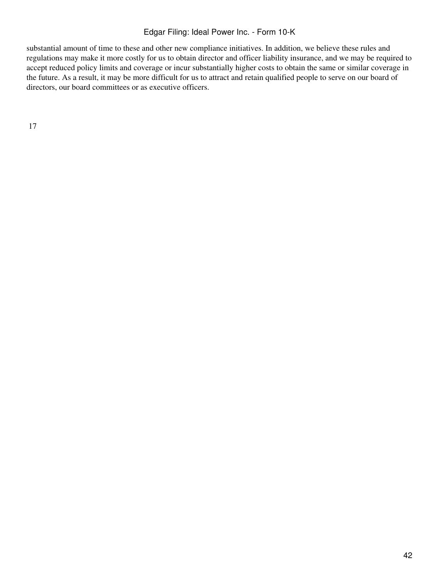substantial amount of time to these and other new compliance initiatives. In addition, we believe these rules and regulations may make it more costly for us to obtain director and officer liability insurance, and we may be required to accept reduced policy limits and coverage or incur substantially higher costs to obtain the same or similar coverage in the future. As a result, it may be more difficult for us to attract and retain qualified people to serve on our board of directors, our board committees or as executive officers.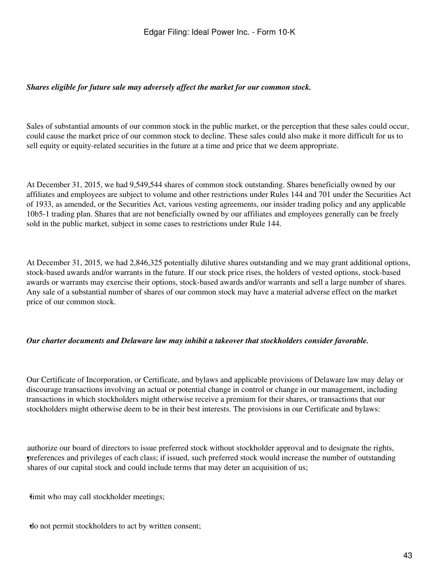#### *Shares eligible for future sale may adversely affect the market for our common stock.*

Sales of substantial amounts of our common stock in the public market, or the perception that these sales could occur, could cause the market price of our common stock to decline. These sales could also make it more difficult for us to sell equity or equity-related securities in the future at a time and price that we deem appropriate.

At December 31, 2015, we had 9,549,544 shares of common stock outstanding. Shares beneficially owned by our affiliates and employees are subject to volume and other restrictions under Rules 144 and 701 under the Securities Act of 1933, as amended, or the Securities Act, various vesting agreements, our insider trading policy and any applicable 10b5-1 trading plan. Shares that are not beneficially owned by our affiliates and employees generally can be freely sold in the public market, subject in some cases to restrictions under Rule 144.

At December 31, 2015, we had 2,846,325 potentially dilutive shares outstanding and we may grant additional options, stock-based awards and/or warrants in the future. If our stock price rises, the holders of vested options, stock-based awards or warrants may exercise their options, stock-based awards and/or warrants and sell a large number of shares. Any sale of a substantial number of shares of our common stock may have a material adverse effect on the market price of our common stock.

#### *Our charter documents and Delaware law may inhibit a takeover that stockholders consider favorable.*

Our Certificate of Incorporation, or Certificate, and bylaws and applicable provisions of Delaware law may delay or discourage transactions involving an actual or potential change in control or change in our management, including transactions in which stockholders might otherwise receive a premium for their shares, or transactions that our stockholders might otherwise deem to be in their best interests. The provisions in our Certificate and bylaws:

• preferences and privileges of each class; if issued, such preferred stock would increase the number of outstanding authorize our board of directors to issue preferred stock without stockholder approval and to designate the rights, shares of our capital stock and could include terms that may deter an acquisition of us;

imit who may call stockholder meetings;

•do not permit stockholders to act by written consent;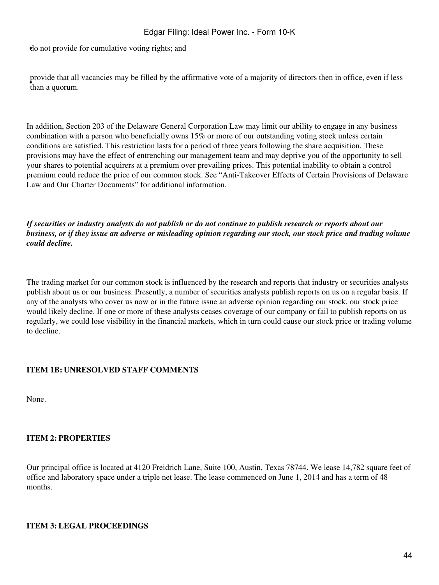•do not provide for cumulative voting rights; and

• than a quorum. provide that all vacancies may be filled by the affirmative vote of a majority of directors then in office, even if less

In addition, Section 203 of the Delaware General Corporation Law may limit our ability to engage in any business combination with a person who beneficially owns 15% or more of our outstanding voting stock unless certain conditions are satisfied. This restriction lasts for a period of three years following the share acquisition. These provisions may have the effect of entrenching our management team and may deprive you of the opportunity to sell your shares to potential acquirers at a premium over prevailing prices. This potential inability to obtain a control premium could reduce the price of our common stock. See "Anti-Takeover Effects of Certain Provisions of Delaware Law and Our Charter Documents" for additional information.

*If securities or industry analysts do not publish or do not continue to publish research or reports about our business, or if they issue an adverse or misleading opinion regarding our stock, our stock price and trading volume could decline.*

The trading market for our common stock is influenced by the research and reports that industry or securities analysts publish about us or our business. Presently, a number of securities analysts publish reports on us on a regular basis. If any of the analysts who cover us now or in the future issue an adverse opinion regarding our stock, our stock price would likely decline. If one or more of these analysts ceases coverage of our company or fail to publish reports on us regularly, we could lose visibility in the financial markets, which in turn could cause our stock price or trading volume to decline.

## **ITEM 1B: UNRESOLVED STAFF COMMENTS**

None.

## **ITEM 2: PROPERTIES**

Our principal office is located at 4120 Freidrich Lane, Suite 100, Austin, Texas 78744. We lease 14,782 square feet of office and laboratory space under a triple net lease. The lease commenced on June 1, 2014 and has a term of 48 months.

## **ITEM 3: LEGAL PROCEEDINGS**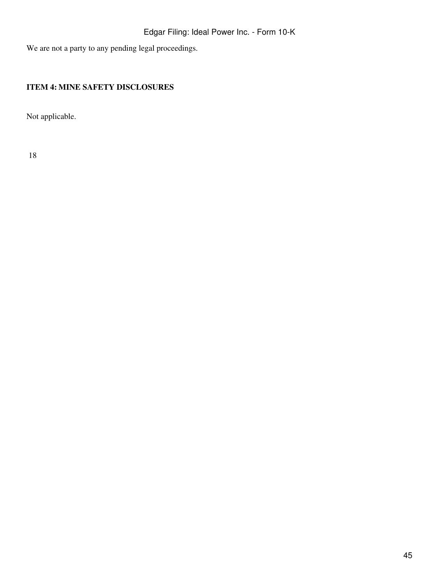We are not a party to any pending legal proceedings.

# **ITEM 4: MINE SAFETY DISCLOSURES**

Not applicable.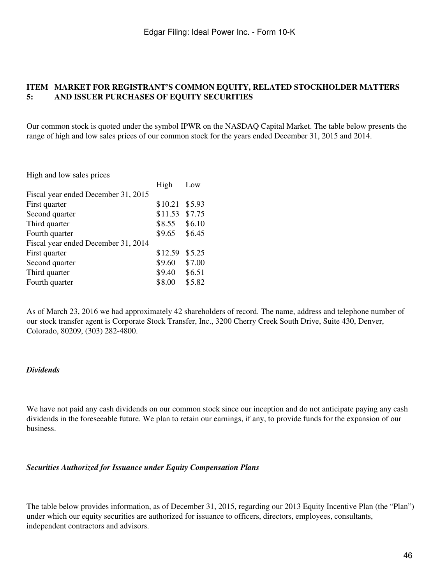#### **ITEM MARKET FOR REGISTRANT'S COMMON EQUITY, RELATED STOCKHOLDER MATTERS 5: AND ISSUER PURCHASES OF EQUITY SECURITIES**

Our common stock is quoted under the symbol IPWR on the NASDAQ Capital Market. The table below presents the range of high and low sales prices of our common stock for the years ended December 31, 2015 and 2014.

High and low sales prices

|                                     | High    | Low    |
|-------------------------------------|---------|--------|
| Fiscal year ended December 31, 2015 |         |        |
| First quarter                       | \$10.21 | \$5.93 |
| Second quarter                      | \$11.53 | \$7.75 |
| Third quarter                       | \$8.55  | \$6.10 |
| Fourth quarter                      | \$9.65  | \$6.45 |
| Fiscal year ended December 31, 2014 |         |        |
| First quarter                       | \$12.59 | \$5.25 |
| Second quarter                      | \$9.60  | \$7.00 |
| Third quarter                       | \$9.40  | \$6.51 |
| Fourth quarter                      | \$8.00  | \$5.82 |
|                                     |         |        |

As of March 23, 2016 we had approximately 42 shareholders of record. The name, address and telephone number of our stock transfer agent is Corporate Stock Transfer, Inc., 3200 Cherry Creek South Drive, Suite 430, Denver, Colorado, 80209, (303) 282-4800.

#### *Dividends*

We have not paid any cash dividends on our common stock since our inception and do not anticipate paying any cash dividends in the foreseeable future. We plan to retain our earnings, if any, to provide funds for the expansion of our business.

#### *Securities Authorized for Issuance under Equity Compensation Plans*

The table below provides information, as of December 31, 2015, regarding our 2013 Equity Incentive Plan (the "Plan") under which our equity securities are authorized for issuance to officers, directors, employees, consultants, independent contractors and advisors.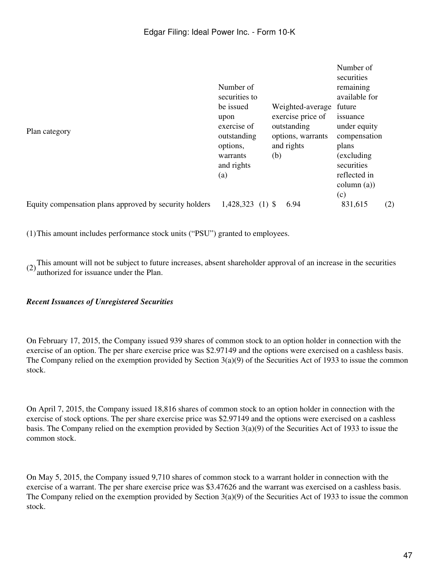| Plan category                                          | Number of<br>securities to<br>be issued<br>upon<br>exercise of<br>outstanding<br>options, | Weighted-average<br>exercise price of<br>outstanding<br>options, warrants<br>and rights |      | Number of<br>securities<br>remaining<br>available for<br>future<br>issuance<br>under equity<br>compensation |     |
|--------------------------------------------------------|-------------------------------------------------------------------------------------------|-----------------------------------------------------------------------------------------|------|-------------------------------------------------------------------------------------------------------------|-----|
|                                                        | warrants<br>and rights<br>(a)                                                             | (b)                                                                                     |      | (excluding)<br>securities<br>reflected in<br>column (a))<br>(c)                                             |     |
| Equity compensation plans approved by security holders | 1,428,323<br>$(1)$ \$                                                                     |                                                                                         | 6.94 | 831,615                                                                                                     | (2) |

(1)This amount includes performance stock units ("PSU") granted to employees.

(2)This amount will not be subject to future increases, absent shareholder approval of an increase in the securities authorized for issuance under the Plan.

## *Recent Issuances of Unregistered Securities*

On February 17, 2015, the Company issued 939 shares of common stock to an option holder in connection with the exercise of an option. The per share exercise price was \$2.97149 and the options were exercised on a cashless basis. The Company relied on the exemption provided by Section 3(a)(9) of the Securities Act of 1933 to issue the common stock.

On April 7, 2015, the Company issued 18,816 shares of common stock to an option holder in connection with the exercise of stock options. The per share exercise price was \$2.97149 and the options were exercised on a cashless basis. The Company relied on the exemption provided by Section 3(a)(9) of the Securities Act of 1933 to issue the common stock.

On May 5, 2015, the Company issued 9,710 shares of common stock to a warrant holder in connection with the exercise of a warrant. The per share exercise price was \$3.47626 and the warrant was exercised on a cashless basis. The Company relied on the exemption provided by Section 3(a)(9) of the Securities Act of 1933 to issue the common stock.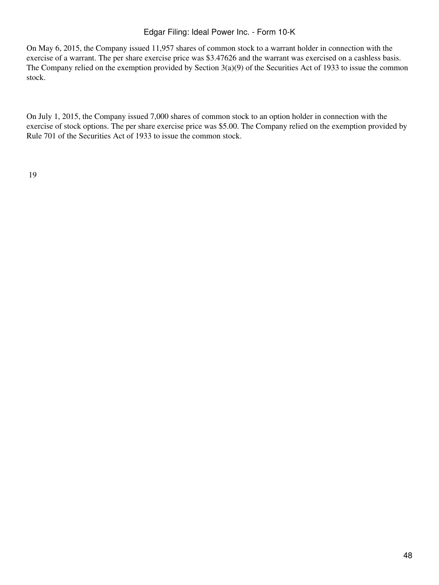On May 6, 2015, the Company issued 11,957 shares of common stock to a warrant holder in connection with the exercise of a warrant. The per share exercise price was \$3.47626 and the warrant was exercised on a cashless basis. The Company relied on the exemption provided by Section 3(a)(9) of the Securities Act of 1933 to issue the common stock.

On July 1, 2015, the Company issued 7,000 shares of common stock to an option holder in connection with the exercise of stock options. The per share exercise price was \$5.00. The Company relied on the exemption provided by Rule 701 of the Securities Act of 1933 to issue the common stock.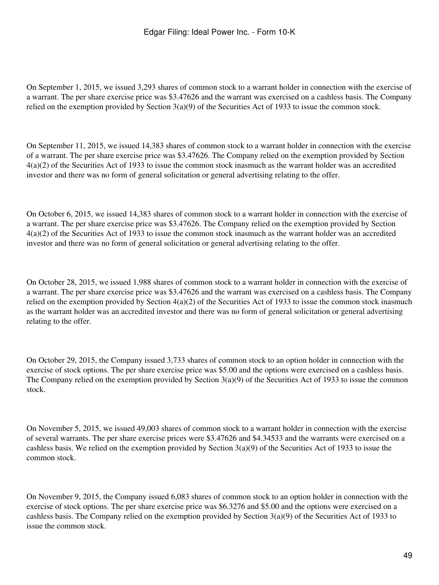On September 1, 2015, we issued 3,293 shares of common stock to a warrant holder in connection with the exercise of a warrant. The per share exercise price was \$3.47626 and the warrant was exercised on a cashless basis. The Company relied on the exemption provided by Section 3(a)(9) of the Securities Act of 1933 to issue the common stock.

On September 11, 2015, we issued 14,383 shares of common stock to a warrant holder in connection with the exercise of a warrant. The per share exercise price was \$3.47626. The Company relied on the exemption provided by Section 4(a)(2) of the Securities Act of 1933 to issue the common stock inasmuch as the warrant holder was an accredited investor and there was no form of general solicitation or general advertising relating to the offer.

On October 6, 2015, we issued 14,383 shares of common stock to a warrant holder in connection with the exercise of a warrant. The per share exercise price was \$3.47626. The Company relied on the exemption provided by Section 4(a)(2) of the Securities Act of 1933 to issue the common stock inasmuch as the warrant holder was an accredited investor and there was no form of general solicitation or general advertising relating to the offer.

On October 28, 2015, we issued 1,988 shares of common stock to a warrant holder in connection with the exercise of a warrant. The per share exercise price was \$3.47626 and the warrant was exercised on a cashless basis. The Company relied on the exemption provided by Section  $4(a)(2)$  of the Securities Act of 1933 to issue the common stock inasmuch as the warrant holder was an accredited investor and there was no form of general solicitation or general advertising relating to the offer.

On October 29, 2015, the Company issued 3,733 shares of common stock to an option holder in connection with the exercise of stock options. The per share exercise price was \$5.00 and the options were exercised on a cashless basis. The Company relied on the exemption provided by Section 3(a)(9) of the Securities Act of 1933 to issue the common stock.

On November 5, 2015, we issued 49,003 shares of common stock to a warrant holder in connection with the exercise of several warrants. The per share exercise prices were \$3.47626 and \$4.34533 and the warrants were exercised on a cashless basis. We relied on the exemption provided by Section 3(a)(9) of the Securities Act of 1933 to issue the common stock.

On November 9, 2015, the Company issued 6,083 shares of common stock to an option holder in connection with the exercise of stock options. The per share exercise price was \$6.3276 and \$5.00 and the options were exercised on a cashless basis. The Company relied on the exemption provided by Section 3(a)(9) of the Securities Act of 1933 to issue the common stock.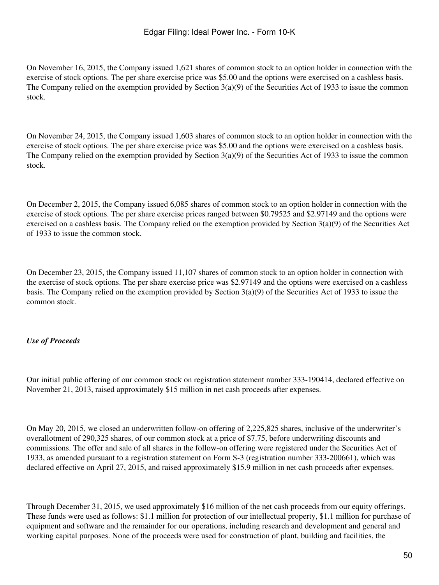On November 16, 2015, the Company issued 1,621 shares of common stock to an option holder in connection with the exercise of stock options. The per share exercise price was \$5.00 and the options were exercised on a cashless basis. The Company relied on the exemption provided by Section 3(a)(9) of the Securities Act of 1933 to issue the common stock.

On November 24, 2015, the Company issued 1,603 shares of common stock to an option holder in connection with the exercise of stock options. The per share exercise price was \$5.00 and the options were exercised on a cashless basis. The Company relied on the exemption provided by Section 3(a)(9) of the Securities Act of 1933 to issue the common stock.

On December 2, 2015, the Company issued 6,085 shares of common stock to an option holder in connection with the exercise of stock options. The per share exercise prices ranged between \$0.79525 and \$2.97149 and the options were exercised on a cashless basis. The Company relied on the exemption provided by Section  $3(a)(9)$  of the Securities Act of 1933 to issue the common stock.

On December 23, 2015, the Company issued 11,107 shares of common stock to an option holder in connection with the exercise of stock options. The per share exercise price was \$2.97149 and the options were exercised on a cashless basis. The Company relied on the exemption provided by Section 3(a)(9) of the Securities Act of 1933 to issue the common stock.

## *Use of Proceeds*

Our initial public offering of our common stock on registration statement number 333-190414, declared effective on November 21, 2013, raised approximately \$15 million in net cash proceeds after expenses.

On May 20, 2015, we closed an underwritten follow-on offering of 2,225,825 shares, inclusive of the underwriter's overallotment of 290,325 shares, of our common stock at a price of \$7.75, before underwriting discounts and commissions. The offer and sale of all shares in the follow-on offering were registered under the Securities Act of 1933, as amended pursuant to a registration statement on Form S-3 (registration number 333-200661), which was declared effective on April 27, 2015, and raised approximately \$15.9 million in net cash proceeds after expenses.

Through December 31, 2015, we used approximately \$16 million of the net cash proceeds from our equity offerings. These funds were used as follows: \$1.1 million for protection of our intellectual property, \$1.1 million for purchase of equipment and software and the remainder for our operations, including research and development and general and working capital purposes. None of the proceeds were used for construction of plant, building and facilities, the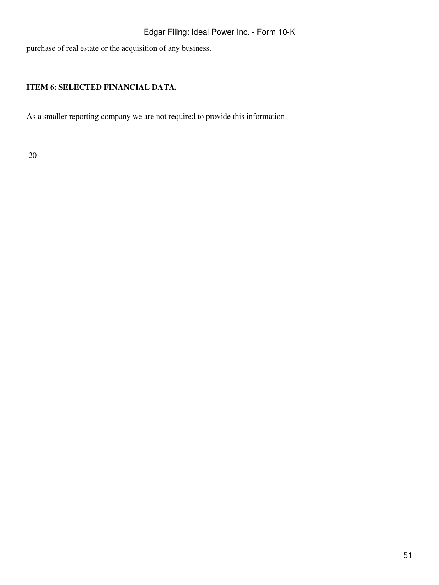purchase of real estate or the acquisition of any business.

# **ITEM 6: SELECTED FINANCIAL DATA.**

As a smaller reporting company we are not required to provide this information.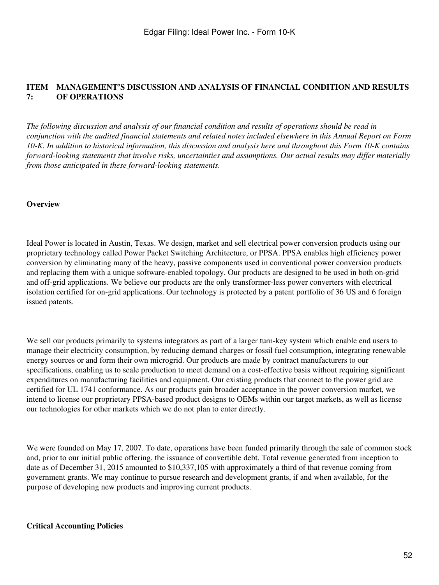#### **ITEM 7: MANAGEMENT'S DISCUSSION AND ANALYSIS OF FINANCIAL CONDITION AND RESULTS OF OPERATIONS**

*The following discussion and analysis of our financial condition and results of operations should be read in conjunction with the audited financial statements and related notes included elsewhere in this Annual Report on Form 10-K. In addition to historical information, this discussion and analysis here and throughout this Form 10-K contains forward-looking statements that involve risks, uncertainties and assumptions. Our actual results may differ materially from those anticipated in these forward-looking statements.*

#### **Overview**

Ideal Power is located in Austin, Texas. We design, market and sell electrical power conversion products using our proprietary technology called Power Packet Switching Architecture, or PPSA. PPSA enables high efficiency power conversion by eliminating many of the heavy, passive components used in conventional power conversion products and replacing them with a unique software-enabled topology. Our products are designed to be used in both on-grid and off-grid applications. We believe our products are the only transformer-less power converters with electrical isolation certified for on-grid applications. Our technology is protected by a patent portfolio of 36 US and 6 foreign issued patents.

We sell our products primarily to systems integrators as part of a larger turn-key system which enable end users to manage their electricity consumption, by reducing demand charges or fossil fuel consumption, integrating renewable energy sources or and form their own microgrid. Our products are made by contract manufacturers to our specifications, enabling us to scale production to meet demand on a cost-effective basis without requiring significant expenditures on manufacturing facilities and equipment. Our existing products that connect to the power grid are certified for UL 1741 conformance. As our products gain broader acceptance in the power conversion market, we intend to license our proprietary PPSA-based product designs to OEMs within our target markets, as well as license our technologies for other markets which we do not plan to enter directly.

We were founded on May 17, 2007. To date, operations have been funded primarily through the sale of common stock and, prior to our initial public offering, the issuance of convertible debt. Total revenue generated from inception to date as of December 31, 2015 amounted to \$10,337,105 with approximately a third of that revenue coming from government grants. We may continue to pursue research and development grants, if and when available, for the purpose of developing new products and improving current products.

## **Critical Accounting Policies**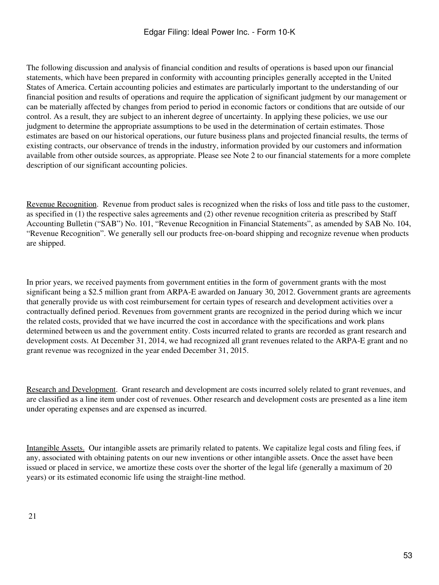The following discussion and analysis of financial condition and results of operations is based upon our financial statements, which have been prepared in conformity with accounting principles generally accepted in the United States of America. Certain accounting policies and estimates are particularly important to the understanding of our financial position and results of operations and require the application of significant judgment by our management or can be materially affected by changes from period to period in economic factors or conditions that are outside of our control. As a result, they are subject to an inherent degree of uncertainty. In applying these policies, we use our judgment to determine the appropriate assumptions to be used in the determination of certain estimates. Those estimates are based on our historical operations, our future business plans and projected financial results, the terms of existing contracts, our observance of trends in the industry, information provided by our customers and information available from other outside sources, as appropriate. Please see Note 2 to our financial statements for a more complete description of our significant accounting policies.

Revenue Recognition. Revenue from product sales is recognized when the risks of loss and title pass to the customer, as specified in (1) the respective sales agreements and (2) other revenue recognition criteria as prescribed by Staff Accounting Bulletin ("SAB") No. 101, "Revenue Recognition in Financial Statements", as amended by SAB No. 104, "Revenue Recognition". We generally sell our products free-on-board shipping and recognize revenue when products are shipped.

In prior years, we received payments from government entities in the form of government grants with the most significant being a \$2.5 million grant from ARPA-E awarded on January 30, 2012. Government grants are agreements that generally provide us with cost reimbursement for certain types of research and development activities over a contractually defined period. Revenues from government grants are recognized in the period during which we incur the related costs, provided that we have incurred the cost in accordance with the specifications and work plans determined between us and the government entity. Costs incurred related to grants are recorded as grant research and development costs. At December 31, 2014, we had recognized all grant revenues related to the ARPA-E grant and no grant revenue was recognized in the year ended December 31, 2015.

Research and Development. Grant research and development are costs incurred solely related to grant revenues, and are classified as a line item under cost of revenues. Other research and development costs are presented as a line item under operating expenses and are expensed as incurred.

Intangible Assets. Our intangible assets are primarily related to patents. We capitalize legal costs and filing fees, if any, associated with obtaining patents on our new inventions or other intangible assets. Once the asset have been issued or placed in service, we amortize these costs over the shorter of the legal life (generally a maximum of 20 years) or its estimated economic life using the straight-line method.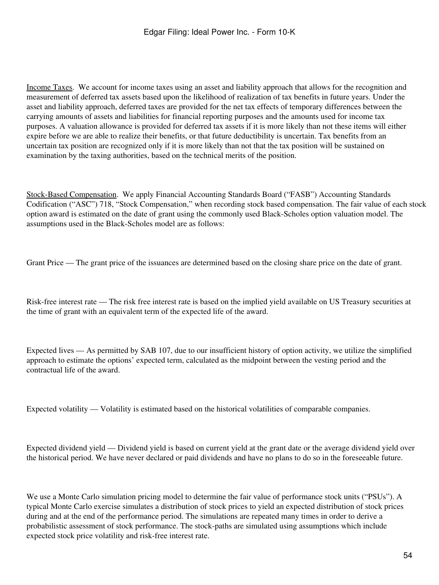Income Taxes. We account for income taxes using an asset and liability approach that allows for the recognition and measurement of deferred tax assets based upon the likelihood of realization of tax benefits in future years. Under the asset and liability approach, deferred taxes are provided for the net tax effects of temporary differences between the carrying amounts of assets and liabilities for financial reporting purposes and the amounts used for income tax purposes. A valuation allowance is provided for deferred tax assets if it is more likely than not these items will either expire before we are able to realize their benefits, or that future deductibility is uncertain. Tax benefits from an uncertain tax position are recognized only if it is more likely than not that the tax position will be sustained on examination by the taxing authorities, based on the technical merits of the position.

Stock-Based Compensation. We apply Financial Accounting Standards Board ("FASB") Accounting Standards Codification ("ASC") 718, "Stock Compensation," when recording stock based compensation. The fair value of each stock option award is estimated on the date of grant using the commonly used Black-Scholes option valuation model. The assumptions used in the Black-Scholes model are as follows:

Grant Price — The grant price of the issuances are determined based on the closing share price on the date of grant.

Risk-free interest rate — The risk free interest rate is based on the implied yield available on US Treasury securities at the time of grant with an equivalent term of the expected life of the award.

Expected lives — As permitted by SAB 107, due to our insufficient history of option activity, we utilize the simplified approach to estimate the options' expected term, calculated as the midpoint between the vesting period and the contractual life of the award.

Expected volatility — Volatility is estimated based on the historical volatilities of comparable companies.

Expected dividend yield — Dividend yield is based on current yield at the grant date or the average dividend yield over the historical period. We have never declared or paid dividends and have no plans to do so in the foreseeable future.

We use a Monte Carlo simulation pricing model to determine the fair value of performance stock units ("PSUs"). A typical Monte Carlo exercise simulates a distribution of stock prices to yield an expected distribution of stock prices during and at the end of the performance period. The simulations are repeated many times in order to derive a probabilistic assessment of stock performance. The stock-paths are simulated using assumptions which include expected stock price volatility and risk-free interest rate.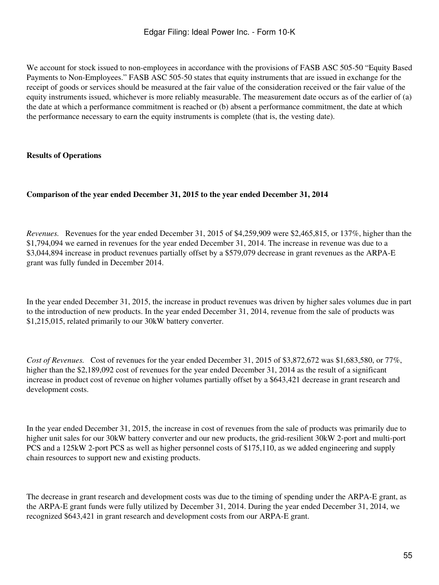We account for stock issued to non-employees in accordance with the provisions of FASB ASC 505-50 "Equity Based" Payments to Non-Employees." FASB ASC 505-50 states that equity instruments that are issued in exchange for the receipt of goods or services should be measured at the fair value of the consideration received or the fair value of the equity instruments issued, whichever is more reliably measurable. The measurement date occurs as of the earlier of (a) the date at which a performance commitment is reached or (b) absent a performance commitment, the date at which the performance necessary to earn the equity instruments is complete (that is, the vesting date).

## **Results of Operations**

## **Comparison of the year ended December 31, 2015 to the year ended December 31, 2014**

*Revenues.* Revenues for the year ended December 31, 2015 of \$4,259,909 were \$2,465,815, or 137%, higher than the \$1,794,094 we earned in revenues for the year ended December 31, 2014. The increase in revenue was due to a \$3,044,894 increase in product revenues partially offset by a \$579,079 decrease in grant revenues as the ARPA-E grant was fully funded in December 2014.

In the year ended December 31, 2015, the increase in product revenues was driven by higher sales volumes due in part to the introduction of new products. In the year ended December 31, 2014, revenue from the sale of products was \$1,215,015, related primarily to our 30kW battery converter.

*Cost of Revenues.* Cost of revenues for the year ended December 31, 2015 of \$3,872,672 was \$1,683,580, or 77%, higher than the \$2,189,092 cost of revenues for the year ended December 31, 2014 as the result of a significant increase in product cost of revenue on higher volumes partially offset by a \$643,421 decrease in grant research and development costs.

In the year ended December 31, 2015, the increase in cost of revenues from the sale of products was primarily due to higher unit sales for our 30kW battery converter and our new products, the grid-resilient 30kW 2-port and multi-port PCS and a 125kW 2-port PCS as well as higher personnel costs of \$175,110, as we added engineering and supply chain resources to support new and existing products.

The decrease in grant research and development costs was due to the timing of spending under the ARPA-E grant, as the ARPA-E grant funds were fully utilized by December 31, 2014. During the year ended December 31, 2014, we recognized \$643,421 in grant research and development costs from our ARPA-E grant.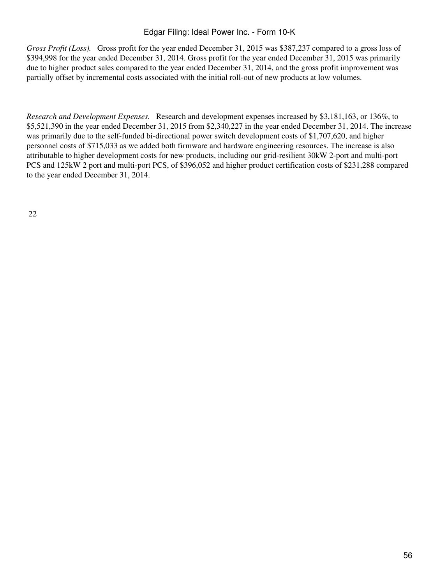*Gross Profit (Loss).* Gross profit for the year ended December 31, 2015 was \$387,237 compared to a gross loss of \$394,998 for the year ended December 31, 2014. Gross profit for the year ended December 31, 2015 was primarily due to higher product sales compared to the year ended December 31, 2014, and the gross profit improvement was partially offset by incremental costs associated with the initial roll-out of new products at low volumes.

*Research and Development Expenses.* Research and development expenses increased by \$3,181,163, or 136%, to \$5,521,390 in the year ended December 31, 2015 from \$2,340,227 in the year ended December 31, 2014. The increase was primarily due to the self-funded bi-directional power switch development costs of \$1,707,620, and higher personnel costs of \$715,033 as we added both firmware and hardware engineering resources. The increase is also attributable to higher development costs for new products, including our grid-resilient 30kW 2-port and multi-port PCS and 125kW 2 port and multi-port PCS, of \$396,052 and higher product certification costs of \$231,288 compared to the year ended December 31, 2014.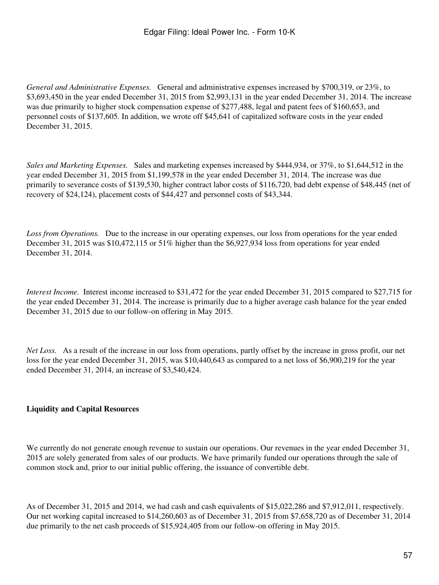*General and Administrative Expenses.* General and administrative expenses increased by \$700,319, or 23%, to \$3,693,450 in the year ended December 31, 2015 from \$2,993,131 in the year ended December 31, 2014. The increase was due primarily to higher stock compensation expense of \$277,488, legal and patent fees of \$160,653, and personnel costs of \$137,605. In addition, we wrote off \$45,641 of capitalized software costs in the year ended December 31, 2015.

*Sales and Marketing Expenses.* Sales and marketing expenses increased by \$444,934, or 37%, to \$1,644,512 in the year ended December 31, 2015 from \$1,199,578 in the year ended December 31, 2014. The increase was due primarily to severance costs of \$139,530, higher contract labor costs of \$116,720, bad debt expense of \$48,445 (net of recovery of \$24,124), placement costs of \$44,427 and personnel costs of \$43,344.

*Loss from Operations.* Due to the increase in our operating expenses, our loss from operations for the year ended December 31, 2015 was \$10,472,115 or 51% higher than the \$6,927,934 loss from operations for year ended December 31, 2014.

*Interest Income.* Interest income increased to \$31,472 for the year ended December 31, 2015 compared to \$27,715 for the year ended December 31, 2014. The increase is primarily due to a higher average cash balance for the year ended December 31, 2015 due to our follow-on offering in May 2015.

*Net Loss.* As a result of the increase in our loss from operations, partly offset by the increase in gross profit, our net loss for the year ended December 31, 2015, was \$10,440,643 as compared to a net loss of \$6,900,219 for the year ended December 31, 2014, an increase of \$3,540,424.

## **Liquidity and Capital Resources**

We currently do not generate enough revenue to sustain our operations. Our revenues in the year ended December 31, 2015 are solely generated from sales of our products. We have primarily funded our operations through the sale of common stock and, prior to our initial public offering, the issuance of convertible debt.

As of December 31, 2015 and 2014, we had cash and cash equivalents of \$15,022,286 and \$7,912,011, respectively. Our net working capital increased to \$14,260,603 as of December 31, 2015 from \$7,658,720 as of December 31, 2014 due primarily to the net cash proceeds of \$15,924,405 from our follow-on offering in May 2015.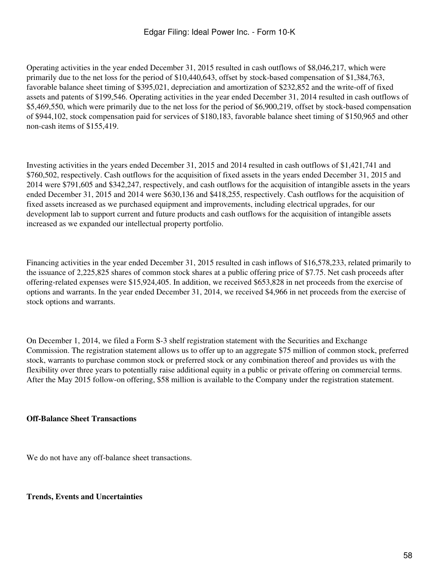Operating activities in the year ended December 31, 2015 resulted in cash outflows of \$8,046,217, which were primarily due to the net loss for the period of \$10,440,643, offset by stock-based compensation of \$1,384,763, favorable balance sheet timing of \$395,021, depreciation and amortization of \$232,852 and the write-off of fixed assets and patents of \$199,546. Operating activities in the year ended December 31, 2014 resulted in cash outflows of \$5,469,550, which were primarily due to the net loss for the period of \$6,900,219, offset by stock-based compensation of \$944,102, stock compensation paid for services of \$180,183, favorable balance sheet timing of \$150,965 and other non-cash items of \$155,419.

Investing activities in the years ended December 31, 2015 and 2014 resulted in cash outflows of \$1,421,741 and \$760,502, respectively. Cash outflows for the acquisition of fixed assets in the years ended December 31, 2015 and 2014 were \$791,605 and \$342,247, respectively, and cash outflows for the acquisition of intangible assets in the years ended December 31, 2015 and 2014 were \$630,136 and \$418,255, respectively. Cash outflows for the acquisition of fixed assets increased as we purchased equipment and improvements, including electrical upgrades, for our development lab to support current and future products and cash outflows for the acquisition of intangible assets increased as we expanded our intellectual property portfolio.

Financing activities in the year ended December 31, 2015 resulted in cash inflows of \$16,578,233, related primarily to the issuance of 2,225,825 shares of common stock shares at a public offering price of \$7.75. Net cash proceeds after offering-related expenses were \$15,924,405. In addition, we received \$653,828 in net proceeds from the exercise of options and warrants. In the year ended December 31, 2014, we received \$4,966 in net proceeds from the exercise of stock options and warrants.

On December 1, 2014, we filed a Form S-3 shelf registration statement with the Securities and Exchange Commission. The registration statement allows us to offer up to an aggregate \$75 million of common stock, preferred stock, warrants to purchase common stock or preferred stock or any combination thereof and provides us with the flexibility over three years to potentially raise additional equity in a public or private offering on commercial terms. After the May 2015 follow-on offering, \$58 million is available to the Company under the registration statement.

## **Off-Balance Sheet Transactions**

We do not have any off-balance sheet transactions.

#### **Trends, Events and Uncertainties**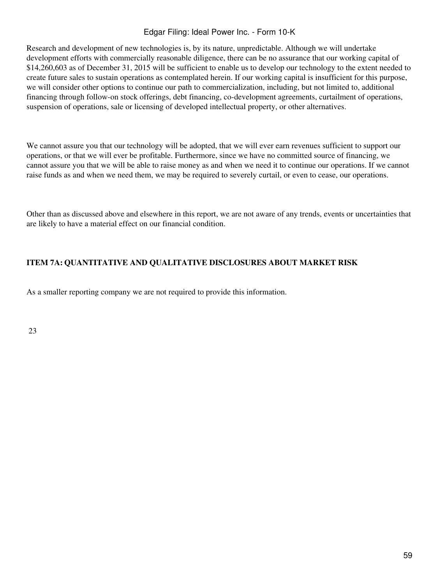Research and development of new technologies is, by its nature, unpredictable. Although we will undertake development efforts with commercially reasonable diligence, there can be no assurance that our working capital of \$14,260,603 as of December 31, 2015 will be sufficient to enable us to develop our technology to the extent needed to create future sales to sustain operations as contemplated herein. If our working capital is insufficient for this purpose, we will consider other options to continue our path to commercialization, including, but not limited to, additional financing through follow-on stock offerings, debt financing, co-development agreements, curtailment of operations, suspension of operations, sale or licensing of developed intellectual property, or other alternatives.

We cannot assure you that our technology will be adopted, that we will ever earn revenues sufficient to support our operations, or that we will ever be profitable. Furthermore, since we have no committed source of financing, we cannot assure you that we will be able to raise money as and when we need it to continue our operations. If we cannot raise funds as and when we need them, we may be required to severely curtail, or even to cease, our operations.

Other than as discussed above and elsewhere in this report, we are not aware of any trends, events or uncertainties that are likely to have a material effect on our financial condition.

## **ITEM 7A: QUANTITATIVE AND QUALITATIVE DISCLOSURES ABOUT MARKET RISK**

As a smaller reporting company we are not required to provide this information.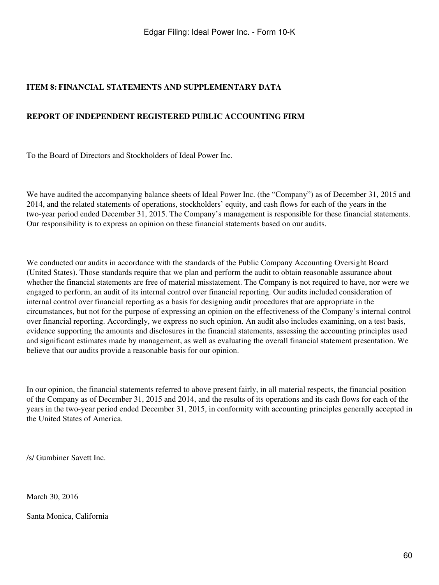## **ITEM 8: FINANCIAL STATEMENTS AND SUPPLEMENTARY DATA**

## **REPORT OF INDEPENDENT REGISTERED PUBLIC ACCOUNTING FIRM**

To the Board of Directors and Stockholders of Ideal Power Inc.

We have audited the accompanying balance sheets of Ideal Power Inc. (the "Company") as of December 31, 2015 and 2014, and the related statements of operations, stockholders' equity, and cash flows for each of the years in the two-year period ended December 31, 2015. The Company's management is responsible for these financial statements. Our responsibility is to express an opinion on these financial statements based on our audits.

We conducted our audits in accordance with the standards of the Public Company Accounting Oversight Board (United States). Those standards require that we plan and perform the audit to obtain reasonable assurance about whether the financial statements are free of material misstatement. The Company is not required to have, nor were we engaged to perform, an audit of its internal control over financial reporting. Our audits included consideration of internal control over financial reporting as a basis for designing audit procedures that are appropriate in the circumstances, but not for the purpose of expressing an opinion on the effectiveness of the Company's internal control over financial reporting. Accordingly, we express no such opinion. An audit also includes examining, on a test basis, evidence supporting the amounts and disclosures in the financial statements, assessing the accounting principles used and significant estimates made by management, as well as evaluating the overall financial statement presentation. We believe that our audits provide a reasonable basis for our opinion.

In our opinion, the financial statements referred to above present fairly, in all material respects, the financial position of the Company as of December 31, 2015 and 2014, and the results of its operations and its cash flows for each of the years in the two-year period ended December 31, 2015, in conformity with accounting principles generally accepted in the United States of America.

/s/ Gumbiner Savett Inc.

March 30, 2016

Santa Monica, California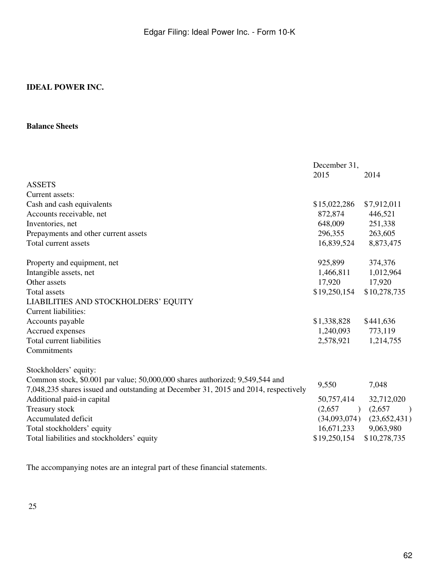#### **Balance Sheets**

| 2015                                                |                                                                                                |
|-----------------------------------------------------|------------------------------------------------------------------------------------------------|
|                                                     | 2014                                                                                           |
|                                                     |                                                                                                |
|                                                     | \$7,912,011                                                                                    |
|                                                     | 446,521                                                                                        |
| 648,009                                             | 251,338                                                                                        |
| 296,355                                             | 263,605                                                                                        |
| 16,839,524                                          | 8,873,475                                                                                      |
| 925,899                                             | 374,376                                                                                        |
| 1,466,811                                           | 1,012,964                                                                                      |
| 17,920                                              | 17,920                                                                                         |
| \$19,250,154                                        | \$10,278,735                                                                                   |
|                                                     |                                                                                                |
|                                                     |                                                                                                |
| \$1,338,828                                         | \$441,636                                                                                      |
| 1,240,093                                           | 773,119                                                                                        |
| 2,578,921                                           | 1,214,755                                                                                      |
|                                                     |                                                                                                |
|                                                     |                                                                                                |
| 9,550                                               | 7,048                                                                                          |
| 50,757,414<br>(2,657)<br>16,671,233<br>\$19,250,154 | 32,712,020<br>(2,657)<br>$\big)$<br>$(34,093,074)$ $(23,652,431)$<br>9,063,980<br>\$10,278,735 |
|                                                     | \$15,022,286<br>872,874                                                                        |

The accompanying notes are an integral part of these financial statements.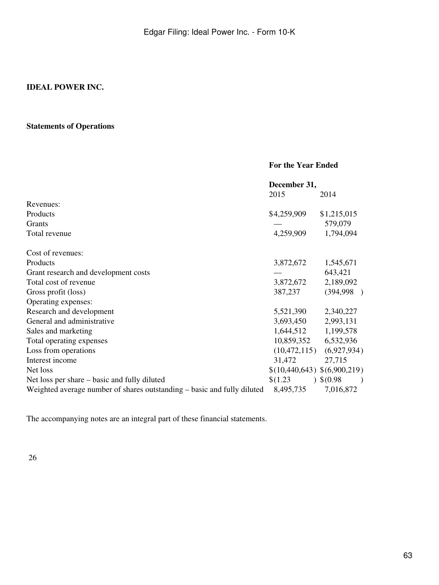## **Statements of Operations**

|                                                                         | <b>For the Year Ended</b>    |                               |  |  |
|-------------------------------------------------------------------------|------------------------------|-------------------------------|--|--|
|                                                                         | December 31,                 |                               |  |  |
|                                                                         | 2015                         | 2014                          |  |  |
| Revenues:                                                               |                              |                               |  |  |
| Products                                                                | \$4,259,909                  | \$1,215,015                   |  |  |
| Grants                                                                  |                              | 579,079                       |  |  |
| Total revenue                                                           | 4,259,909                    | 1,794,094                     |  |  |
| Cost of revenues:                                                       |                              |                               |  |  |
| Products                                                                | 3,872,672                    | 1,545,671                     |  |  |
| Grant research and development costs                                    |                              | 643,421                       |  |  |
| Total cost of revenue                                                   | 3,872,672                    | 2,189,092                     |  |  |
| Gross profit (loss)                                                     | 387,237                      | (394,998)                     |  |  |
| Operating expenses:                                                     |                              |                               |  |  |
| Research and development                                                | 5,521,390                    | 2,340,227                     |  |  |
| General and administrative                                              | 3,693,450                    | 2,993,131                     |  |  |
| Sales and marketing                                                     | 1,644,512                    | 1,199,578                     |  |  |
| Total operating expenses                                                | 10,859,352                   | 6,532,936                     |  |  |
| Loss from operations                                                    |                              | $(10,472,115)$ $(6,927,934)$  |  |  |
| Interest income                                                         | 31,472                       | 27,715                        |  |  |
| Net loss                                                                | \$(10,440,643) \$(6,900,219) |                               |  |  |
| Net loss per share – basic and fully diluted                            | \$(1.23)                     | $)$ \$(0.98)<br>$\rightarrow$ |  |  |
| Weighted average number of shares outstanding – basic and fully diluted | 8,495,735                    | 7,016,872                     |  |  |

The accompanying notes are an integral part of these financial statements.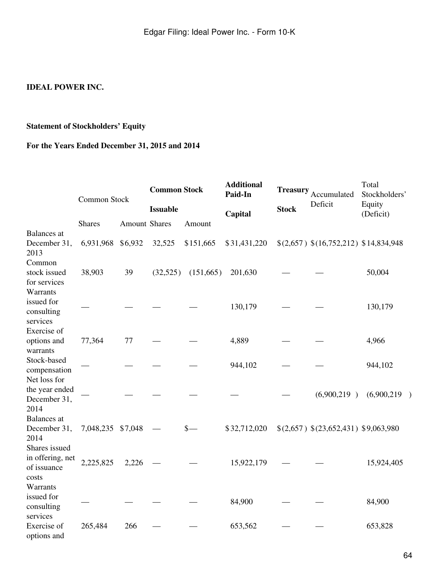## **Statement of Stockholders' Equity**

## **For the Years Ended December 31, 2015 and 2014**

|                                                           | Common Stock      |                      | <b>Common Stock</b> |           | <b>Additional</b><br>Paid-In | <b>Treasury</b> | Accumulated                           | Total<br>Stockholders' |  |
|-----------------------------------------------------------|-------------------|----------------------|---------------------|-----------|------------------------------|-----------------|---------------------------------------|------------------------|--|
|                                                           |                   |                      | <b>Issuable</b>     |           | Capital                      | <b>Stock</b>    | Deficit                               | Equity<br>(Deficit)    |  |
|                                                           | <b>Shares</b>     | <b>Amount Shares</b> |                     | Amount    |                              |                 |                                       |                        |  |
| <b>Balances</b> at<br>December 31,<br>2013                | 6,931,968 \$6,932 |                      | 32,525              | \$151,665 | \$31,431,220                 |                 | \$(2,657) \$(16,752,212) \$14,834,948 |                        |  |
| Common<br>stock issued<br>for services                    | 38,903            | 39                   | (32,525)            | (151,665) | 201,630                      |                 |                                       | 50,004                 |  |
| Warrants<br>issued for<br>consulting<br>services          |                   |                      |                     |           | 130,179                      |                 |                                       | 130,179                |  |
| Exercise of<br>options and<br>warrants                    | 77,364            | 77                   |                     |           | 4,889                        |                 |                                       | 4,966                  |  |
| Stock-based<br>compensation                               |                   |                      |                     |           | 944,102                      |                 |                                       | 944,102                |  |
| Net loss for<br>the year ended<br>December 31,<br>2014    |                   |                      |                     |           |                              |                 | (6,900,219)                           | (6,900,219)            |  |
| <b>Balances</b> at<br>December 31,<br>2014                | 7,048,235 \$7,048 |                      |                     | $s-$      | \$32,712,020                 |                 | \$(2,657) \$(23,652,431) \$9,063,980  |                        |  |
| Shares issued<br>in offering, net<br>of issuance<br>costs | 2,225,825         | 2,226                |                     |           | 15,922,179                   |                 |                                       | 15,924,405             |  |
| Warrants<br>issued for<br>consulting<br>services          |                   |                      |                     |           | 84,900                       |                 |                                       | 84,900                 |  |
| Exercise of<br>options and                                | 265,484           | 266                  |                     |           | 653,562                      |                 |                                       | 653,828                |  |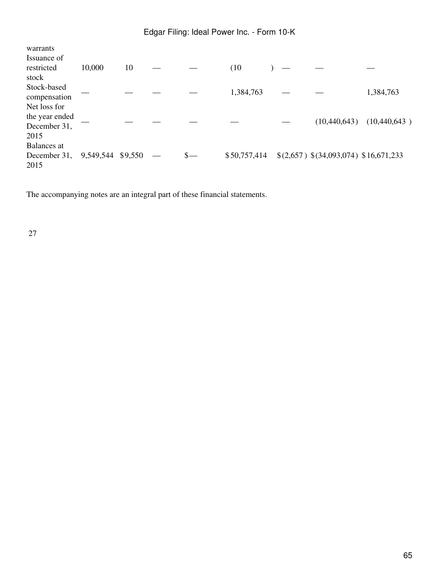| warrants<br>Issuance of     |           |         |               |              |  |                                       |              |
|-----------------------------|-----------|---------|---------------|--------------|--|---------------------------------------|--------------|
| restricted                  | 10,000    | 10      |               | (10)         |  |                                       |              |
| stock                       |           |         |               |              |  |                                       |              |
| Stock-based<br>compensation |           |         |               | 1,384,763    |  |                                       | 1,384,763    |
| Net loss for                |           |         |               |              |  |                                       |              |
| the year ended              |           |         |               |              |  |                                       |              |
| December 31,                |           |         |               |              |  | (10, 440, 643)                        | (10,440,643) |
| 2015                        |           |         |               |              |  |                                       |              |
| Balances at                 |           |         |               |              |  |                                       |              |
| December 31,<br>2015        | 9,549,544 | \$9,550 | $\frac{1}{2}$ | \$50,757,414 |  | \$(2,657) \$(34,093,074) \$16,671,233 |              |

The accompanying notes are an integral part of these financial statements.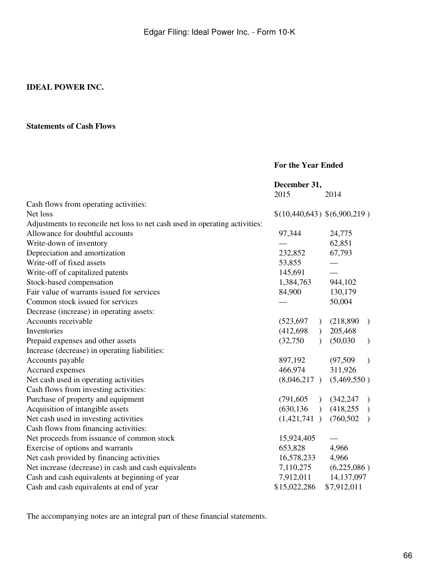#### **Statements of Cash Flows**

#### **For the Year Ended**

|                                                                             | December 31,                 |           |                             |               |
|-----------------------------------------------------------------------------|------------------------------|-----------|-----------------------------|---------------|
|                                                                             | 2015                         |           | 2014                        |               |
| Cash flows from operating activities:                                       |                              |           |                             |               |
| Net loss                                                                    | \$(10,440,643) \$(6,900,219) |           |                             |               |
| Adjustments to reconcile net loss to net cash used in operating activities: |                              |           |                             |               |
| Allowance for doubtful accounts                                             | 97,344                       |           | 24,775                      |               |
| Write-down of inventory                                                     |                              |           | 62,851                      |               |
| Depreciation and amortization                                               | 232,852                      |           | 67,793                      |               |
| Write-off of fixed assets                                                   | 53,855                       |           |                             |               |
| Write-off of capitalized patents                                            | 145,691                      |           |                             |               |
| Stock-based compensation                                                    | 1,384,763                    |           | 944,102                     |               |
| Fair value of warrants issued for services                                  | 84,900                       |           | 130,179                     |               |
| Common stock issued for services                                            |                              |           | 50,004                      |               |
| Decrease (increase) in operating assets:                                    |                              |           |                             |               |
| Accounts receivable                                                         | (523, 697)                   | $\lambda$ | (218, 890)                  | $\rightarrow$ |
| Inventories                                                                 | (412, 698)                   | $\lambda$ | 205,468                     |               |
| Prepaid expenses and other assets                                           | (32,750)                     |           | (50,030)                    | $\mathcal{L}$ |
| Increase (decrease) in operating liabilities:                               |                              |           |                             |               |
| Accounts payable                                                            | 897,192                      |           | (97, 509)                   | $\lambda$     |
| Accrued expenses                                                            | 466,974                      |           | 311,926                     |               |
| Net cash used in operating activities                                       | (8,046,217)                  |           | (5,469,550)                 |               |
| Cash flows from investing activities:                                       |                              |           |                             |               |
| Purchase of property and equipment                                          | (791, 605)                   |           | (342, 247)<br>$\rightarrow$ |               |
| Acquisition of intangible assets                                            | (630, 136)<br>$\rightarrow$  |           | (418,255)                   |               |
| Net cash used in investing activities                                       | (1,421,741)                  |           | (760, 502)                  | $\rightarrow$ |
| Cash flows from financing activities:                                       |                              |           |                             |               |
| Net proceeds from issuance of common stock                                  | 15,924,405                   |           |                             |               |
| Exercise of options and warrants                                            | 653,828                      |           | 4,966                       |               |
| Net cash provided by financing activities                                   | 16,578,233                   |           | 4,966                       |               |
| Net increase (decrease) in cash and cash equivalents                        | 7,110,275                    |           | (6,225,086)                 |               |
| Cash and cash equivalents at beginning of year                              | 7,912,011                    |           | 14, 137, 097                |               |
| Cash and cash equivalents at end of year                                    | \$15,022,286                 |           | \$7,912,011                 |               |

The accompanying notes are an integral part of these financial statements.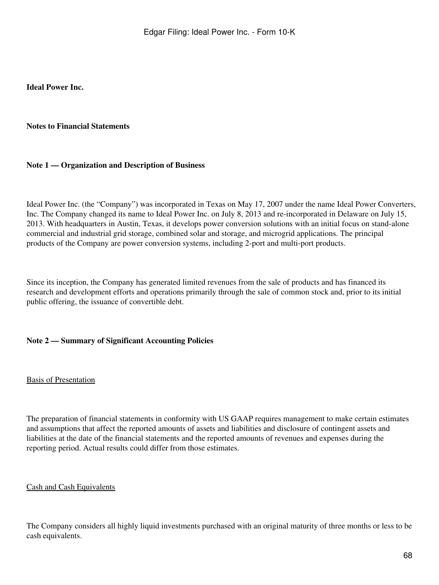**Ideal Power Inc.**

#### **Notes to Financial Statements**

#### **Note 1 — Organization and Description of Business**

Ideal Power Inc. (the "Company") was incorporated in Texas on May 17, 2007 under the name Ideal Power Converters, Inc. The Company changed its name to Ideal Power Inc. on July 8, 2013 and re-incorporated in Delaware on July 15, 2013. With headquarters in Austin, Texas, it develops power conversion solutions with an initial focus on stand-alone commercial and industrial grid storage, combined solar and storage, and microgrid applications. The principal products of the Company are power conversion systems, including 2-port and multi-port products.

Since its inception, the Company has generated limited revenues from the sale of products and has financed its research and development efforts and operations primarily through the sale of common stock and, prior to its initial public offering, the issuance of convertible debt.

#### **Note 2 — Summary of Significant Accounting Policies**

#### Basis of Presentation

The preparation of financial statements in conformity with US GAAP requires management to make certain estimates and assumptions that affect the reported amounts of assets and liabilities and disclosure of contingent assets and liabilities at the date of the financial statements and the reported amounts of revenues and expenses during the reporting period. Actual results could differ from those estimates.

#### Cash and Cash Equivalents

The Company considers all highly liquid investments purchased with an original maturity of three months or less to be cash equivalents.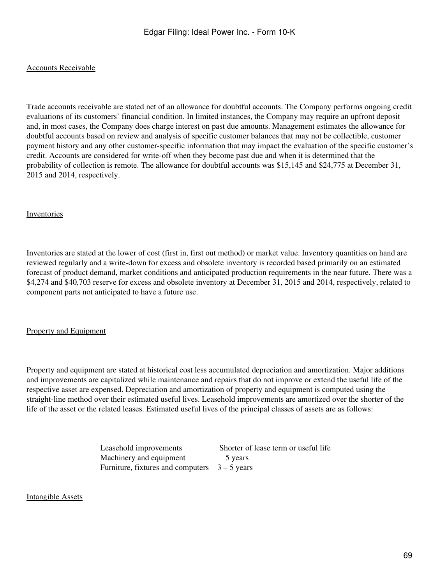#### Accounts Receivable

Trade accounts receivable are stated net of an allowance for doubtful accounts. The Company performs ongoing credit evaluations of its customers' financial condition. In limited instances, the Company may require an upfront deposit and, in most cases, the Company does charge interest on past due amounts. Management estimates the allowance for doubtful accounts based on review and analysis of specific customer balances that may not be collectible, customer payment history and any other customer-specific information that may impact the evaluation of the specific customer's credit. Accounts are considered for write-off when they become past due and when it is determined that the probability of collection is remote. The allowance for doubtful accounts was \$15,145 and \$24,775 at December 31, 2015 and 2014, respectively.

#### Inventories

Inventories are stated at the lower of cost (first in, first out method) or market value. Inventory quantities on hand are reviewed regularly and a write-down for excess and obsolete inventory is recorded based primarily on an estimated forecast of product demand, market conditions and anticipated production requirements in the near future. There was a \$4,274 and \$40,703 reserve for excess and obsolete inventory at December 31, 2015 and 2014, respectively, related to component parts not anticipated to have a future use.

#### Property and Equipment

Property and equipment are stated at historical cost less accumulated depreciation and amortization. Major additions and improvements are capitalized while maintenance and repairs that do not improve or extend the useful life of the respective asset are expensed. Depreciation and amortization of property and equipment is computed using the straight-line method over their estimated useful lives. Leasehold improvements are amortized over the shorter of the life of the asset or the related leases. Estimated useful lives of the principal classes of assets are as follows:

| Leasehold improvements                          | Shorter of lease term or useful life |
|-------------------------------------------------|--------------------------------------|
| Machinery and equipment                         | 5 years                              |
| Furniture, fixtures and computers $3 - 5$ years |                                      |

#### Intangible Assets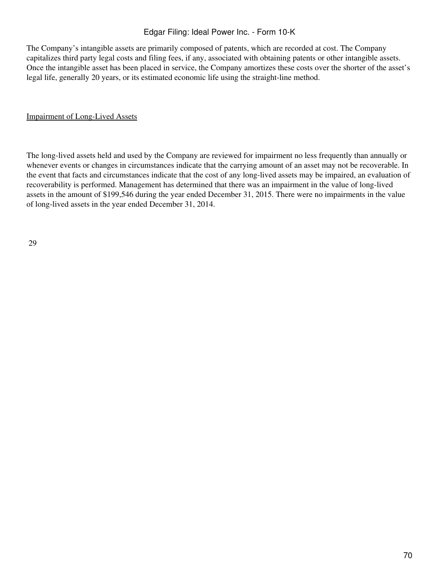The Company's intangible assets are primarily composed of patents, which are recorded at cost. The Company capitalizes third party legal costs and filing fees, if any, associated with obtaining patents or other intangible assets. Once the intangible asset has been placed in service, the Company amortizes these costs over the shorter of the asset's legal life, generally 20 years, or its estimated economic life using the straight-line method.

#### Impairment of Long-Lived Assets

The long-lived assets held and used by the Company are reviewed for impairment no less frequently than annually or whenever events or changes in circumstances indicate that the carrying amount of an asset may not be recoverable. In the event that facts and circumstances indicate that the cost of any long-lived assets may be impaired, an evaluation of recoverability is performed. Management has determined that there was an impairment in the value of long-lived assets in the amount of \$199,546 during the year ended December 31, 2015. There were no impairments in the value of long-lived assets in the year ended December 31, 2014.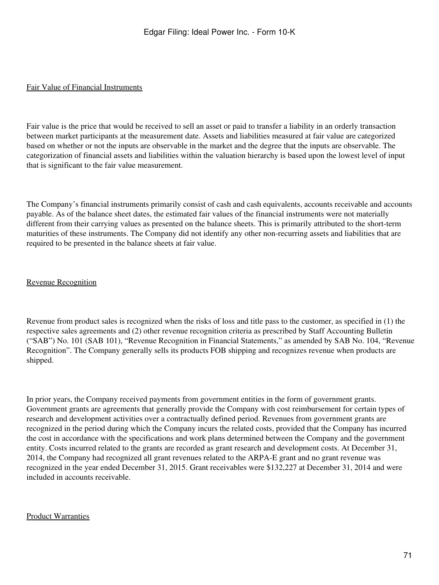#### Fair Value of Financial Instruments

Fair value is the price that would be received to sell an asset or paid to transfer a liability in an orderly transaction between market participants at the measurement date. Assets and liabilities measured at fair value are categorized based on whether or not the inputs are observable in the market and the degree that the inputs are observable. The categorization of financial assets and liabilities within the valuation hierarchy is based upon the lowest level of input that is significant to the fair value measurement.

The Company's financial instruments primarily consist of cash and cash equivalents, accounts receivable and accounts payable. As of the balance sheet dates, the estimated fair values of the financial instruments were not materially different from their carrying values as presented on the balance sheets. This is primarily attributed to the short-term maturities of these instruments. The Company did not identify any other non-recurring assets and liabilities that are required to be presented in the balance sheets at fair value.

## Revenue Recognition

Revenue from product sales is recognized when the risks of loss and title pass to the customer, as specified in (1) the respective sales agreements and (2) other revenue recognition criteria as prescribed by Staff Accounting Bulletin ("SAB") No. 101 (SAB 101), "Revenue Recognition in Financial Statements," as amended by SAB No. 104, "Revenue Recognition". The Company generally sells its products FOB shipping and recognizes revenue when products are shipped.

In prior years, the Company received payments from government entities in the form of government grants. Government grants are agreements that generally provide the Company with cost reimbursement for certain types of research and development activities over a contractually defined period. Revenues from government grants are recognized in the period during which the Company incurs the related costs, provided that the Company has incurred the cost in accordance with the specifications and work plans determined between the Company and the government entity. Costs incurred related to the grants are recorded as grant research and development costs. At December 31, 2014, the Company had recognized all grant revenues related to the ARPA-E grant and no grant revenue was recognized in the year ended December 31, 2015. Grant receivables were \$132,227 at December 31, 2014 and were included in accounts receivable.

#### Product Warranties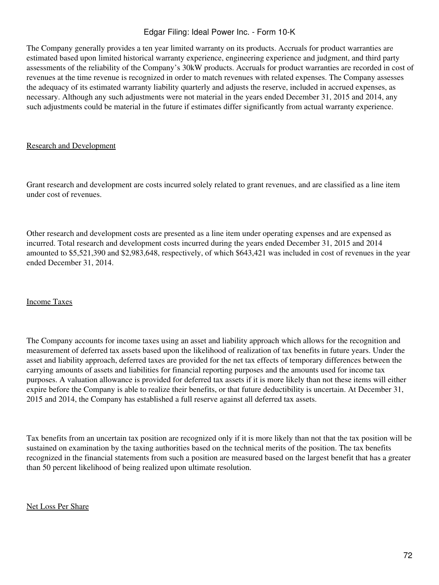The Company generally provides a ten year limited warranty on its products. Accruals for product warranties are estimated based upon limited historical warranty experience, engineering experience and judgment, and third party assessments of the reliability of the Company's 30kW products. Accruals for product warranties are recorded in cost of revenues at the time revenue is recognized in order to match revenues with related expenses. The Company assesses the adequacy of its estimated warranty liability quarterly and adjusts the reserve, included in accrued expenses, as necessary. Although any such adjustments were not material in the years ended December 31, 2015 and 2014, any such adjustments could be material in the future if estimates differ significantly from actual warranty experience.

#### Research and Development

Grant research and development are costs incurred solely related to grant revenues, and are classified as a line item under cost of revenues.

Other research and development costs are presented as a line item under operating expenses and are expensed as incurred. Total research and development costs incurred during the years ended December 31, 2015 and 2014 amounted to \$5,521,390 and \$2,983,648, respectively, of which \$643,421 was included in cost of revenues in the year ended December 31, 2014.

#### Income Taxes

The Company accounts for income taxes using an asset and liability approach which allows for the recognition and measurement of deferred tax assets based upon the likelihood of realization of tax benefits in future years. Under the asset and liability approach, deferred taxes are provided for the net tax effects of temporary differences between the carrying amounts of assets and liabilities for financial reporting purposes and the amounts used for income tax purposes. A valuation allowance is provided for deferred tax assets if it is more likely than not these items will either expire before the Company is able to realize their benefits, or that future deductibility is uncertain. At December 31, 2015 and 2014, the Company has established a full reserve against all deferred tax assets.

Tax benefits from an uncertain tax position are recognized only if it is more likely than not that the tax position will be sustained on examination by the taxing authorities based on the technical merits of the position. The tax benefits recognized in the financial statements from such a position are measured based on the largest benefit that has a greater than 50 percent likelihood of being realized upon ultimate resolution.

#### Net Loss Per Share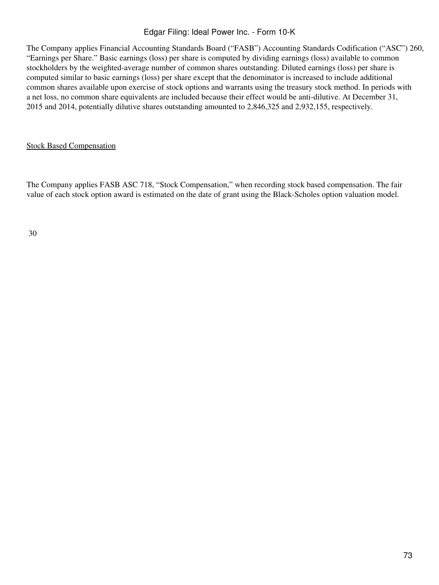The Company applies Financial Accounting Standards Board ("FASB") Accounting Standards Codification ("ASC") 260, "Earnings per Share." Basic earnings (loss) per share is computed by dividing earnings (loss) available to common stockholders by the weighted-average number of common shares outstanding. Diluted earnings (loss) per share is computed similar to basic earnings (loss) per share except that the denominator is increased to include additional common shares available upon exercise of stock options and warrants using the treasury stock method. In periods with a net loss, no common share equivalents are included because their effect would be anti-dilutive. At December 31, 2015 and 2014, potentially dilutive shares outstanding amounted to 2,846,325 and 2,932,155, respectively.

#### Stock Based Compensation

The Company applies FASB ASC 718, "Stock Compensation," when recording stock based compensation. The fair value of each stock option award is estimated on the date of grant using the Black-Scholes option valuation model.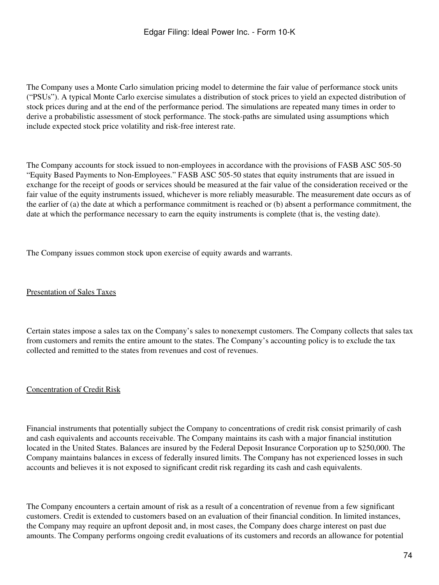The Company uses a Monte Carlo simulation pricing model to determine the fair value of performance stock units ("PSUs"). A typical Monte Carlo exercise simulates a distribution of stock prices to yield an expected distribution of stock prices during and at the end of the performance period. The simulations are repeated many times in order to derive a probabilistic assessment of stock performance. The stock-paths are simulated using assumptions which include expected stock price volatility and risk-free interest rate.

The Company accounts for stock issued to non-employees in accordance with the provisions of FASB ASC 505-50 "Equity Based Payments to Non-Employees." FASB ASC 505-50 states that equity instruments that are issued in exchange for the receipt of goods or services should be measured at the fair value of the consideration received or the fair value of the equity instruments issued, whichever is more reliably measurable. The measurement date occurs as of the earlier of (a) the date at which a performance commitment is reached or (b) absent a performance commitment, the date at which the performance necessary to earn the equity instruments is complete (that is, the vesting date).

The Company issues common stock upon exercise of equity awards and warrants.

#### Presentation of Sales Taxes

Certain states impose a sales tax on the Company's sales to nonexempt customers. The Company collects that sales tax from customers and remits the entire amount to the states. The Company's accounting policy is to exclude the tax collected and remitted to the states from revenues and cost of revenues.

#### Concentration of Credit Risk

Financial instruments that potentially subject the Company to concentrations of credit risk consist primarily of cash and cash equivalents and accounts receivable. The Company maintains its cash with a major financial institution located in the United States. Balances are insured by the Federal Deposit Insurance Corporation up to \$250,000. The Company maintains balances in excess of federally insured limits. The Company has not experienced losses in such accounts and believes it is not exposed to significant credit risk regarding its cash and cash equivalents.

The Company encounters a certain amount of risk as a result of a concentration of revenue from a few significant customers. Credit is extended to customers based on an evaluation of their financial condition. In limited instances, the Company may require an upfront deposit and, in most cases, the Company does charge interest on past due amounts. The Company performs ongoing credit evaluations of its customers and records an allowance for potential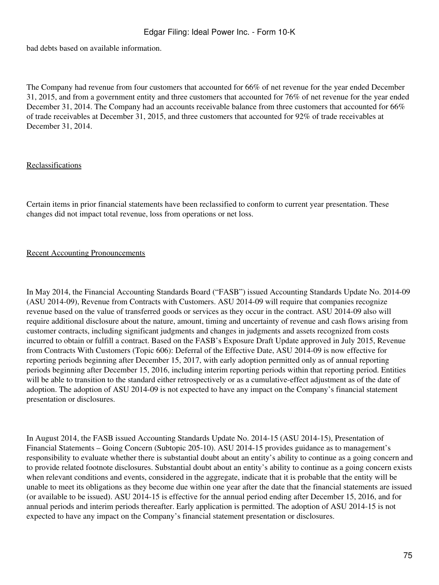bad debts based on available information.

The Company had revenue from four customers that accounted for 66% of net revenue for the year ended December 31, 2015, and from a government entity and three customers that accounted for 76% of net revenue for the year ended December 31, 2014. The Company had an accounts receivable balance from three customers that accounted for 66% of trade receivables at December 31, 2015, and three customers that accounted for 92% of trade receivables at December 31, 2014.

#### Reclassifications

Certain items in prior financial statements have been reclassified to conform to current year presentation. These changes did not impact total revenue, loss from operations or net loss.

#### Recent Accounting Pronouncements

In May 2014, the Financial Accounting Standards Board ("FASB") issued Accounting Standards Update No. 2014-09 (ASU 2014-09), Revenue from Contracts with Customers. ASU 2014-09 will require that companies recognize revenue based on the value of transferred goods or services as they occur in the contract. ASU 2014-09 also will require additional disclosure about the nature, amount, timing and uncertainty of revenue and cash flows arising from customer contracts, including significant judgments and changes in judgments and assets recognized from costs incurred to obtain or fulfill a contract. Based on the FASB's Exposure Draft Update approved in July 2015, Revenue from Contracts With Customers (Topic 606): Deferral of the Effective Date, ASU 2014-09 is now effective for reporting periods beginning after December 15, 2017, with early adoption permitted only as of annual reporting periods beginning after December 15, 2016, including interim reporting periods within that reporting period. Entities will be able to transition to the standard either retrospectively or as a cumulative-effect adjustment as of the date of adoption. The adoption of ASU 2014-09 is not expected to have any impact on the Company's financial statement presentation or disclosures.

In August 2014, the FASB issued Accounting Standards Update No. 2014-15 (ASU 2014-15), Presentation of Financial Statements – Going Concern (Subtopic 205-10). ASU 2014-15 provides guidance as to management's responsibility to evaluate whether there is substantial doubt about an entity's ability to continue as a going concern and to provide related footnote disclosures. Substantial doubt about an entity's ability to continue as a going concern exists when relevant conditions and events, considered in the aggregate, indicate that it is probable that the entity will be unable to meet its obligations as they become due within one year after the date that the financial statements are issued (or available to be issued). ASU 2014-15 is effective for the annual period ending after December 15, 2016, and for annual periods and interim periods thereafter. Early application is permitted. The adoption of ASU 2014-15 is not expected to have any impact on the Company's financial statement presentation or disclosures.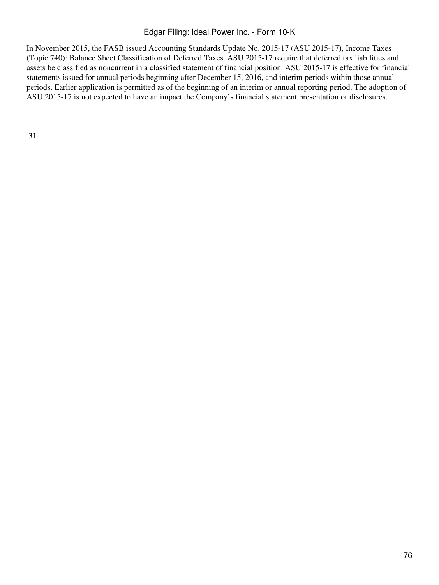In November 2015, the FASB issued Accounting Standards Update No. 2015-17 (ASU 2015-17), Income Taxes (Topic 740): Balance Sheet Classification of Deferred Taxes. ASU 2015-17 require that deferred tax liabilities and assets be classified as noncurrent in a classified statement of financial position. ASU 2015-17 is effective for financial statements issued for annual periods beginning after December 15, 2016, and interim periods within those annual periods. Earlier application is permitted as of the beginning of an interim or annual reporting period. The adoption of ASU 2015-17 is not expected to have an impact the Company's financial statement presentation or disclosures.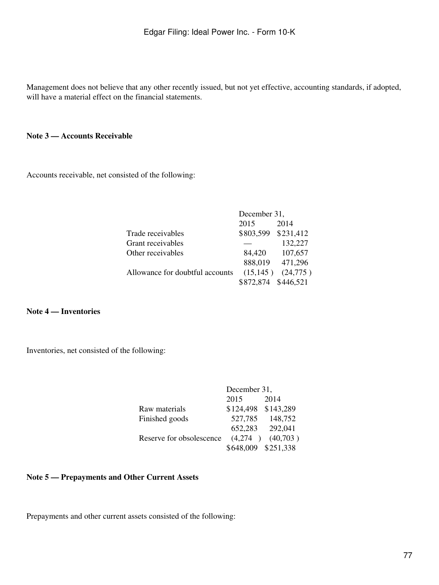Management does not believe that any other recently issued, but not yet effective, accounting standards, if adopted, will have a material effect on the financial statements.

#### **Note 3 — Accounts Receivable**

Accounts receivable, net consisted of the following:

|                                 | December 31, |           |  |
|---------------------------------|--------------|-----------|--|
|                                 | 2015         | 2014      |  |
| Trade receivables               | \$803,599    | \$231,412 |  |
| Grant receivables               |              | 132,227   |  |
| Other receivables               | 84,420       | 107,657   |  |
|                                 | 888,019      | 471,296   |  |
| Allowance for doubtful accounts | (15, 145)    | (24,775)  |  |
|                                 | \$872,874    | \$446,521 |  |

**Note 4 — Inventories**

Inventories, net consisted of the following:

|                          | December 31,        |          |  |
|--------------------------|---------------------|----------|--|
|                          | 2015                | 2014     |  |
| Raw materials            | \$124,498 \$143,289 |          |  |
| Finished goods           | 527,785             | 148,752  |  |
|                          | 652,283             | 292,041  |  |
| Reserve for obsolescence | (4,274)             | (40,703) |  |
|                          | \$648,009 \$251,338 |          |  |

# **Note 5 — Prepayments and Other Current Assets**

Prepayments and other current assets consisted of the following: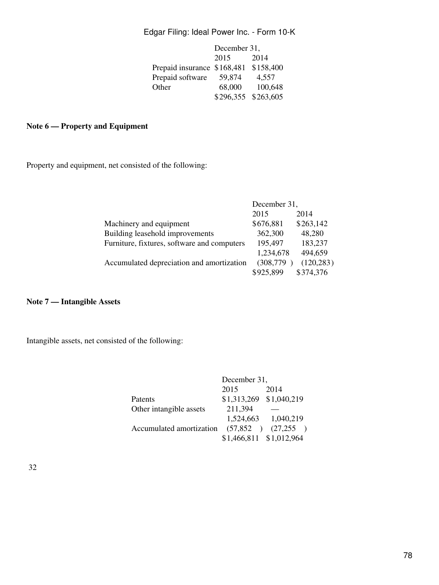|                             | December 31,        |           |  |
|-----------------------------|---------------------|-----------|--|
|                             | 2015                | 2014      |  |
| Prepaid insurance \$168,481 |                     | \$158,400 |  |
| Prepaid software            | 59,874              | 4,557     |  |
| Other                       | 68,000              | 100,648   |  |
|                             | \$296,355 \$263,605 |           |  |

# **Note 6 — Property and Equipment**

Property and equipment, net consisted of the following:

|                                             | December 31, |            |  |
|---------------------------------------------|--------------|------------|--|
|                                             | 2015         | 2014       |  |
| Machinery and equipment                     | \$676,881    | \$263,142  |  |
| Building leasehold improvements             | 362,300      | 48,280     |  |
| Furniture, fixtures, software and computers | 195,497      | 183,237    |  |
|                                             | 1,234,678    | 494,659    |  |
| Accumulated depreciation and amortization   | (308, 779)   | (120, 283) |  |
|                                             | \$925,899    | \$374,376  |  |

# **Note 7 — Intangible Assets**

Intangible assets, net consisted of the following:

|                          | December 31,            |             |  |
|--------------------------|-------------------------|-------------|--|
|                          | 2015                    | 2014        |  |
| Patents                  | \$1,313,269             | \$1,040,219 |  |
| Other intangible assets  | 211,394                 |             |  |
|                          | 1,524,663               | 1,040,219   |  |
| Accumulated amortization | (57,852)                | (27,255)    |  |
|                          | \$1,466,811 \$1,012,964 |             |  |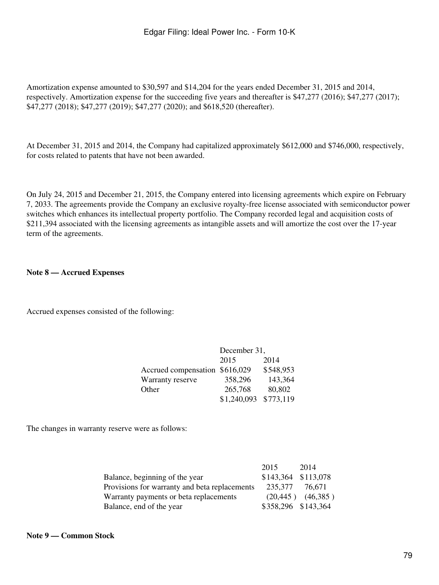Amortization expense amounted to \$30,597 and \$14,204 for the years ended December 31, 2015 and 2014, respectively. Amortization expense for the succeeding five years and thereafter is \$47,277 (2016); \$47,277 (2017); \$47,277 (2018); \$47,277 (2019); \$47,277 (2020); and \$618,520 (thereafter).

At December 31, 2015 and 2014, the Company had capitalized approximately \$612,000 and \$746,000, respectively, for costs related to patents that have not been awarded.

On July 24, 2015 and December 21, 2015, the Company entered into licensing agreements which expire on February 7, 2033. The agreements provide the Company an exclusive royalty-free license associated with semiconductor power switches which enhances its intellectual property portfolio. The Company recorded legal and acquisition costs of \$211,394 associated with the licensing agreements as intangible assets and will amortize the cost over the 17-year term of the agreements.

#### **Note 8 — Accrued Expenses**

Accrued expenses consisted of the following:

|                                | December 31, |           |  |
|--------------------------------|--------------|-----------|--|
|                                | 2015         | 2014      |  |
| Accrued compensation \$616,029 |              | \$548,953 |  |
| Warranty reserve               | 358,296      | 143,364   |  |
| Other                          | 265,768      | 80,802    |  |
|                                | \$1,240,093  | \$773,119 |  |

The changes in warranty reserve were as follows:

|                                               | 2015                | 2014                  |
|-----------------------------------------------|---------------------|-----------------------|
| Balance, beginning of the year                | \$143,364 \$113,078 |                       |
| Provisions for warranty and beta replacements | 235,377             | 76.671                |
| Warranty payments or beta replacements        |                     | $(20,445)$ $(46,385)$ |
| Balance, end of the year                      | \$358,296 \$143,364 |                       |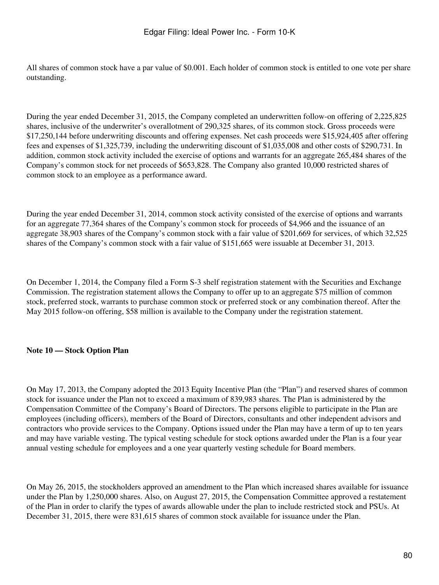All shares of common stock have a par value of \$0.001. Each holder of common stock is entitled to one vote per share outstanding.

During the year ended December 31, 2015, the Company completed an underwritten follow-on offering of 2,225,825 shares, inclusive of the underwriter's overallotment of 290,325 shares, of its common stock. Gross proceeds were \$17,250,144 before underwriting discounts and offering expenses. Net cash proceeds were \$15,924,405 after offering fees and expenses of \$1,325,739, including the underwriting discount of \$1,035,008 and other costs of \$290,731. In addition, common stock activity included the exercise of options and warrants for an aggregate 265,484 shares of the Company's common stock for net proceeds of \$653,828. The Company also granted 10,000 restricted shares of common stock to an employee as a performance award.

During the year ended December 31, 2014, common stock activity consisted of the exercise of options and warrants for an aggregate 77,364 shares of the Company's common stock for proceeds of \$4,966 and the issuance of an aggregate 38,903 shares of the Company's common stock with a fair value of \$201,669 for services, of which 32,525 shares of the Company's common stock with a fair value of \$151,665 were issuable at December 31, 2013.

On December 1, 2014, the Company filed a Form S-3 shelf registration statement with the Securities and Exchange Commission. The registration statement allows the Company to offer up to an aggregate \$75 million of common stock, preferred stock, warrants to purchase common stock or preferred stock or any combination thereof. After the May 2015 follow-on offering, \$58 million is available to the Company under the registration statement.

#### **Note 10 — Stock Option Plan**

On May 17, 2013, the Company adopted the 2013 Equity Incentive Plan (the "Plan") and reserved shares of common stock for issuance under the Plan not to exceed a maximum of 839,983 shares. The Plan is administered by the Compensation Committee of the Company's Board of Directors. The persons eligible to participate in the Plan are employees (including officers), members of the Board of Directors, consultants and other independent advisors and contractors who provide services to the Company. Options issued under the Plan may have a term of up to ten years and may have variable vesting. The typical vesting schedule for stock options awarded under the Plan is a four year annual vesting schedule for employees and a one year quarterly vesting schedule for Board members.

On May 26, 2015, the stockholders approved an amendment to the Plan which increased shares available for issuance under the Plan by 1,250,000 shares. Also, on August 27, 2015, the Compensation Committee approved a restatement of the Plan in order to clarify the types of awards allowable under the plan to include restricted stock and PSUs. At December 31, 2015, there were 831,615 shares of common stock available for issuance under the Plan.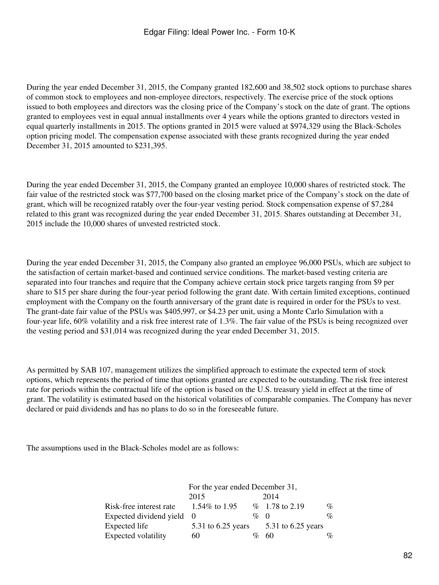During the year ended December 31, 2015, the Company granted 182,600 and 38,502 stock options to purchase shares of common stock to employees and non-employee directors, respectively. The exercise price of the stock options issued to both employees and directors was the closing price of the Company's stock on the date of grant. The options granted to employees vest in equal annual installments over 4 years while the options granted to directors vested in equal quarterly installments in 2015. The options granted in 2015 were valued at \$974,329 using the Black-Scholes option pricing model. The compensation expense associated with these grants recognized during the year ended December 31, 2015 amounted to \$231,395.

During the year ended December 31, 2015, the Company granted an employee 10,000 shares of restricted stock. The fair value of the restricted stock was \$77,700 based on the closing market price of the Company's stock on the date of grant, which will be recognized ratably over the four-year vesting period. Stock compensation expense of \$7,284 related to this grant was recognized during the year ended December 31, 2015. Shares outstanding at December 31, 2015 include the 10,000 shares of unvested restricted stock.

During the year ended December 31, 2015, the Company also granted an employee 96,000 PSUs, which are subject to the satisfaction of certain market-based and continued service conditions. The market-based vesting criteria are separated into four tranches and require that the Company achieve certain stock price targets ranging from \$9 per share to \$15 per share during the four-year period following the grant date. With certain limited exceptions, continued employment with the Company on the fourth anniversary of the grant date is required in order for the PSUs to vest. The grant-date fair value of the PSUs was \$405,997, or \$4.23 per unit, using a Monte Carlo Simulation with a four-year life, 60% volatility and a risk free interest rate of 1.3%. The fair value of the PSUs is being recognized over the vesting period and \$31,014 was recognized during the year ended December 31, 2015.

As permitted by SAB 107, management utilizes the simplified approach to estimate the expected term of stock options, which represents the period of time that options granted are expected to be outstanding. The risk free interest rate for periods within the contractual life of the option is based on the U.S. treasury yield in effect at the time of grant. The volatility is estimated based on the historical volatilities of comparable companies. The Company has never declared or paid dividends and has no plans to do so in the foreseeable future.

The assumptions used in the Black-Scholes model are as follows:

|                           | For the year ended December 31, |      |                    |                             |  |
|---------------------------|---------------------------------|------|--------------------|-----------------------------|--|
|                           | 2015                            |      | 2014               |                             |  |
| Risk-free interest rate   | 1.54\% to 1.95                  |      | $\%$ 1.78 to 2.19  | $\%$                        |  |
| Expected dividend yield 0 |                                 | $\%$ | $\Omega$           | $\%$                        |  |
| Expected life             | 5.31 to $6.25$ years            |      | 5.31 to 6.25 years |                             |  |
| Expected volatility       | 60                              |      | 60                 | $\mathcal{O}_{\mathcal{O}}$ |  |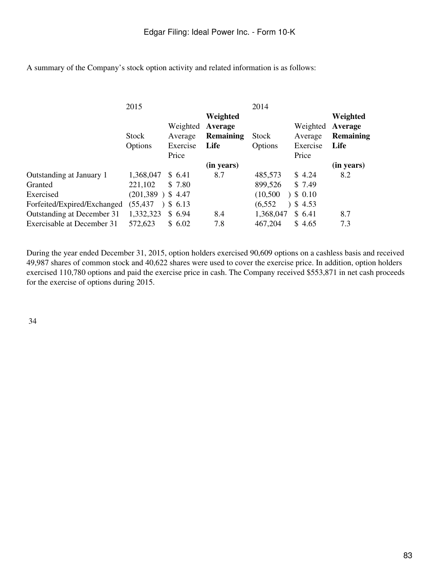A summary of the Company's stock option activity and related information is as follows:

|                             | 2015               |           |                  | 2014      |          |            |
|-----------------------------|--------------------|-----------|------------------|-----------|----------|------------|
|                             |                    |           | Weighted         |           |          | Weighted   |
|                             |                    | Weighted  | Average          |           | Weighted | Average    |
|                             | <b>Stock</b>       | Average   | <b>Remaining</b> | Stock     | Average  | Remaining  |
|                             | Options            | Exercise  | Life             | Options   | Exercise | Life       |
|                             |                    | Price     |                  |           | Price    |            |
|                             |                    |           | (in years)       |           |          | (in years) |
| Outstanding at January 1    | 1,368,047          | \$6.41    | 8.7              | 485,573   | \$4.24   | 8.2        |
| Granted                     | 221,102            | \$ 7.80   |                  | 899,526   | \$7.49   |            |
| Exercised                   | $(201,389)$ \$4.47 |           |                  | (10,500)  | \$0.10   |            |
| Forfeited/Expired/Exchanged | (55,437            | $3\,6.13$ |                  | (6, 552)  | \$4.53   |            |
| Outstanding at December 31  | 1,332,323          | \$6.94    | 8.4              | 1,368,047 | \$6.41   | 8.7        |
| Exercisable at December 31  | 572,623            | \$6.02    | 7.8              | 467,204   | \$4.65   | 7.3        |

During the year ended December 31, 2015, option holders exercised 90,609 options on a cashless basis and received 49,987 shares of common stock and 40,622 shares were used to cover the exercise price. In addition, option holders exercised 110,780 options and paid the exercise price in cash. The Company received \$553,871 in net cash proceeds for the exercise of options during 2015.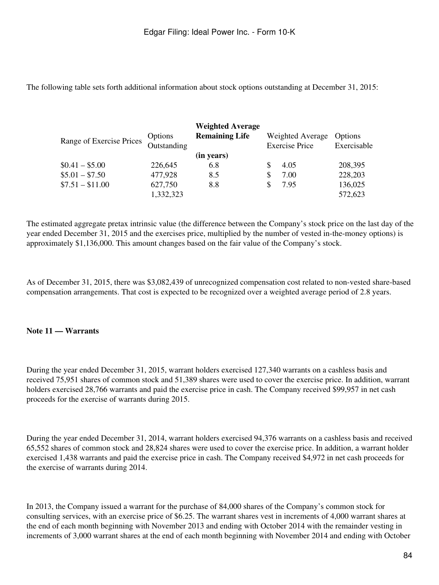The following table sets forth additional information about stock options outstanding at December 31, 2015:

|                          |             | <b>Weighted Average</b> |     |                       |             |
|--------------------------|-------------|-------------------------|-----|-----------------------|-------------|
|                          | Options     | <b>Remaining Life</b>   |     | Weighted Average      | Options     |
| Range of Exercise Prices | Outstanding |                         |     | <b>Exercise Price</b> | Exercisable |
|                          |             | (in years)              |     |                       |             |
| $$0.41 - $5.00$          | 226,645     | 6.8                     |     | 4.05                  | 208,395     |
| $$5.01 - $7.50$          | 477,928     | 8.5                     | \$. | 7.00                  | 228,203     |
| $$7.51 - $11.00$         | 627,750     | 8.8                     |     | 7.95                  | 136,025     |
|                          | 1,332,323   |                         |     |                       | 572,623     |

The estimated aggregate pretax intrinsic value (the difference between the Company's stock price on the last day of the year ended December 31, 2015 and the exercises price, multiplied by the number of vested in-the-money options) is approximately \$1,136,000. This amount changes based on the fair value of the Company's stock.

As of December 31, 2015, there was \$3,082,439 of unrecognized compensation cost related to non-vested share-based compensation arrangements. That cost is expected to be recognized over a weighted average period of 2.8 years.

# **Note 11 — Warrants**

During the year ended December 31, 2015, warrant holders exercised 127,340 warrants on a cashless basis and received 75,951 shares of common stock and 51,389 shares were used to cover the exercise price. In addition, warrant holders exercised 28,766 warrants and paid the exercise price in cash. The Company received \$99,957 in net cash proceeds for the exercise of warrants during 2015.

During the year ended December 31, 2014, warrant holders exercised 94,376 warrants on a cashless basis and received 65,552 shares of common stock and 28,824 shares were used to cover the exercise price. In addition, a warrant holder exercised 1,438 warrants and paid the exercise price in cash. The Company received \$4,972 in net cash proceeds for the exercise of warrants during 2014.

In 2013, the Company issued a warrant for the purchase of 84,000 shares of the Company's common stock for consulting services, with an exercise price of \$6.25. The warrant shares vest in increments of 4,000 warrant shares at the end of each month beginning with November 2013 and ending with October 2014 with the remainder vesting in increments of 3,000 warrant shares at the end of each month beginning with November 2014 and ending with October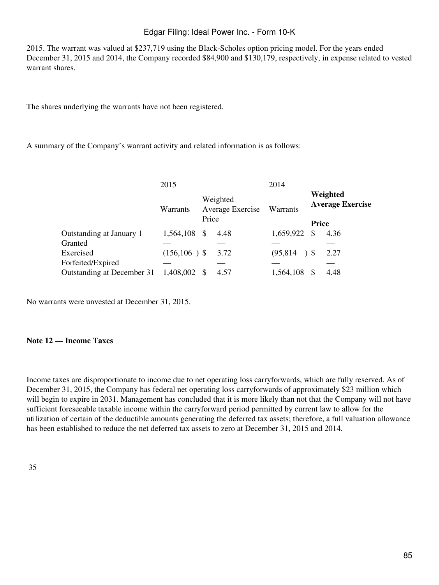2015. The warrant was valued at \$237,719 using the Black-Scholes option pricing model. For the years ended December 31, 2015 and 2014, the Company recorded \$84,900 and \$130,179, respectively, in expense related to vested warrant shares.

The shares underlying the warrants have not been registered.

A summary of the Company's warrant activity and related information is as follows:

|                            | 2015                                              |  |          | 2014                                |                |      |
|----------------------------|---------------------------------------------------|--|----------|-------------------------------------|----------------|------|
|                            | Weighted<br>Average Exercise<br>Warrants<br>Price |  | Warrants | Weighted<br><b>Average Exercise</b> |                |      |
|                            |                                                   |  |          |                                     | <b>Price</b>   |      |
| Outstanding at January 1   | 1,564,108 \$                                      |  | 4.48     | 1,659,922                           | \$             | 4.36 |
| Granted                    |                                                   |  |          |                                     |                |      |
| Exercised                  | $(156, 106)$ \$                                   |  | 3.72     | (95, 814)                           | 5 <sup>°</sup> | 2.27 |
| Forfeited/Expired          |                                                   |  |          |                                     |                |      |
| Outstanding at December 31 | 1,408,002 \$                                      |  | 4.57     | 1,564,108                           |                | 4.48 |

No warrants were unvested at December 31, 2015.

# **Note 12 — Income Taxes**

Income taxes are disproportionate to income due to net operating loss carryforwards, which are fully reserved. As of December 31, 2015, the Company has federal net operating loss carryforwards of approximately \$23 million which will begin to expire in 2031. Management has concluded that it is more likely than not that the Company will not have sufficient foreseeable taxable income within the carryforward period permitted by current law to allow for the utilization of certain of the deductible amounts generating the deferred tax assets; therefore, a full valuation allowance has been established to reduce the net deferred tax assets to zero at December 31, 2015 and 2014.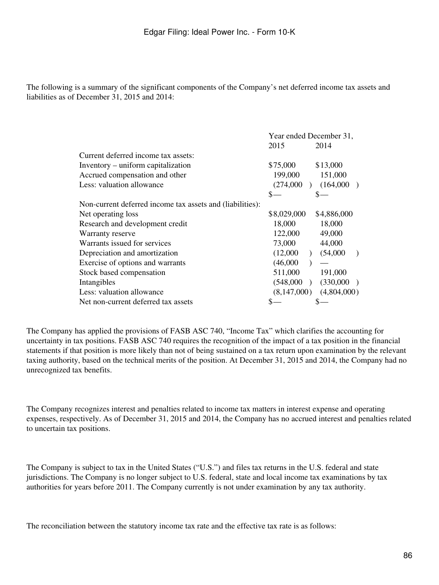The following is a summary of the significant components of the Company's net deferred income tax assets and liabilities as of December 31, 2015 and 2014:

|                                                           | Year ended December 31, |             |  |
|-----------------------------------------------------------|-------------------------|-------------|--|
|                                                           | 2015                    | 2014        |  |
| Current deferred income tax assets:                       |                         |             |  |
| Inventory – uniform capitalization                        | \$75,000                | \$13,000    |  |
| Accrued compensation and other                            | 199,000                 | 151,000     |  |
| Less: valuation allowance                                 | (274,000)               | (164,000)   |  |
|                                                           | S                       |             |  |
| Non-current deferred income tax assets and (liabilities): |                         |             |  |
| Net operating loss                                        | \$8,029,000             | \$4,886,000 |  |
| Research and development credit                           | 18,000                  | 18,000      |  |
| Warranty reserve                                          | 122,000                 | 49,000      |  |
| Warrants issued for services                              | 73,000                  | 44,000      |  |
| Depreciation and amortization                             | (12,000)                | (54,000)    |  |
| Exercise of options and warrants                          | (46,000)                |             |  |
| Stock based compensation                                  | 511,000                 | 191,000     |  |
| Intangibles                                               | (548,000)               | (330,000)   |  |
| Less: valuation allowance                                 | (8,147,000)             | (4,804,000) |  |
| Net non-current deferred tax assets                       |                         |             |  |

The Company has applied the provisions of FASB ASC 740, "Income Tax" which clarifies the accounting for uncertainty in tax positions. FASB ASC 740 requires the recognition of the impact of a tax position in the financial statements if that position is more likely than not of being sustained on a tax return upon examination by the relevant taxing authority, based on the technical merits of the position. At December 31, 2015 and 2014, the Company had no unrecognized tax benefits.

The Company recognizes interest and penalties related to income tax matters in interest expense and operating expenses, respectively. As of December 31, 2015 and 2014, the Company has no accrued interest and penalties related to uncertain tax positions.

The Company is subject to tax in the United States ("U.S.") and files tax returns in the U.S. federal and state jurisdictions. The Company is no longer subject to U.S. federal, state and local income tax examinations by tax authorities for years before 2011. The Company currently is not under examination by any tax authority.

The reconciliation between the statutory income tax rate and the effective tax rate is as follows: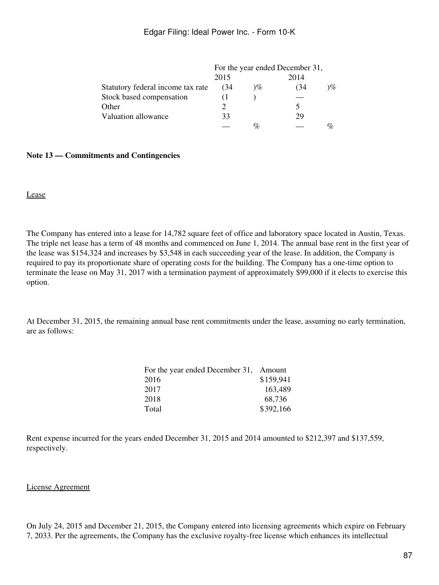|                                   | For the year ended December 31, |      |      |    |
|-----------------------------------|---------------------------------|------|------|----|
|                                   | 2015                            |      | 2014 |    |
| Statutory federal income tax rate | (34                             | $\%$ | (34  | 1% |
| Stock based compensation          |                                 |      |      |    |
| Other                             |                                 |      |      |    |
| Valuation allowance               | 33                              |      | 29   |    |
|                                   |                                 | $\%$ |      |    |

#### **Note 13 — Commitments and Contingencies**

Lease

The Company has entered into a lease for 14,782 square feet of office and laboratory space located in Austin, Texas. The triple net lease has a term of 48 months and commenced on June 1, 2014. The annual base rent in the first year of the lease was \$154,324 and increases by \$3,548 in each succeeding year of the lease. In addition, the Company is required to pay its proportionate share of operating costs for the building. The Company has a one-time option to terminate the lease on May 31, 2017 with a termination payment of approximately \$99,000 if it elects to exercise this option.

At December 31, 2015, the remaining annual base rent commitments under the lease, assuming no early termination, are as follows:

| For the year ended December 31, Amount |           |
|----------------------------------------|-----------|
| 2016                                   | \$159,941 |
| 2017                                   | 163,489   |
| 2018                                   | 68,736    |
| Total                                  | \$392,166 |

Rent expense incurred for the years ended December 31, 2015 and 2014 amounted to \$212,397 and \$137,559, respectively.

#### License Agreement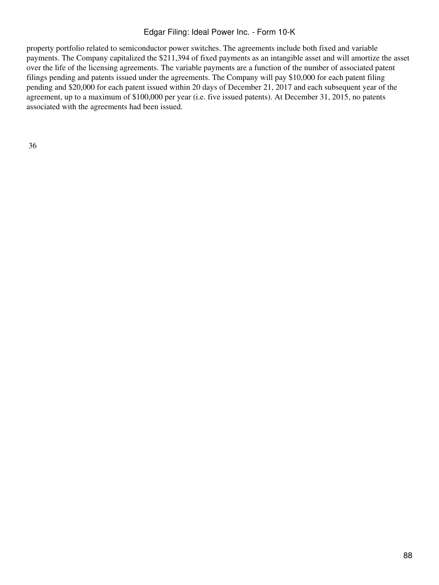property portfolio related to semiconductor power switches. The agreements include both fixed and variable payments. The Company capitalized the \$211,394 of fixed payments as an intangible asset and will amortize the asset over the life of the licensing agreements. The variable payments are a function of the number of associated patent filings pending and patents issued under the agreements. The Company will pay \$10,000 for each patent filing pending and \$20,000 for each patent issued within 20 days of December 21, 2017 and each subsequent year of the agreement, up to a maximum of \$100,000 per year (i.e. five issued patents). At December 31, 2015, no patents associated with the agreements had been issued.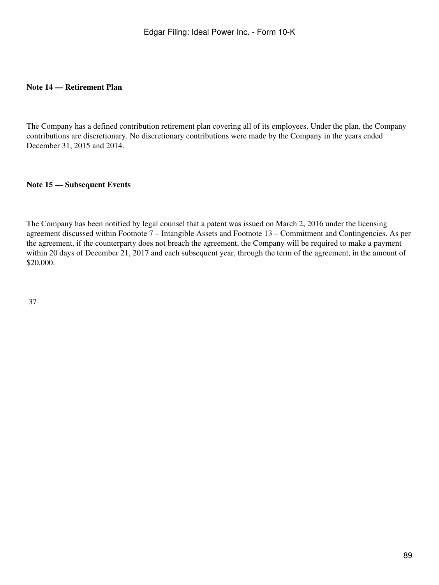#### **Note 14 — Retirement Plan**

The Company has a defined contribution retirement plan covering all of its employees. Under the plan, the Company contributions are discretionary. No discretionary contributions were made by the Company in the years ended December 31, 2015 and 2014.

# **Note 15 — Subsequent Events**

The Company has been notified by legal counsel that a patent was issued on March 2, 2016 under the licensing agreement discussed within Footnote 7 – Intangible Assets and Footnote 13 – Commitment and Contingencies. As per the agreement, if the counterparty does not breach the agreement, the Company will be required to make a payment within 20 days of December 21, 2017 and each subsequent year, through the term of the agreement, in the amount of \$20,000.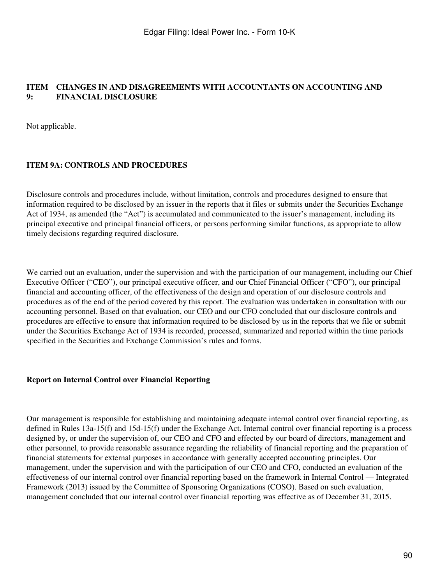#### **ITEM CHANGES IN AND DISAGREEMENTS WITH ACCOUNTANTS ON ACCOUNTING AND 9: FINANCIAL DISCLOSURE**

Not applicable.

#### **ITEM 9A: CONTROLS AND PROCEDURES**

Disclosure controls and procedures include, without limitation, controls and procedures designed to ensure that information required to be disclosed by an issuer in the reports that it files or submits under the Securities Exchange Act of 1934, as amended (the "Act") is accumulated and communicated to the issuer's management, including its principal executive and principal financial officers, or persons performing similar functions, as appropriate to allow timely decisions regarding required disclosure.

We carried out an evaluation, under the supervision and with the participation of our management, including our Chief Executive Officer ("CEO"), our principal executive officer, and our Chief Financial Officer ("CFO"), our principal financial and accounting officer, of the effectiveness of the design and operation of our disclosure controls and procedures as of the end of the period covered by this report. The evaluation was undertaken in consultation with our accounting personnel. Based on that evaluation, our CEO and our CFO concluded that our disclosure controls and procedures are effective to ensure that information required to be disclosed by us in the reports that we file or submit under the Securities Exchange Act of 1934 is recorded, processed, summarized and reported within the time periods specified in the Securities and Exchange Commission's rules and forms.

#### **Report on Internal Control over Financial Reporting**

Our management is responsible for establishing and maintaining adequate internal control over financial reporting, as defined in Rules 13a-15(f) and 15d-15(f) under the Exchange Act. Internal control over financial reporting is a process designed by, or under the supervision of, our CEO and CFO and effected by our board of directors, management and other personnel, to provide reasonable assurance regarding the reliability of financial reporting and the preparation of financial statements for external purposes in accordance with generally accepted accounting principles. Our management, under the supervision and with the participation of our CEO and CFO, conducted an evaluation of the effectiveness of our internal control over financial reporting based on the framework in Internal Control — Integrated Framework (2013) issued by the Committee of Sponsoring Organizations (COSO). Based on such evaluation, management concluded that our internal control over financial reporting was effective as of December 31, 2015.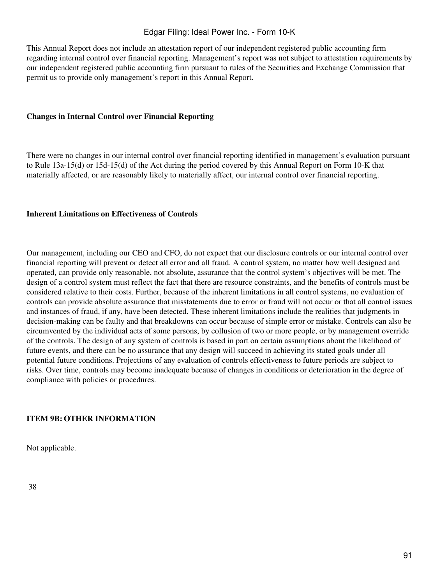This Annual Report does not include an attestation report of our independent registered public accounting firm regarding internal control over financial reporting. Management's report was not subject to attestation requirements by our independent registered public accounting firm pursuant to rules of the Securities and Exchange Commission that permit us to provide only management's report in this Annual Report.

#### **Changes in Internal Control over Financial Reporting**

There were no changes in our internal control over financial reporting identified in management's evaluation pursuant to Rule 13a-15(d) or 15d-15(d) of the Act during the period covered by this Annual Report on Form 10-K that materially affected, or are reasonably likely to materially affect, our internal control over financial reporting.

#### **Inherent Limitations on Effectiveness of Controls**

Our management, including our CEO and CFO, do not expect that our disclosure controls or our internal control over financial reporting will prevent or detect all error and all fraud. A control system, no matter how well designed and operated, can provide only reasonable, not absolute, assurance that the control system's objectives will be met. The design of a control system must reflect the fact that there are resource constraints, and the benefits of controls must be considered relative to their costs. Further, because of the inherent limitations in all control systems, no evaluation of controls can provide absolute assurance that misstatements due to error or fraud will not occur or that all control issues and instances of fraud, if any, have been detected. These inherent limitations include the realities that judgments in decision-making can be faulty and that breakdowns can occur because of simple error or mistake. Controls can also be circumvented by the individual acts of some persons, by collusion of two or more people, or by management override of the controls. The design of any system of controls is based in part on certain assumptions about the likelihood of future events, and there can be no assurance that any design will succeed in achieving its stated goals under all potential future conditions. Projections of any evaluation of controls effectiveness to future periods are subject to risks. Over time, controls may become inadequate because of changes in conditions or deterioration in the degree of compliance with policies or procedures.

#### **ITEM 9B: OTHER INFORMATION**

Not applicable.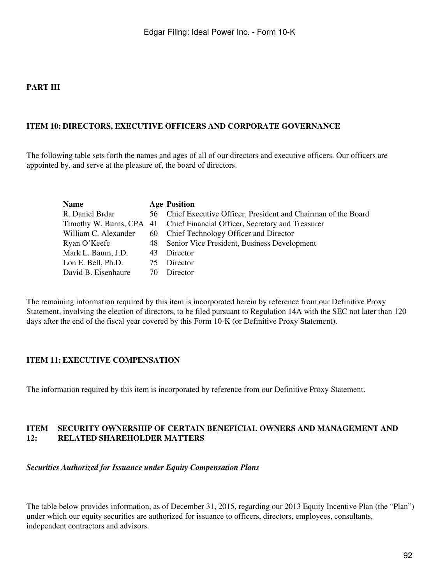#### **PART III**

#### **ITEM 10: DIRECTORS, EXECUTIVE OFFICERS AND CORPORATE GOVERNANCE**

The following table sets forth the names and ages of all of our directors and executive officers. Our officers are appointed by, and serve at the pleasure of, the board of directors.

| <b>Name</b>          |    | <b>Age Position</b>                                                       |
|----------------------|----|---------------------------------------------------------------------------|
| R. Daniel Brdar      |    | 56 Chief Executive Officer, President and Chairman of the Board           |
|                      |    | Timothy W. Burns, CPA 41 Chief Financial Officer, Secretary and Treasurer |
| William C. Alexander |    | 60 Chief Technology Officer and Director                                  |
| Ryan O'Keefe         | 48 | Senior Vice President, Business Development                               |
| Mark L. Baum, J.D.   |    | 43 Director                                                               |
| Lon E. Bell, Ph.D.   | 75 | Director                                                                  |
| David B. Eisenhaure  | 70 | Director                                                                  |

The remaining information required by this item is incorporated herein by reference from our Definitive Proxy Statement, involving the election of directors, to be filed pursuant to Regulation 14A with the SEC not later than 120 days after the end of the fiscal year covered by this Form 10-K (or Definitive Proxy Statement).

#### **ITEM 11: EXECUTIVE COMPENSATION**

The information required by this item is incorporated by reference from our Definitive Proxy Statement.

#### **ITEM 12: SECURITY OWNERSHIP OF CERTAIN BENEFICIAL OWNERS AND MANAGEMENT AND RELATED SHAREHOLDER MATTERS**

*Securities Authorized for Issuance under Equity Compensation Plans*

The table below provides information, as of December 31, 2015, regarding our 2013 Equity Incentive Plan (the "Plan") under which our equity securities are authorized for issuance to officers, directors, employees, consultants, independent contractors and advisors.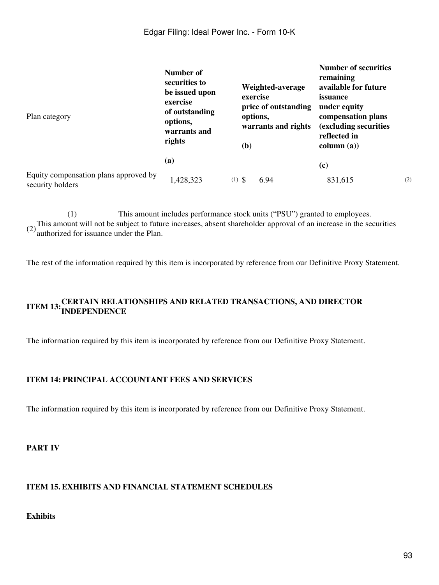| Plan category                                             | Number of<br>securities to<br>be issued upon<br>exercise<br>of outstanding<br>options,<br>warrants and<br>rights | Weighted-average<br>exercise<br>price of outstanding<br>options,<br>warrants and rights<br>( <b>b</b> ) | <b>Number of securities</b><br>remaining<br>available for future<br>issuance<br>under equity<br>compensation plans<br>(excluding securities)<br>reflected in<br>column (a)) |     |
|-----------------------------------------------------------|------------------------------------------------------------------------------------------------------------------|---------------------------------------------------------------------------------------------------------|-----------------------------------------------------------------------------------------------------------------------------------------------------------------------------|-----|
|                                                           | (a)                                                                                                              |                                                                                                         | (c)                                                                                                                                                                         |     |
| Equity compensation plans approved by<br>security holders | 428,323                                                                                                          | $(1)$ \$<br>6.94                                                                                        | 831,615                                                                                                                                                                     | (2) |

(1) This amount includes performance stock units ("PSU") granted to employees. (2)This amount will not be subject to future increases, absent shareholder approval of an increase in the securities authorized for issuance under the Plan.

The rest of the information required by this item is incorporated by reference from our Definitive Proxy Statement.

# **ITEM 13:CERTAIN RELATIONSHIPS AND RELATED TRANSACTIONS, AND DIRECTOR INDEPENDENCE**

The information required by this item is incorporated by reference from our Definitive Proxy Statement.

#### **ITEM 14: PRINCIPAL ACCOUNTANT FEES AND SERVICES**

The information required by this item is incorporated by reference from our Definitive Proxy Statement.

## **PART IV**

#### **ITEM 15. EXHIBITS AND FINANCIAL STATEMENT SCHEDULES**

# **Exhibits**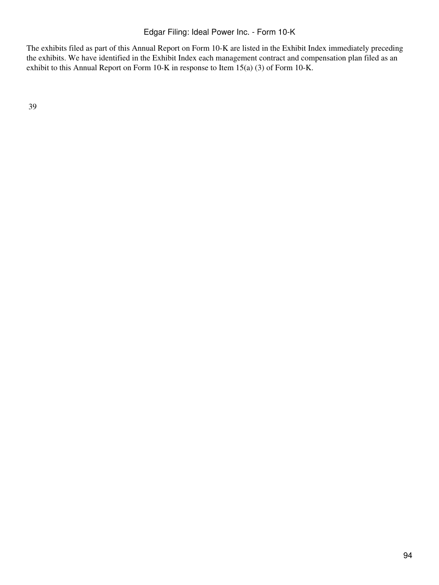The exhibits filed as part of this Annual Report on Form 10-K are listed in the Exhibit Index immediately preceding the exhibits. We have identified in the Exhibit Index each management contract and compensation plan filed as an exhibit to this Annual Report on Form 10-K in response to Item 15(a) (3) of Form 10-K.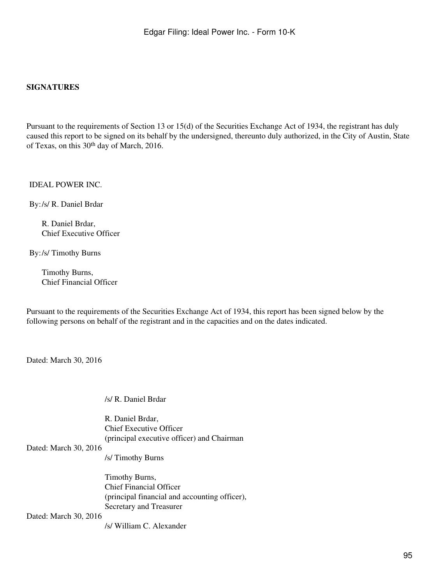#### **SIGNATURES**

Pursuant to the requirements of Section 13 or 15(d) of the Securities Exchange Act of 1934, the registrant has duly caused this report to be signed on its behalf by the undersigned, thereunto duly authorized, in the City of Austin, State of Texas, on this 30th day of March, 2016.

IDEAL POWER INC.

By:/s/ R. Daniel Brdar

R. Daniel Brdar, Chief Executive Officer

By:/s/ Timothy Burns

Timothy Burns, Chief Financial Officer

Pursuant to the requirements of the Securities Exchange Act of 1934, this report has been signed below by the following persons on behalf of the registrant and in the capacities and on the dates indicated.

Dated: March 30, 2016

/s/ R. Daniel Brdar

R. Daniel Brdar, Chief Executive Officer (principal executive officer) and Chairman

#### Dated: March 30, 2016

/s/ Timothy Burns

Timothy Burns, Chief Financial Officer (principal financial and accounting officer), Secretary and Treasurer

Dated: March 30, 2016

/s/ William C. Alexander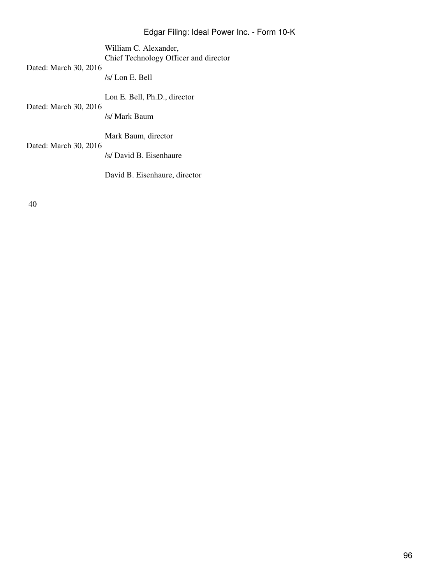William C. Alexander, Chief Technology Officer and director

Dated: March 30, 2016

/s/ Lon E. Bell

Lon E. Bell, Ph.D., director

Dated: March 30, 2016

/s/ Mark Baum

Mark Baum, director

Dated: March 30, 2016

/s/ David B. Eisenhaure

David B. Eisenhaure, director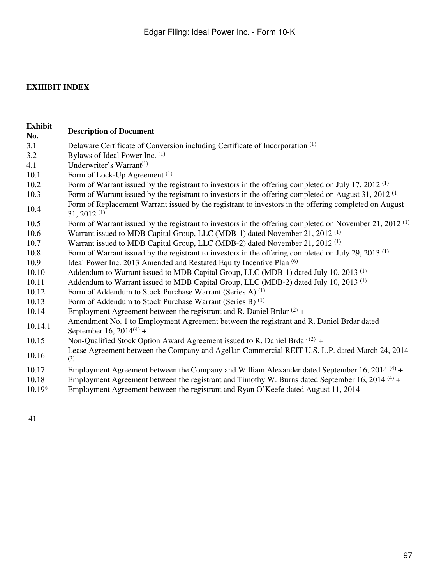## **EXHIBIT INDEX**

- **Exhibit No. Description of Document** 3.1 Delaware Certificate of Conversion including Certificate of Incorporation (1) 3.2 Bylaws of Ideal Power Inc. (1) 4.1 Underwriter's Warrant<sup>(1)</sup> 10.1 Form of Lock-Up Agreement <sup>(1)</sup> 10.2 Form of Warrant issued by the registrant to investors in the offering completed on July 17, 2012 <sup>(1)</sup> 10.3 Form of Warrant issued by the registrant to investors in the offering completed on August 31, 2012 (1) Form of Replacement Warrant issued by the registrant to investors in the offering completed on August 31, 2012 (1) 10.5 Form of Warrant issued by the registrant to investors in the offering completed on November 21, 2012 (1) 10.6 Warrant issued to MDB Capital Group, LLC (MDB-1) dated November 21, 2012 (1) 10.7 Warrant issued to MDB Capital Group, LLC (MDB-2) dated November 21, 2012 (1) 10.8 Form of Warrant issued by the registrant to investors in the offering completed on July 29, 2013 (1) 10.9 Ideal Power Inc. 2013 Amended and Restated Equity Incentive Plan <sup>(6)</sup> 10.10 Addendum to Warrant issued to MDB Capital Group, LLC (MDB-1) dated July 10, 2013 (1) 10.11 Addendum to Warrant issued to MDB Capital Group, LLC (MDB-2) dated July 10, 2013 (1) 10.12 Form of Addendum to Stock Purchase Warrant (Series A) <sup>(1)</sup> 10.13 Form of Addendum to Stock Purchase Warrant (Series B) (1) 10.14 Employment Agreement between the registrant and R. Daniel Brdar  $(2)$  + 10.14.1 Amendment No. 1 to Employment Agreement between the registrant and R. Daniel Brdar dated September 16,  $2014^{(4)}$  + 10.15 Non-Qualified Stock Option Award Agreement issued to R. Daniel Brdar  $(2)$  + 10.16 Lease Agreement between the Company and Agellan Commercial REIT U.S. L.P. dated March 24, 2014 (3) 10.17 Employment Agreement between the Company and William Alexander dated September 16, 2014 <sup>(4)</sup> + 10.18 Employment Agreement between the registrant and Timothy W. Burns dated September 16, 2014 <sup>(4)</sup> + 10.19\* Employment Agreement between the registrant and Ryan O'Keefe dated August 11, 2014
- 41